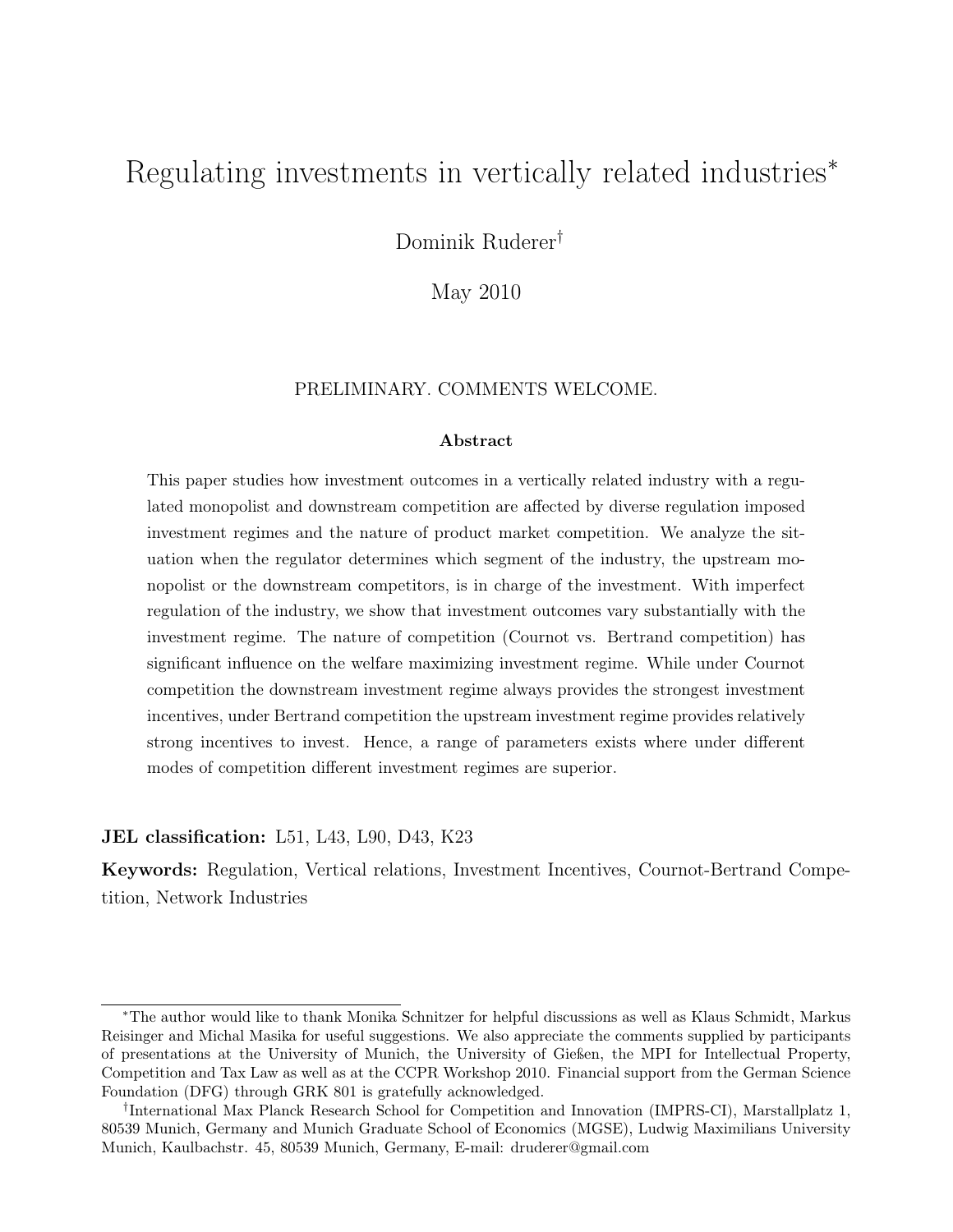# Regulating investments in vertically related industries<sup>∗</sup>

Dominik Ruderer†

May 2010

## PRELIMINARY. COMMENTS WELCOME.

#### Abstract

This paper studies how investment outcomes in a vertically related industry with a regulated monopolist and downstream competition are affected by diverse regulation imposed investment regimes and the nature of product market competition. We analyze the situation when the regulator determines which segment of the industry, the upstream monopolist or the downstream competitors, is in charge of the investment. With imperfect regulation of the industry, we show that investment outcomes vary substantially with the investment regime. The nature of competition (Cournot vs. Bertrand competition) has significant influence on the welfare maximizing investment regime. While under Cournot competition the downstream investment regime always provides the strongest investment incentives, under Bertrand competition the upstream investment regime provides relatively strong incentives to invest. Hence, a range of parameters exists where under different modes of competition different investment regimes are superior.

### JEL classification: L51, L43, L90, D43, K23

Keywords: Regulation, Vertical relations, Investment Incentives, Cournot-Bertrand Competition, Network Industries

<sup>∗</sup>The author would like to thank Monika Schnitzer for helpful discussions as well as Klaus Schmidt, Markus Reisinger and Michal Masika for useful suggestions. We also appreciate the comments supplied by participants of presentations at the University of Munich, the University of Gießen, the MPI for Intellectual Property, Competition and Tax Law as well as at the CCPR Workshop 2010. Financial support from the German Science Foundation (DFG) through GRK 801 is gratefully acknowledged.

<sup>†</sup>International Max Planck Research School for Competition and Innovation (IMPRS-CI), Marstallplatz 1, 80539 Munich, Germany and Munich Graduate School of Economics (MGSE), Ludwig Maximilians University Munich, Kaulbachstr. 45, 80539 Munich, Germany, E-mail: druderer@gmail.com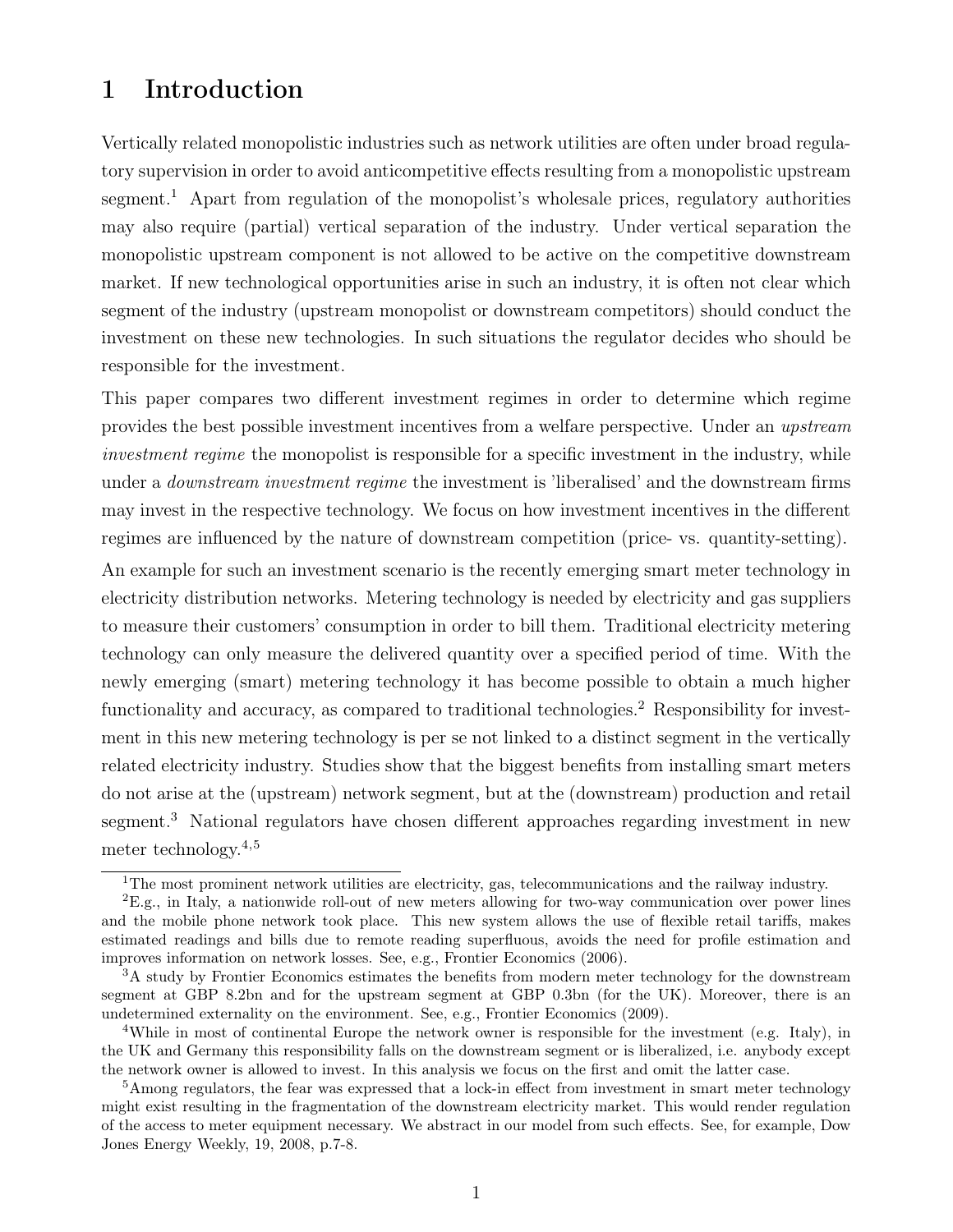# 1 Introduction

Vertically related monopolistic industries such as network utilities are often under broad regulatory supervision in order to avoid anticompetitive effects resulting from a monopolistic upstream segment.<sup>1</sup> Apart from regulation of the monopolist's wholesale prices, regulatory authorities may also require (partial) vertical separation of the industry. Under vertical separation the monopolistic upstream component is not allowed to be active on the competitive downstream market. If new technological opportunities arise in such an industry, it is often not clear which segment of the industry (upstream monopolist or downstream competitors) should conduct the investment on these new technologies. In such situations the regulator decides who should be responsible for the investment.

This paper compares two different investment regimes in order to determine which regime provides the best possible investment incentives from a welfare perspective. Under an *upstream* investment regime the monopolist is responsible for a specific investment in the industry, while under a *downstream investment regime* the investment is 'liberalised' and the downstream firms may invest in the respective technology. We focus on how investment incentives in the different regimes are influenced by the nature of downstream competition (price- vs. quantity-setting).

An example for such an investment scenario is the recently emerging smart meter technology in electricity distribution networks. Metering technology is needed by electricity and gas suppliers to measure their customers' consumption in order to bill them. Traditional electricity metering technology can only measure the delivered quantity over a specified period of time. With the newly emerging (smart) metering technology it has become possible to obtain a much higher functionality and accuracy, as compared to traditional technologies.<sup>2</sup> Responsibility for investment in this new metering technology is per se not linked to a distinct segment in the vertically related electricity industry. Studies show that the biggest benefits from installing smart meters do not arise at the (upstream) network segment, but at the (downstream) production and retail segment.<sup>3</sup> National regulators have chosen different approaches regarding investment in new meter technology.<sup>4</sup>,<sup>5</sup>

<sup>&</sup>lt;sup>1</sup>The most prominent network utilities are electricity, gas, telecommunications and the railway industry.

<sup>2</sup>E.g., in Italy, a nationwide roll-out of new meters allowing for two-way communication over power lines and the mobile phone network took place. This new system allows the use of flexible retail tariffs, makes estimated readings and bills due to remote reading superfluous, avoids the need for profile estimation and improves information on network losses. See, e.g., Frontier Economics (2006).

<sup>&</sup>lt;sup>3</sup>A study by Frontier Economics estimates the benefits from modern meter technology for the downstream segment at GBP 8.2bn and for the upstream segment at GBP 0.3bn (for the UK). Moreover, there is an undetermined externality on the environment. See, e.g., Frontier Economics (2009).

<sup>4</sup>While in most of continental Europe the network owner is responsible for the investment (e.g. Italy), in the UK and Germany this responsibility falls on the downstream segment or is liberalized, i.e. anybody except the network owner is allowed to invest. In this analysis we focus on the first and omit the latter case.

<sup>&</sup>lt;sup>5</sup>Among regulators, the fear was expressed that a lock-in effect from investment in smart meter technology might exist resulting in the fragmentation of the downstream electricity market. This would render regulation of the access to meter equipment necessary. We abstract in our model from such effects. See, for example, Dow Jones Energy Weekly, 19, 2008, p.7-8.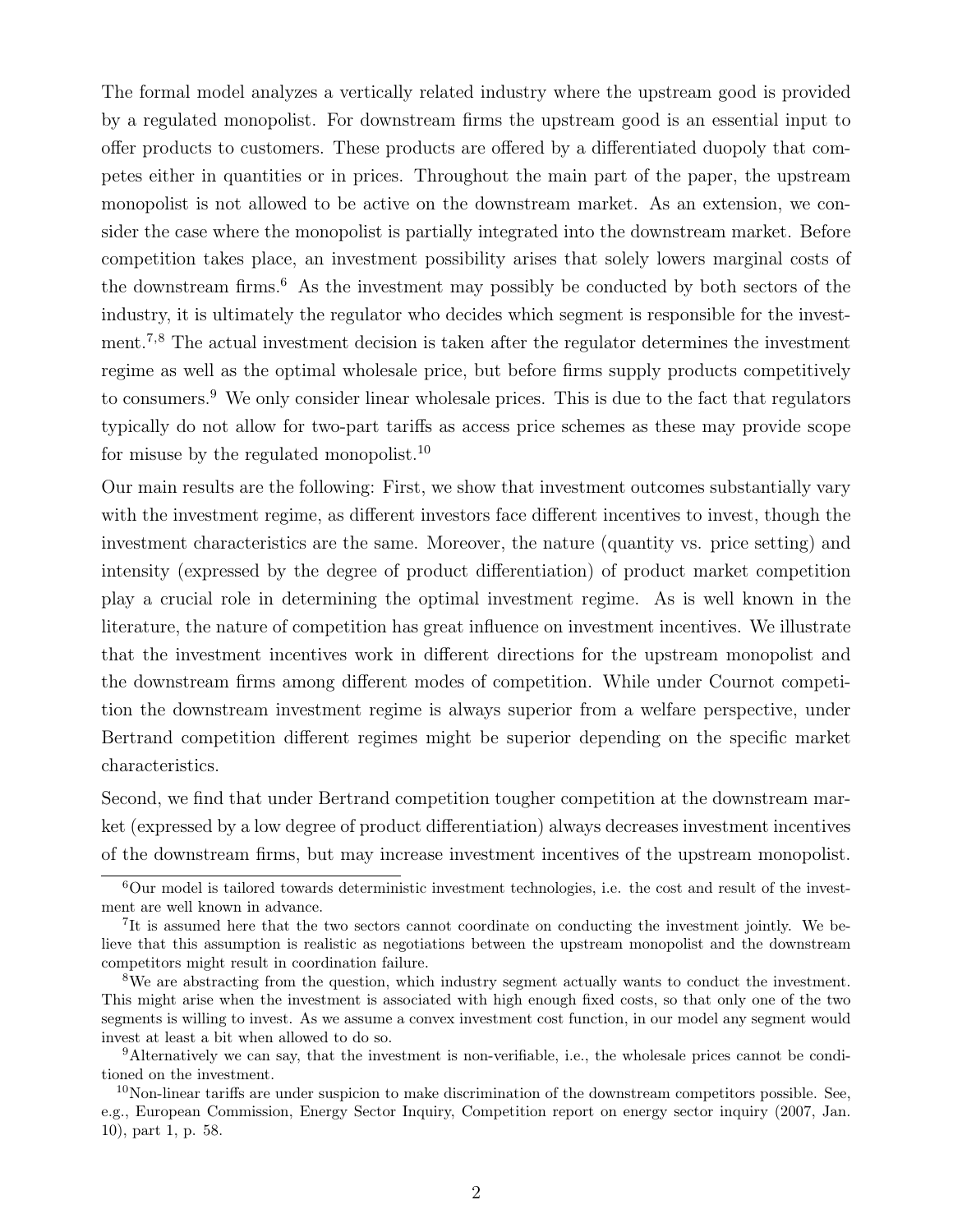The formal model analyzes a vertically related industry where the upstream good is provided by a regulated monopolist. For downstream firms the upstream good is an essential input to offer products to customers. These products are offered by a differentiated duopoly that competes either in quantities or in prices. Throughout the main part of the paper, the upstream monopolist is not allowed to be active on the downstream market. As an extension, we consider the case where the monopolist is partially integrated into the downstream market. Before competition takes place, an investment possibility arises that solely lowers marginal costs of the downstream firms.<sup>6</sup> As the investment may possibly be conducted by both sectors of the industry, it is ultimately the regulator who decides which segment is responsible for the investment.<sup>7,8</sup> The actual investment decision is taken after the regulator determines the investment regime as well as the optimal wholesale price, but before firms supply products competitively to consumers.<sup>9</sup> We only consider linear wholesale prices. This is due to the fact that regulators typically do not allow for two-part tariffs as access price schemes as these may provide scope for misuse by the regulated monopolist.<sup>10</sup>

Our main results are the following: First, we show that investment outcomes substantially vary with the investment regime, as different investors face different incentives to invest, though the investment characteristics are the same. Moreover, the nature (quantity vs. price setting) and intensity (expressed by the degree of product differentiation) of product market competition play a crucial role in determining the optimal investment regime. As is well known in the literature, the nature of competition has great influence on investment incentives. We illustrate that the investment incentives work in different directions for the upstream monopolist and the downstream firms among different modes of competition. While under Cournot competition the downstream investment regime is always superior from a welfare perspective, under Bertrand competition different regimes might be superior depending on the specific market characteristics.

Second, we find that under Bertrand competition tougher competition at the downstream market (expressed by a low degree of product differentiation) always decreases investment incentives of the downstream firms, but may increase investment incentives of the upstream monopolist.

 $6$ Our model is tailored towards deterministic investment technologies, i.e. the cost and result of the investment are well known in advance.

<sup>7</sup>It is assumed here that the two sectors cannot coordinate on conducting the investment jointly. We believe that this assumption is realistic as negotiations between the upstream monopolist and the downstream competitors might result in coordination failure.

<sup>&</sup>lt;sup>8</sup>We are abstracting from the question, which industry segment actually wants to conduct the investment. This might arise when the investment is associated with high enough fixed costs, so that only one of the two segments is willing to invest. As we assume a convex investment cost function, in our model any segment would invest at least a bit when allowed to do so.

<sup>9</sup>Alternatively we can say, that the investment is non-verifiable, i.e., the wholesale prices cannot be conditioned on the investment.

 $10$ Non-linear tariffs are under suspicion to make discrimination of the downstream competitors possible. See, e.g., European Commission, Energy Sector Inquiry, Competition report on energy sector inquiry (2007, Jan. 10), part 1, p. 58.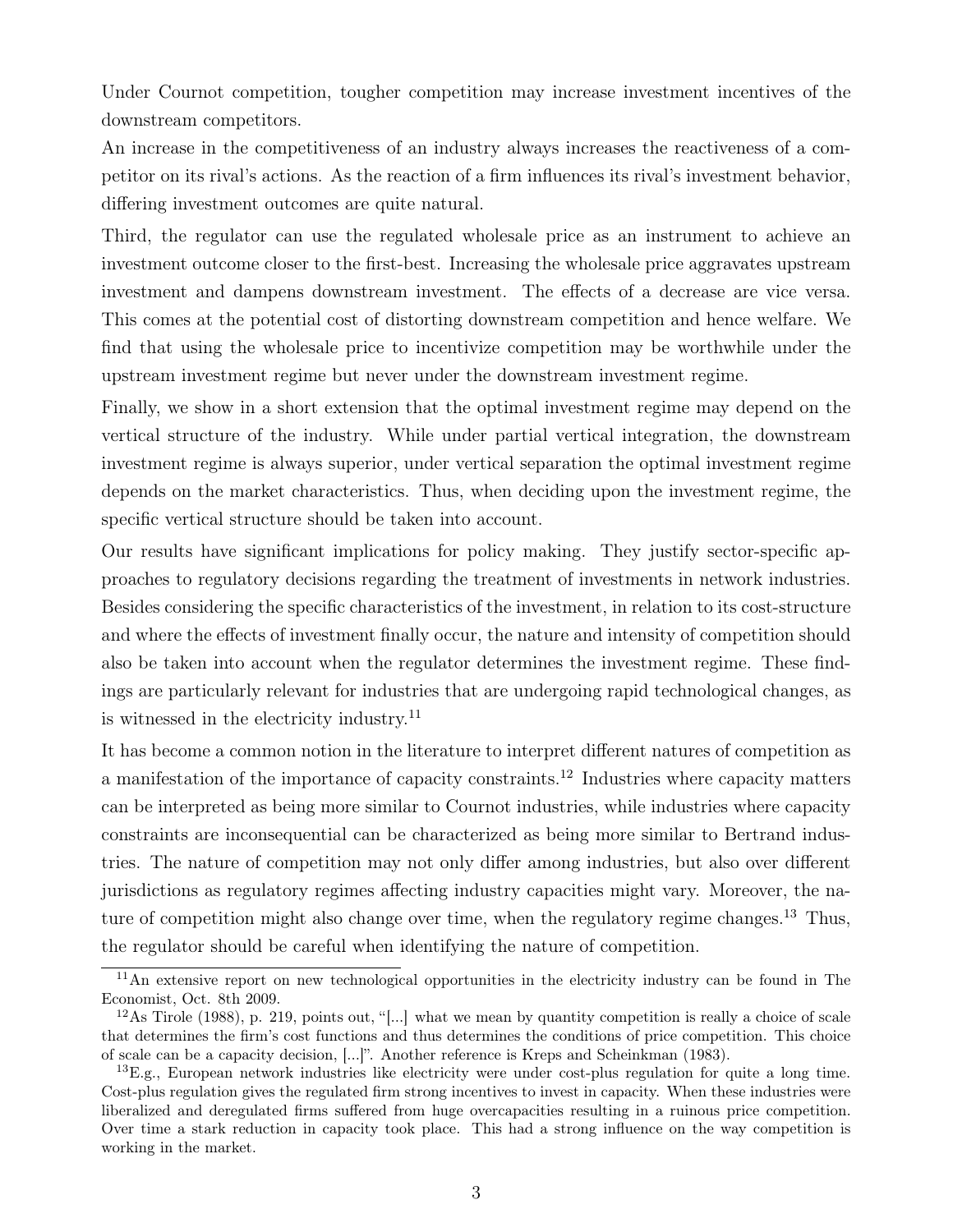Under Cournot competition, tougher competition may increase investment incentives of the downstream competitors.

An increase in the competitiveness of an industry always increases the reactiveness of a competitor on its rival's actions. As the reaction of a firm influences its rival's investment behavior, differing investment outcomes are quite natural.

Third, the regulator can use the regulated wholesale price as an instrument to achieve an investment outcome closer to the first-best. Increasing the wholesale price aggravates upstream investment and dampens downstream investment. The effects of a decrease are vice versa. This comes at the potential cost of distorting downstream competition and hence welfare. We find that using the wholesale price to incentivize competition may be worthwhile under the upstream investment regime but never under the downstream investment regime.

Finally, we show in a short extension that the optimal investment regime may depend on the vertical structure of the industry. While under partial vertical integration, the downstream investment regime is always superior, under vertical separation the optimal investment regime depends on the market characteristics. Thus, when deciding upon the investment regime, the specific vertical structure should be taken into account.

Our results have significant implications for policy making. They justify sector-specific approaches to regulatory decisions regarding the treatment of investments in network industries. Besides considering the specific characteristics of the investment, in relation to its cost-structure and where the effects of investment finally occur, the nature and intensity of competition should also be taken into account when the regulator determines the investment regime. These findings are particularly relevant for industries that are undergoing rapid technological changes, as is witnessed in the electricity industry.<sup>11</sup>

It has become a common notion in the literature to interpret different natures of competition as a manifestation of the importance of capacity constraints.<sup>12</sup> Industries where capacity matters can be interpreted as being more similar to Cournot industries, while industries where capacity constraints are inconsequential can be characterized as being more similar to Bertrand industries. The nature of competition may not only differ among industries, but also over different jurisdictions as regulatory regimes affecting industry capacities might vary. Moreover, the nature of competition might also change over time, when the regulatory regime changes.<sup>13</sup> Thus, the regulator should be careful when identifying the nature of competition.

<sup>11</sup>An extensive report on new technological opportunities in the electricity industry can be found in The Economist, Oct. 8th 2009.

<sup>&</sup>lt;sup>12</sup>As Tirole (1988), p. 219, points out, "[...] what we mean by quantity competition is really a choice of scale that determines the firm's cost functions and thus determines the conditions of price competition. This choice of scale can be a capacity decision, [...]". Another reference is Kreps and Scheinkman (1983).

 $^{13}E.g.,$  European network industries like electricity were under cost-plus regulation for quite a long time. Cost-plus regulation gives the regulated firm strong incentives to invest in capacity. When these industries were liberalized and deregulated firms suffered from huge overcapacities resulting in a ruinous price competition. Over time a stark reduction in capacity took place. This had a strong influence on the way competition is working in the market.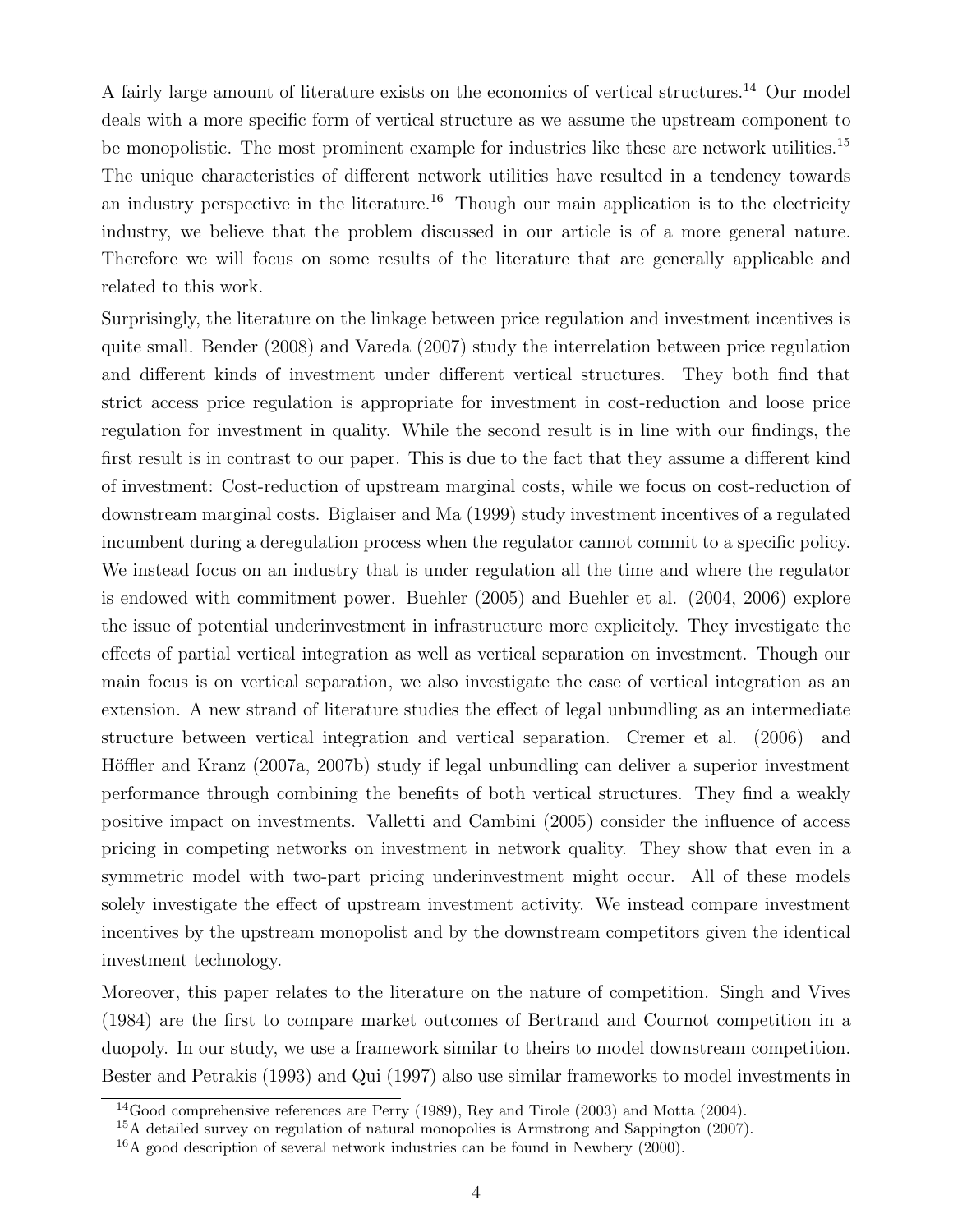A fairly large amount of literature exists on the economics of vertical structures.<sup>14</sup> Our model deals with a more specific form of vertical structure as we assume the upstream component to be monopolistic. The most prominent example for industries like these are network utilities.<sup>15</sup> The unique characteristics of different network utilities have resulted in a tendency towards an industry perspective in the literature.<sup>16</sup> Though our main application is to the electricity industry, we believe that the problem discussed in our article is of a more general nature. Therefore we will focus on some results of the literature that are generally applicable and related to this work.

Surprisingly, the literature on the linkage between price regulation and investment incentives is quite small. Bender (2008) and Vareda (2007) study the interrelation between price regulation and different kinds of investment under different vertical structures. They both find that strict access price regulation is appropriate for investment in cost-reduction and loose price regulation for investment in quality. While the second result is in line with our findings, the first result is in contrast to our paper. This is due to the fact that they assume a different kind of investment: Cost-reduction of upstream marginal costs, while we focus on cost-reduction of downstream marginal costs. Biglaiser and Ma (1999) study investment incentives of a regulated incumbent during a deregulation process when the regulator cannot commit to a specific policy. We instead focus on an industry that is under regulation all the time and where the regulator is endowed with commitment power. Buehler (2005) and Buehler et al. (2004, 2006) explore the issue of potential underinvestment in infrastructure more explicitely. They investigate the effects of partial vertical integration as well as vertical separation on investment. Though our main focus is on vertical separation, we also investigate the case of vertical integration as an extension. A new strand of literature studies the effect of legal unbundling as an intermediate structure between vertical integration and vertical separation. Cremer et al. (2006) and Höffler and Kranz (2007a, 2007b) study if legal unbundling can deliver a superior investment performance through combining the benefits of both vertical structures. They find a weakly positive impact on investments. Valletti and Cambini (2005) consider the influence of access pricing in competing networks on investment in network quality. They show that even in a symmetric model with two-part pricing underinvestment might occur. All of these models solely investigate the effect of upstream investment activity. We instead compare investment incentives by the upstream monopolist and by the downstream competitors given the identical investment technology.

Moreover, this paper relates to the literature on the nature of competition. Singh and Vives (1984) are the first to compare market outcomes of Bertrand and Cournot competition in a duopoly. In our study, we use a framework similar to theirs to model downstream competition. Bester and Petrakis (1993) and Qui (1997) also use similar frameworks to model investments in

<sup>&</sup>lt;sup>14</sup>Good comprehensive references are Perry (1989), Rey and Tirole (2003) and Motta (2004).

<sup>15</sup>A detailed survey on regulation of natural monopolies is Armstrong and Sappington (2007).

<sup>&</sup>lt;sup>16</sup>A good description of several network industries can be found in Newbery (2000).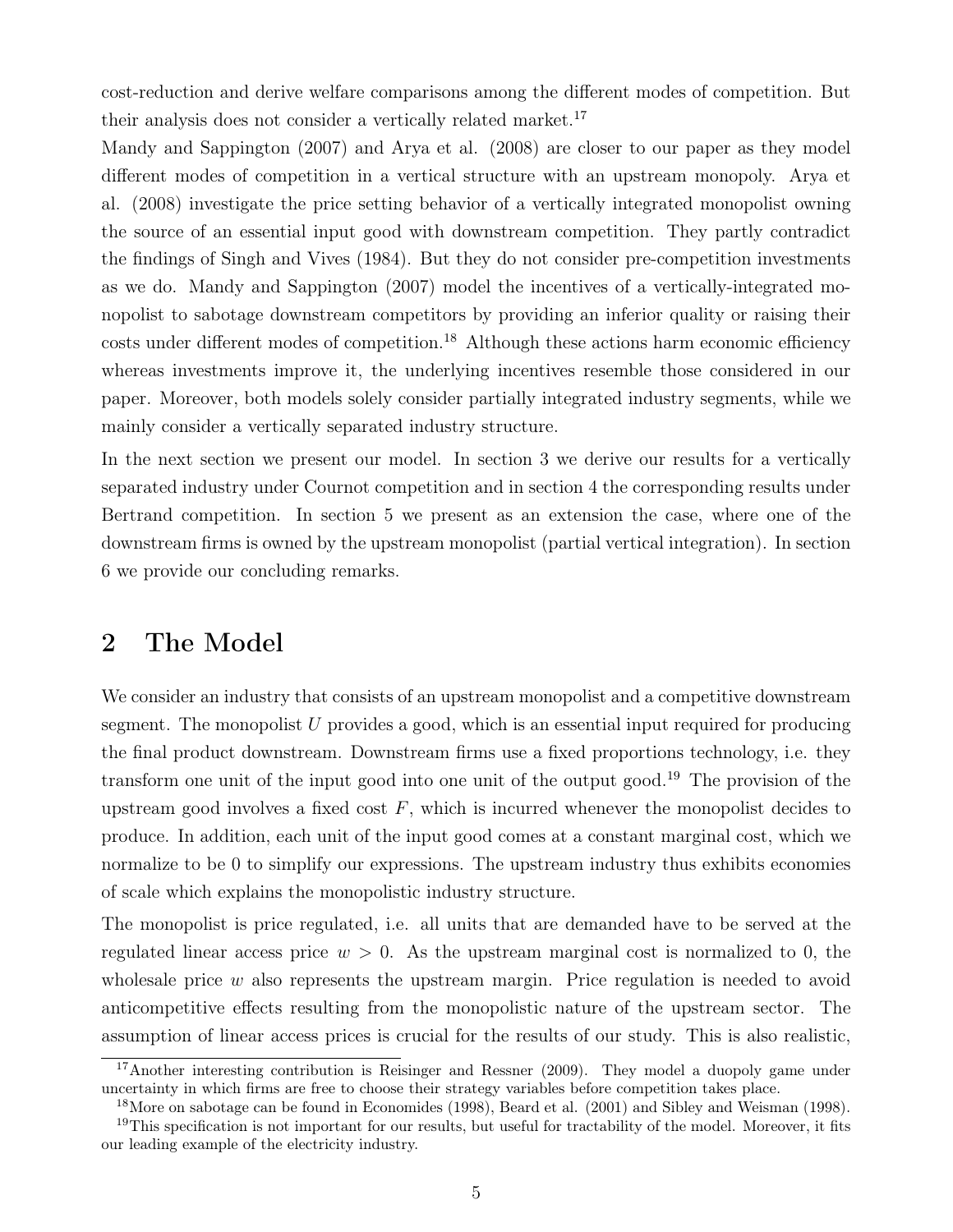cost-reduction and derive welfare comparisons among the different modes of competition. But their analysis does not consider a vertically related market.<sup>17</sup>

Mandy and Sappington (2007) and Arya et al. (2008) are closer to our paper as they model different modes of competition in a vertical structure with an upstream monopoly. Arya et al. (2008) investigate the price setting behavior of a vertically integrated monopolist owning the source of an essential input good with downstream competition. They partly contradict the findings of Singh and Vives (1984). But they do not consider pre-competition investments as we do. Mandy and Sappington (2007) model the incentives of a vertically-integrated monopolist to sabotage downstream competitors by providing an inferior quality or raising their costs under different modes of competition.<sup>18</sup> Although these actions harm economic efficiency whereas investments improve it, the underlying incentives resemble those considered in our paper. Moreover, both models solely consider partially integrated industry segments, while we mainly consider a vertically separated industry structure.

In the next section we present our model. In section 3 we derive our results for a vertically separated industry under Cournot competition and in section 4 the corresponding results under Bertrand competition. In section 5 we present as an extension the case, where one of the downstream firms is owned by the upstream monopolist (partial vertical integration). In section 6 we provide our concluding remarks.

# 2 The Model

We consider an industry that consists of an upstream monopolist and a competitive downstream segment. The monopolist  $U$  provides a good, which is an essential input required for producing the final product downstream. Downstream firms use a fixed proportions technology, i.e. they transform one unit of the input good into one unit of the output good.<sup>19</sup> The provision of the upstream good involves a fixed cost  $F$ , which is incurred whenever the monopolist decides to produce. In addition, each unit of the input good comes at a constant marginal cost, which we normalize to be 0 to simplify our expressions. The upstream industry thus exhibits economies of scale which explains the monopolistic industry structure.

The monopolist is price regulated, i.e. all units that are demanded have to be served at the regulated linear access price  $w > 0$ . As the upstream marginal cost is normalized to 0, the wholes also represents the upstream margin. Price regulation is needed to avoid anticompetitive effects resulting from the monopolistic nature of the upstream sector. The assumption of linear access prices is crucial for the results of our study. This is also realistic,

<sup>&</sup>lt;sup>17</sup>Another interesting contribution is Reisinger and Ressner (2009). They model a duopoly game under uncertainty in which firms are free to choose their strategy variables before competition takes place.

<sup>&</sup>lt;sup>18</sup>More on sabotage can be found in Economides (1998), Beard et al. (2001) and Sibley and Weisman (1998).

<sup>&</sup>lt;sup>19</sup>This specification is not important for our results, but useful for tractability of the model. Moreover, it fits our leading example of the electricity industry.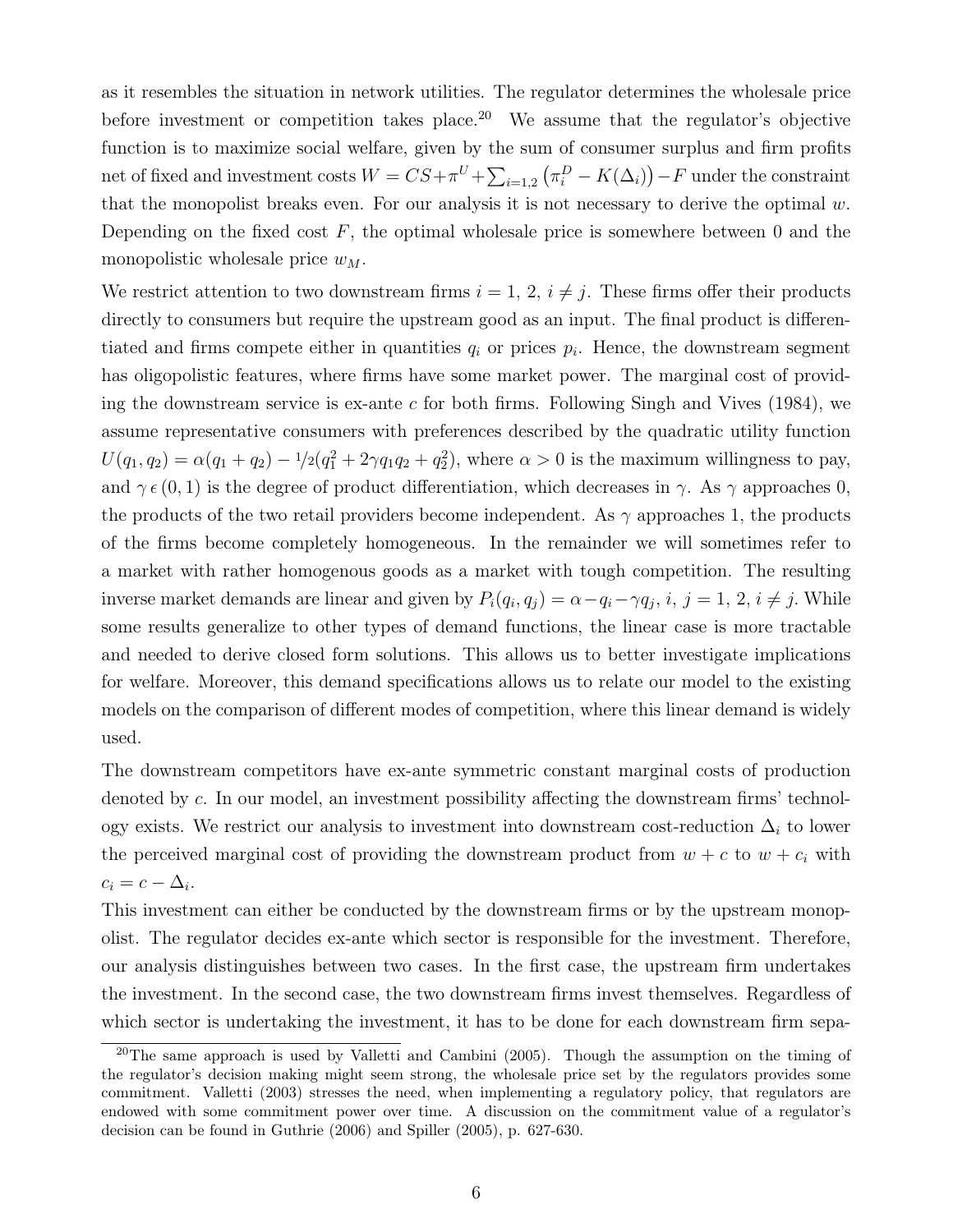as it resembles the situation in network utilities. The regulator determines the wholesale price before investment or competition takes place.<sup>20</sup> We assume that the regulator's objective function is to maximize social welfare, given by the sum of consumer surplus and firm profits net of fixed and investment costs  $W = CS + \pi^U + \sum_{i=1,2} (\pi_i^D - K(\Delta_i)) - F$  under the constraint that the monopolist breaks even. For our analysis it is not necessary to derive the optimal  $w$ . Depending on the fixed cost  $F$ , the optimal wholesale price is somewhere between 0 and the monopolistic wholesale price  $w_M$ .

We restrict attention to two downstream firms  $i = 1, 2, i \neq j$ . These firms offer their products directly to consumers but require the upstream good as an input. The final product is differentiated and firms compete either in quantities  $q_i$  or prices  $p_i$ . Hence, the downstream segment has oligopolistic features, where firms have some market power. The marginal cost of providing the downstream service is ex-ante c for both firms. Following Singh and Vives  $(1984)$ , we assume representative consumers with preferences described by the quadratic utility function  $U(q_1, q_2) = \alpha(q_1 + q_2) - \frac{1}{2}(q_1^2 + 2\gamma q_1 q_2 + q_2^2)$ , where  $\alpha > 0$  is the maximum willingness to pay, and  $\gamma \in (0, 1)$  is the degree of product differentiation, which decreases in  $\gamma$ . As  $\gamma$  approaches 0, the products of the two retail providers become independent. As  $\gamma$  approaches 1, the products of the firms become completely homogeneous. In the remainder we will sometimes refer to a market with rather homogenous goods as a market with tough competition. The resulting inverse market demands are linear and given by  $P_i(q_i, q_j) = \alpha - q_i - \gamma q_j$ ,  $i, j = 1, 2, i \neq j$ . While some results generalize to other types of demand functions, the linear case is more tractable and needed to derive closed form solutions. This allows us to better investigate implications for welfare. Moreover, this demand specifications allows us to relate our model to the existing models on the comparison of different modes of competition, where this linear demand is widely used.

The downstream competitors have ex-ante symmetric constant marginal costs of production denoted by c. In our model, an investment possibility affecting the downstream firms' technology exists. We restrict our analysis to investment into downstream cost-reduction  $\Delta_i$  to lower the perceived marginal cost of providing the downstream product from  $w + c$  to  $w + c_i$  with  $c_i = c - \Delta_i.$ 

This investment can either be conducted by the downstream firms or by the upstream monopolist. The regulator decides ex-ante which sector is responsible for the investment. Therefore, our analysis distinguishes between two cases. In the first case, the upstream firm undertakes the investment. In the second case, the two downstream firms invest themselves. Regardless of which sector is undertaking the investment, it has to be done for each downstream firm sepa-

<sup>20</sup>The same approach is used by Valletti and Cambini (2005). Though the assumption on the timing of the regulator's decision making might seem strong, the wholesale price set by the regulators provides some commitment. Valletti (2003) stresses the need, when implementing a regulatory policy, that regulators are endowed with some commitment power over time. A discussion on the commitment value of a regulator's decision can be found in Guthrie (2006) and Spiller (2005), p. 627-630.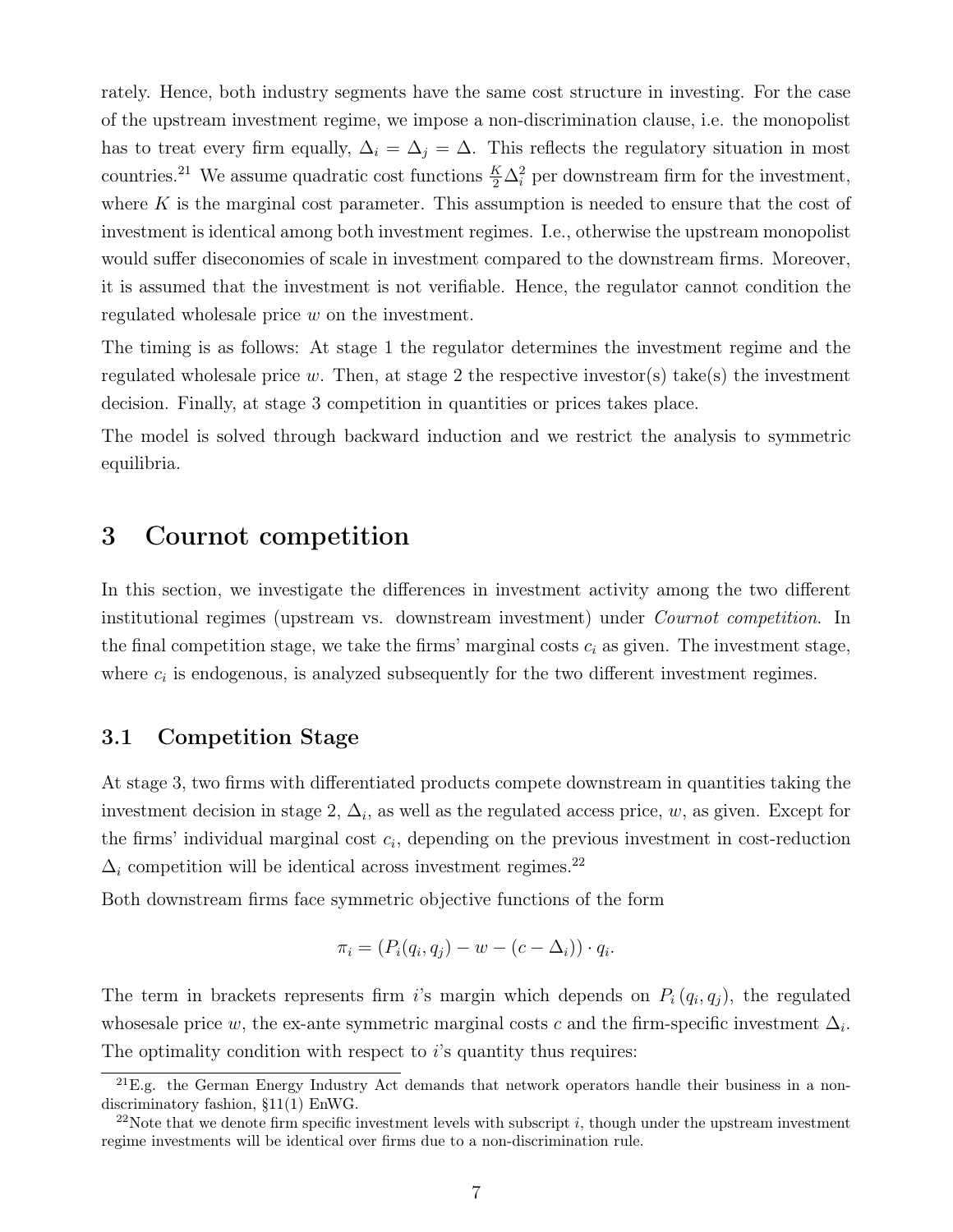rately. Hence, both industry segments have the same cost structure in investing. For the case of the upstream investment regime, we impose a non-discrimination clause, i.e. the monopolist has to treat every firm equally,  $\Delta_i = \Delta_j = \Delta$ . This reflects the regulatory situation in most countries.<sup>21</sup> We assume quadratic cost functions  $\frac{K}{2}\Delta_i^2$  per downstream firm for the investment, where  $K$  is the marginal cost parameter. This assumption is needed to ensure that the cost of investment is identical among both investment regimes. I.e., otherwise the upstream monopolist would suffer diseconomies of scale in investment compared to the downstream firms. Moreover, it is assumed that the investment is not verifiable. Hence, the regulator cannot condition the regulated wholesale price  $w$  on the investment.

The timing is as follows: At stage 1 the regulator determines the investment regime and the regulated wholesale price w. Then, at stage 2 the respective investor(s) take(s) the investment decision. Finally, at stage 3 competition in quantities or prices takes place.

The model is solved through backward induction and we restrict the analysis to symmetric equilibria.

# 3 Cournot competition

In this section, we investigate the differences in investment activity among the two different institutional regimes (upstream vs. downstream investment) under *Cournot competition*. In the final competition stage, we take the firms' marginal costs  $c_i$  as given. The investment stage, where  $c_i$  is endogenous, is analyzed subsequently for the two different investment regimes.

# 3.1 Competition Stage

At stage 3, two firms with differentiated products compete downstream in quantities taking the investment decision in stage 2,  $\Delta_i$ , as well as the regulated access price, w, as given. Except for the firms' individual marginal cost  $c_i$ , depending on the previous investment in cost-reduction  $\Delta_i$  competition will be identical across investment regimes.<sup>22</sup>

Both downstream firms face symmetric objective functions of the form

$$
\pi_i = (P_i(q_i, q_j) - w - (c - \Delta_i)) \cdot q_i.
$$

The term in brackets represents firm i's margin which depends on  $P_i(q_i, q_j)$ , the regulated whoses all price w, the ex-ante symmetric marginal costs c and the firm-specific investment  $\Delta_i$ . The optimality condition with respect to  $i$ 's quantity thus requires:

 $21E.g.$  the German Energy Industry Act demands that network operators handle their business in a nondiscriminatory fashion, §11(1) EnWG.

 $^{22}$ Note that we denote firm specific investment levels with subscript i, though under the upstream investment regime investments will be identical over firms due to a non-discrimination rule.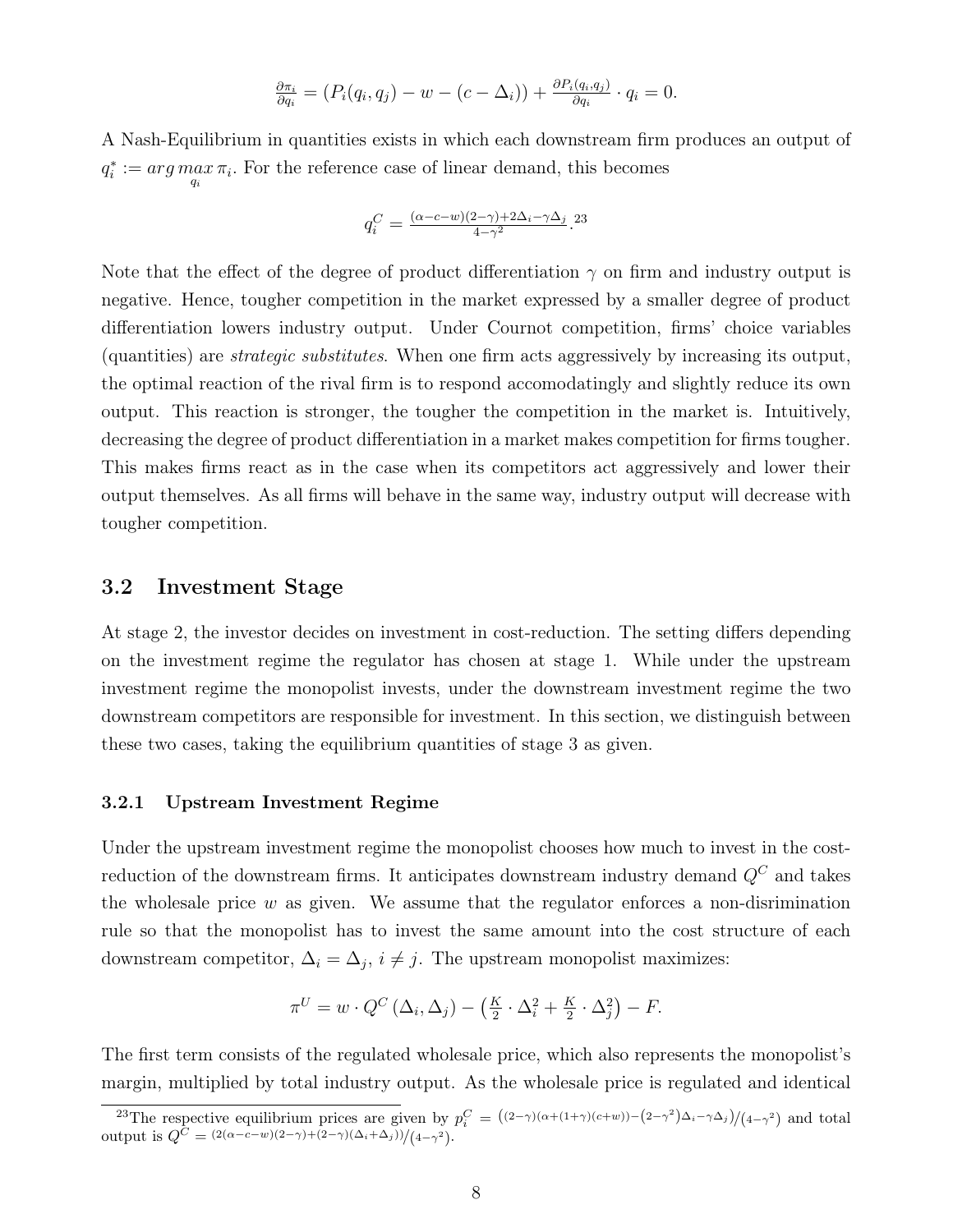$$
\frac{\partial \pi_i}{\partial q_i} = (P_i(q_i, q_j) - w - (c - \Delta_i)) + \frac{\partial P_i(q_i, q_j)}{\partial q_i} \cdot q_i = 0.
$$

A Nash-Equilibrium in quantities exists in which each downstream firm produces an output of  $q_i^* := \arg \max_{q_i} \pi_i$ . For the reference case of linear demand, this becomes

$$
q_i^C = \frac{(\alpha - c - w)(2 - \gamma) + 2\Delta_i - \gamma\Delta_j}{4 - \gamma^2}.
$$

Note that the effect of the degree of product differentiation  $\gamma$  on firm and industry output is negative. Hence, tougher competition in the market expressed by a smaller degree of product differentiation lowers industry output. Under Cournot competition, firms' choice variables (quantities) are strategic substitutes. When one firm acts aggressively by increasing its output, the optimal reaction of the rival firm is to respond accomodatingly and slightly reduce its own output. This reaction is stronger, the tougher the competition in the market is. Intuitively, decreasing the degree of product differentiation in a market makes competition for firms tougher. This makes firms react as in the case when its competitors act aggressively and lower their output themselves. As all firms will behave in the same way, industry output will decrease with tougher competition.

## 3.2 Investment Stage

At stage 2, the investor decides on investment in cost-reduction. The setting differs depending on the investment regime the regulator has chosen at stage 1. While under the upstream investment regime the monopolist invests, under the downstream investment regime the two downstream competitors are responsible for investment. In this section, we distinguish between these two cases, taking the equilibrium quantities of stage 3 as given.

### 3.2.1 Upstream Investment Regime

Under the upstream investment regime the monopolist chooses how much to invest in the costreduction of the downstream firms. It anticipates downstream industry demand  $Q^C$  and takes the wholesale price w as given. We assume that the regulator enforces a non-disrimination rule so that the monopolist has to invest the same amount into the cost structure of each downstream competitor,  $\Delta_i = \Delta_j$ ,  $i \neq j$ . The upstream monopolist maximizes:

$$
\pi^{U} = w \cdot Q^{C} (\Delta_{i}, \Delta_{j}) - (\frac{K}{2} \cdot \Delta_{i}^{2} + \frac{K}{2} \cdot \Delta_{j}^{2}) - F.
$$

The first term consists of the regulated wholesale price, which also represents the monopolist's margin, multiplied by total industry output. As the wholesale price is regulated and identical

<sup>&</sup>lt;sup>23</sup>The respective equilibrium prices are given by  $p_i^C = ((2-\gamma)(\alpha+(1+\gamma)(c+w))-(2-\gamma^2)\Delta_i-\gamma\Delta_j)/(4-\gamma^2)$  and total output is  $Q^C = \frac{2(\alpha - c - w)(2 - \gamma) + (2 - \gamma)(\Delta_i + \Delta_j)}{(4 - \gamma^2)}$ .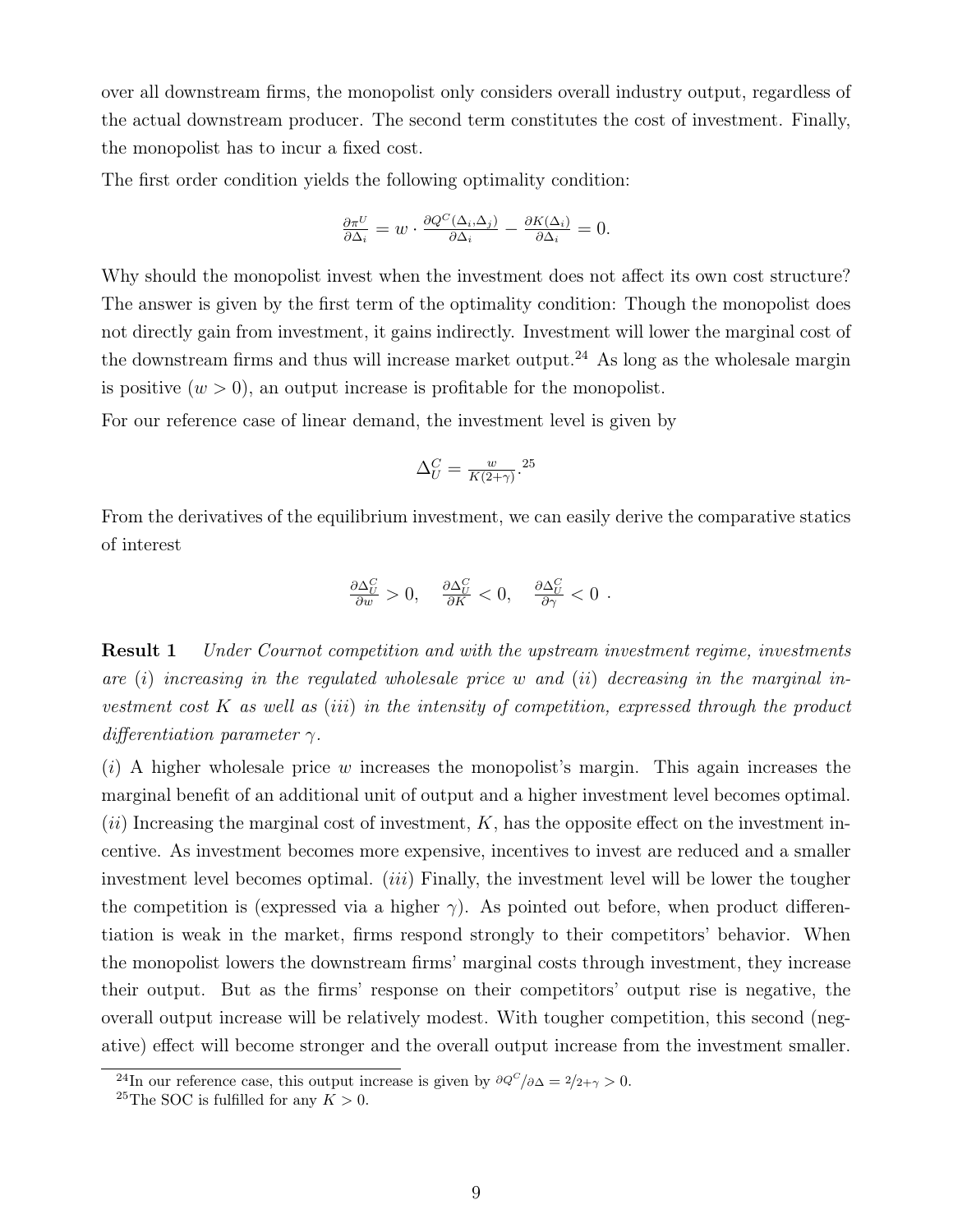over all downstream firms, the monopolist only considers overall industry output, regardless of the actual downstream producer. The second term constitutes the cost of investment. Finally, the monopolist has to incur a fixed cost.

The first order condition yields the following optimality condition:

$$
\frac{\partial \pi^{U}}{\partial \Delta_{i}} = w \cdot \frac{\partial Q^{C}(\Delta_{i}, \Delta_{j})}{\partial \Delta_{i}} - \frac{\partial K(\Delta_{i})}{\partial \Delta_{i}} = 0.
$$

Why should the monopolist invest when the investment does not affect its own cost structure? The answer is given by the first term of the optimality condition: Though the monopolist does not directly gain from investment, it gains indirectly. Investment will lower the marginal cost of the downstream firms and thus will increase market output.<sup>24</sup> As long as the wholesale margin is positive  $(w > 0)$ , an output increase is profitable for the monopolist.

For our reference case of linear demand, the investment level is given by

$$
\Delta_U^C = \frac{w}{K(2+\gamma)}^{25}.
$$

From the derivatives of the equilibrium investment, we can easily derive the comparative statics of interest

$$
\tfrac{\partial \Delta^C_U}{\partial w} > 0, \quad \tfrac{\partial \Delta^C_U}{\partial K} < 0, \quad \tfrac{\partial \Delta^C_U}{\partial \gamma} < 0 \ .
$$

**Result 1** Under Cournot competition and with the upstream investment regime, investments are  $(i)$  increasing in the regulated wholesale price w and  $(ii)$  decreasing in the marginal investment cost  $K$  as well as (iii) in the intensity of competition, expressed through the product differentiation parameter  $\gamma$ .

 $(i)$  A higher wholesale price w increases the monopolist's margin. This again increases the marginal benefit of an additional unit of output and a higher investment level becomes optimal.  $(ii)$  Increasing the marginal cost of investment, K, has the opposite effect on the investment incentive. As investment becomes more expensive, incentives to invest are reduced and a smaller investment level becomes optimal. *(iii)* Finally, the investment level will be lower the tougher the competition is (expressed via a higher  $\gamma$ ). As pointed out before, when product differentiation is weak in the market, firms respond strongly to their competitors' behavior. When the monopolist lowers the downstream firms' marginal costs through investment, they increase their output. But as the firms' response on their competitors' output rise is negative, the overall output increase will be relatively modest. With tougher competition, this second (negative) effect will become stronger and the overall output increase from the investment smaller.

<sup>&</sup>lt;sup>24</sup>In our reference case, this output increase is given by  $\partial Q^C/\partial \Delta = \frac{2}{2+\gamma} > 0$ .

<sup>&</sup>lt;sup>25</sup>The SOC is fulfilled for any  $K > 0$ .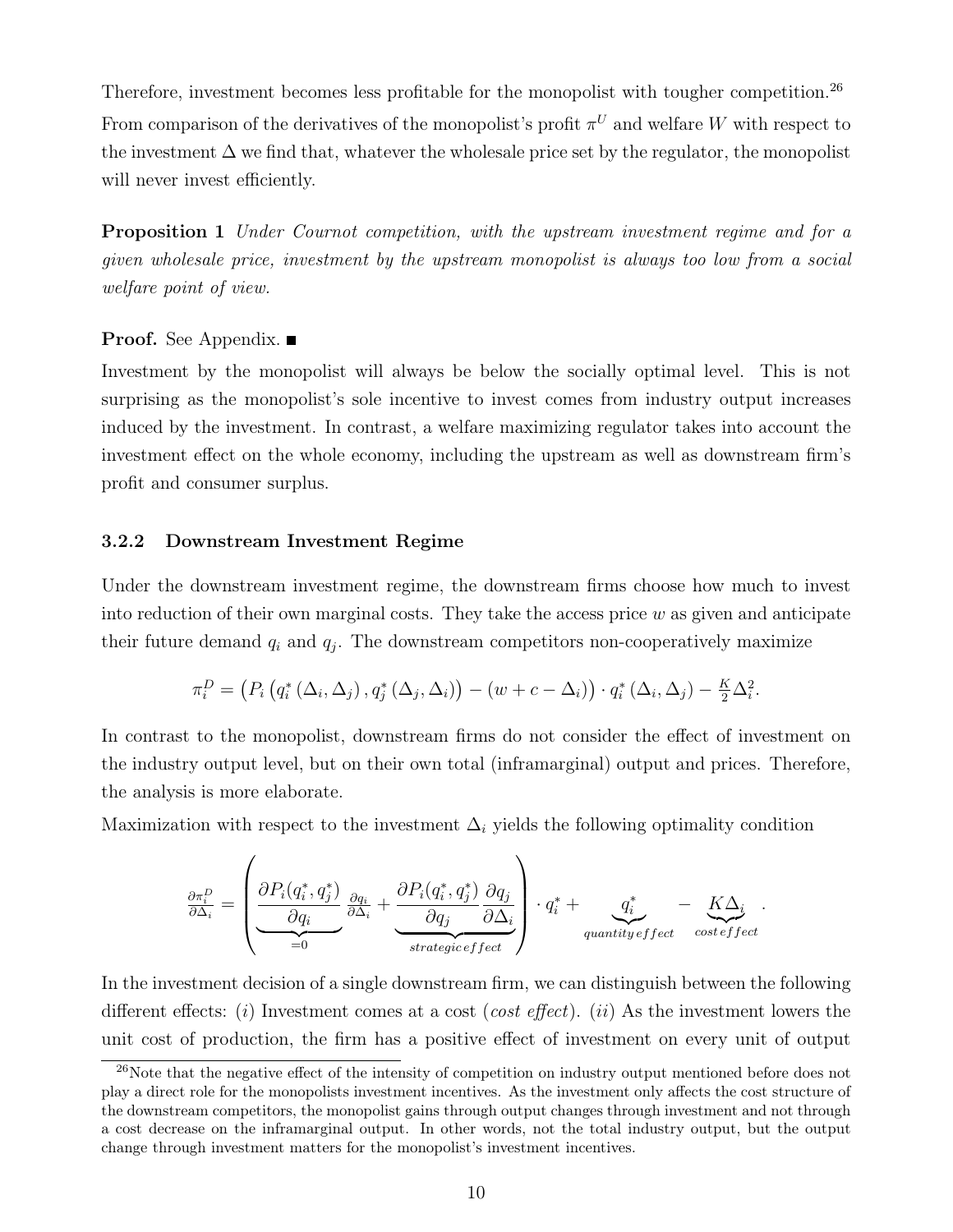Therefore, investment becomes less profitable for the monopolist with tougher competition.<sup>26</sup> From comparison of the derivatives of the monopolist's profit  $\pi^U$  and welfare W with respect to the investment  $\Delta$  we find that, whatever the wholesale price set by the regulator, the monopolist will never invest efficiently.

Proposition 1 Under Cournot competition, with the upstream investment regime and for a given wholesale price, investment by the upstream monopolist is always too low from a social welfare point of view.

### **Proof.** See Appendix.  $\blacksquare$

Investment by the monopolist will always be below the socially optimal level. This is not surprising as the monopolist's sole incentive to invest comes from industry output increases induced by the investment. In contrast, a welfare maximizing regulator takes into account the investment effect on the whole economy, including the upstream as well as downstream firm's profit and consumer surplus.

### 3.2.2 Downstream Investment Regime

Under the downstream investment regime, the downstream firms choose how much to invest into reduction of their own marginal costs. They take the access price  $w$  as given and anticipate their future demand  $q_i$  and  $q_j$ . The downstream competitors non-cooperatively maximize

$$
\pi_i^D = \left( P_i \left( q_i^* \left( \Delta_i, \Delta_j \right), q_j^* \left( \Delta_j, \Delta_i \right) \right) - \left( w + c - \Delta_i \right) \right) \cdot q_i^* \left( \Delta_i, \Delta_j \right) - \frac{K}{2} \Delta_i^2.
$$

In contrast to the monopolist, downstream firms do not consider the effect of investment on the industry output level, but on their own total (inframarginal) output and prices. Therefore, the analysis is more elaborate.

Maximization with respect to the investment  $\Delta_i$  yields the following optimality condition

$$
\frac{\partial \pi_i^D}{\partial \Delta_i} = \left( \underbrace{\frac{\partial P_i(q_i^*, q_j^*)}{\partial q_i}}_{=0} \underbrace{\frac{\partial q_i}{\partial \Delta_i}}_{=0} + \underbrace{\frac{\partial P_i(q_i^*, q_j^*)}{\partial q_j} \frac{\partial q_j}{\partial \Delta_i}}_{strategies effect} \right) \cdot q_i^* + \underbrace{q_i^*}_{quantity effect} - \underbrace{K \Delta_i}_{cost effect}.
$$

In the investment decision of a single downstream firm, we can distinguish between the following different effects: (i) Investment comes at a cost (*cost effect*). (ii) As the investment lowers the unit cost of production, the firm has a positive effect of investment on every unit of output

<sup>&</sup>lt;sup>26</sup>Note that the negative effect of the intensity of competition on industry output mentioned before does not play a direct role for the monopolists investment incentives. As the investment only affects the cost structure of the downstream competitors, the monopolist gains through output changes through investment and not through a cost decrease on the inframarginal output. In other words, not the total industry output, but the output change through investment matters for the monopolist's investment incentives.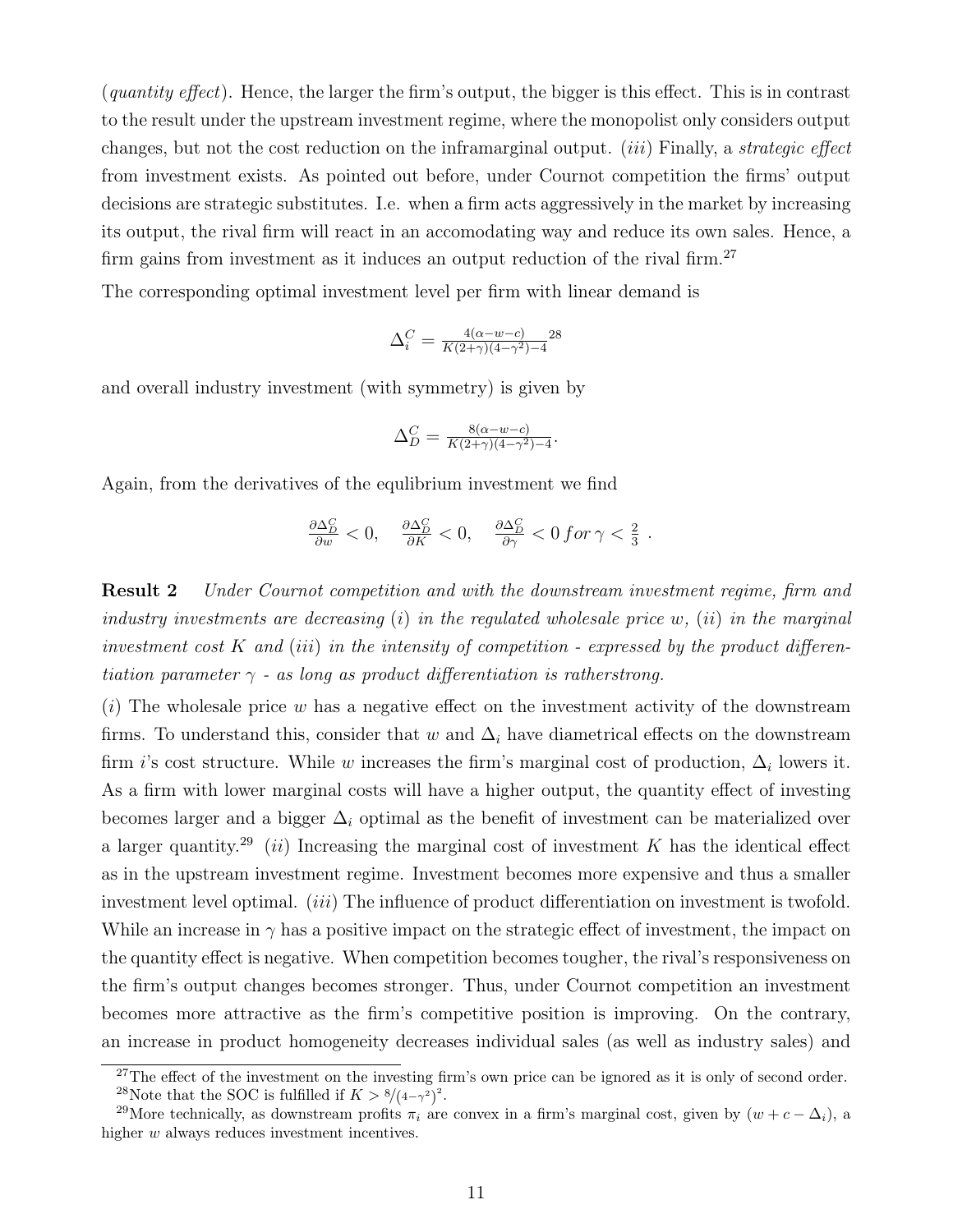(quantity effect). Hence, the larger the firm's output, the bigger is this effect. This is in contrast to the result under the upstream investment regime, where the monopolist only considers output changes, but not the cost reduction on the inframarginal output. *(iii)* Finally, a *strategic effect* from investment exists. As pointed out before, under Cournot competition the firms' output decisions are strategic substitutes. I.e. when a firm acts aggressively in the market by increasing its output, the rival firm will react in an accomodating way and reduce its own sales. Hence, a firm gains from investment as it induces an output reduction of the rival firm.<sup>27</sup>

The corresponding optimal investment level per firm with linear demand is

$$
\Delta_i^C = \frac{4(\alpha - w - c)}{K(2 + \gamma)(4 - \gamma^2) - 4} 28
$$

and overall industry investment (with symmetry) is given by

$$
\Delta_D^C = \frac{8(\alpha - w - c)}{K(2 + \gamma)(4 - \gamma^2) - 4}.
$$

Again, from the derivatives of the equlibrium investment we find

$$
\tfrac{\partial \Delta_D^C}{\partial w}<0, \quad \tfrac{\partial \Delta_D^C}{\partial K}<0, \quad \tfrac{\partial \Delta_D^C}{\partial \gamma}<0 \, for \, \gamma<\tfrac{2}{3} \ .
$$

**Result 2** Under Cournot competition and with the downstream investment regime, firm and industry investments are decreasing  $(i)$  in the regulated wholesale price w,  $(ii)$  in the marginal investment cost K and (iii) in the intensity of competition - expressed by the product differentiation parameter  $\gamma$  - as long as product differentiation is ratherstrong.

 $(i)$  The wholesale price w has a negative effect on the investment activity of the downstream firms. To understand this, consider that w and  $\Delta_i$  have diametrical effects on the downstream firm i's cost structure. While w increases the firm's marginal cost of production,  $\Delta_i$  lowers it. As a firm with lower marginal costs will have a higher output, the quantity effect of investing becomes larger and a bigger  $\Delta_i$  optimal as the benefit of investment can be materialized over a larger quantity.<sup>29</sup> (ii) Increasing the marginal cost of investment K has the identical effect as in the upstream investment regime. Investment becomes more expensive and thus a smaller investment level optimal.  $(iii)$  The influence of product differentiation on investment is twofold. While an increase in  $\gamma$  has a positive impact on the strategic effect of investment, the impact on the quantity effect is negative. When competition becomes tougher, the rival's responsiveness on the firm's output changes becomes stronger. Thus, under Cournot competition an investment becomes more attractive as the firm's competitive position is improving. On the contrary, an increase in product homogeneity decreases individual sales (as well as industry sales) and

<sup>&</sup>lt;sup>27</sup>The effect of the investment on the investing firm's own price can be ignored as it is only of second order. <sup>28</sup>Note that the SOC is fulfilled if  $K > \frac{8}{4-\gamma^2}$ .

<sup>&</sup>lt;sup>29</sup>More technically, as downstream profits  $\pi_i$  are convex in a firm's marginal cost, given by  $(w + c - \Delta_i)$ , a higher w always reduces investment incentives.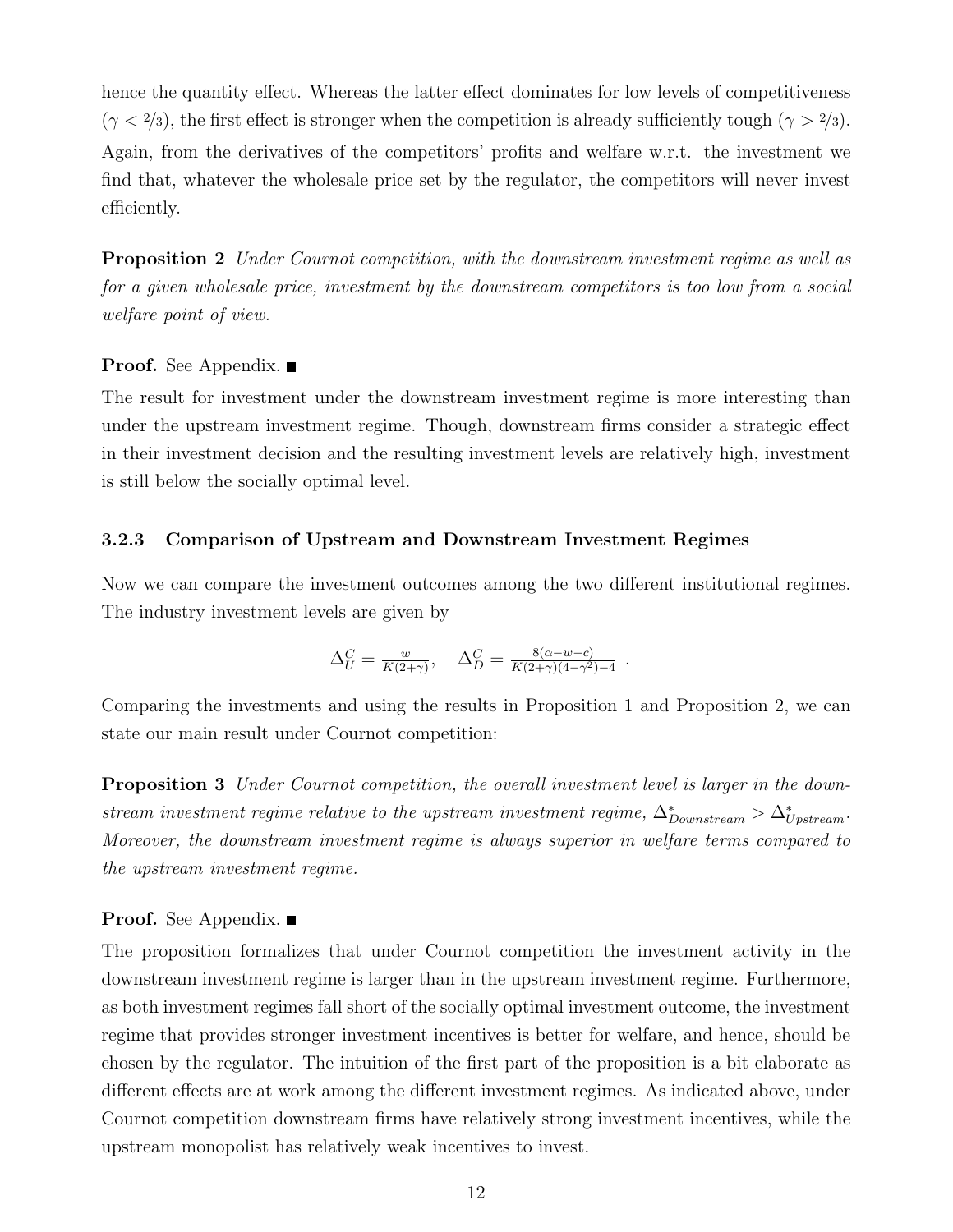hence the quantity effect. Whereas the latter effect dominates for low levels of competitiveness  $(\gamma < 2/3)$ , the first effect is stronger when the competition is already sufficiently tough  $(\gamma > 2/3)$ . Again, from the derivatives of the competitors' profits and welfare w.r.t. the investment we find that, whatever the wholesale price set by the regulator, the competitors will never invest efficiently.

**Proposition 2** Under Cournot competition, with the downstream investment regime as well as for a given wholesale price, investment by the downstream competitors is too low from a social welfare point of view.

# Proof. See Appendix. ■

The result for investment under the downstream investment regime is more interesting than under the upstream investment regime. Though, downstream firms consider a strategic effect in their investment decision and the resulting investment levels are relatively high, investment is still below the socially optimal level.

### 3.2.3 Comparison of Upstream and Downstream Investment Regimes

Now we can compare the investment outcomes among the two different institutional regimes. The industry investment levels are given by

$$
\Delta_U^C = \frac{w}{K(2+\gamma)}, \quad \Delta_D^C = \frac{8(\alpha - w - c)}{K(2+\gamma)(4-\gamma^2)-4}.
$$

Comparing the investments and using the results in Proposition 1 and Proposition 2, we can state our main result under Cournot competition:

**Proposition 3** Under Cournot competition, the overall investment level is larger in the downstream investment regime relative to the upstream investment regime,  $\Delta_{Downstream}^* > \Delta_{Upstream}^*$ . Moreover, the downstream investment regime is always superior in welfare terms compared to the upstream investment regime.

### **Proof.** See Appendix.  $\blacksquare$

The proposition formalizes that under Cournot competition the investment activity in the downstream investment regime is larger than in the upstream investment regime. Furthermore, as both investment regimes fall short of the socially optimal investment outcome, the investment regime that provides stronger investment incentives is better for welfare, and hence, should be chosen by the regulator. The intuition of the first part of the proposition is a bit elaborate as different effects are at work among the different investment regimes. As indicated above, under Cournot competition downstream firms have relatively strong investment incentives, while the upstream monopolist has relatively weak incentives to invest.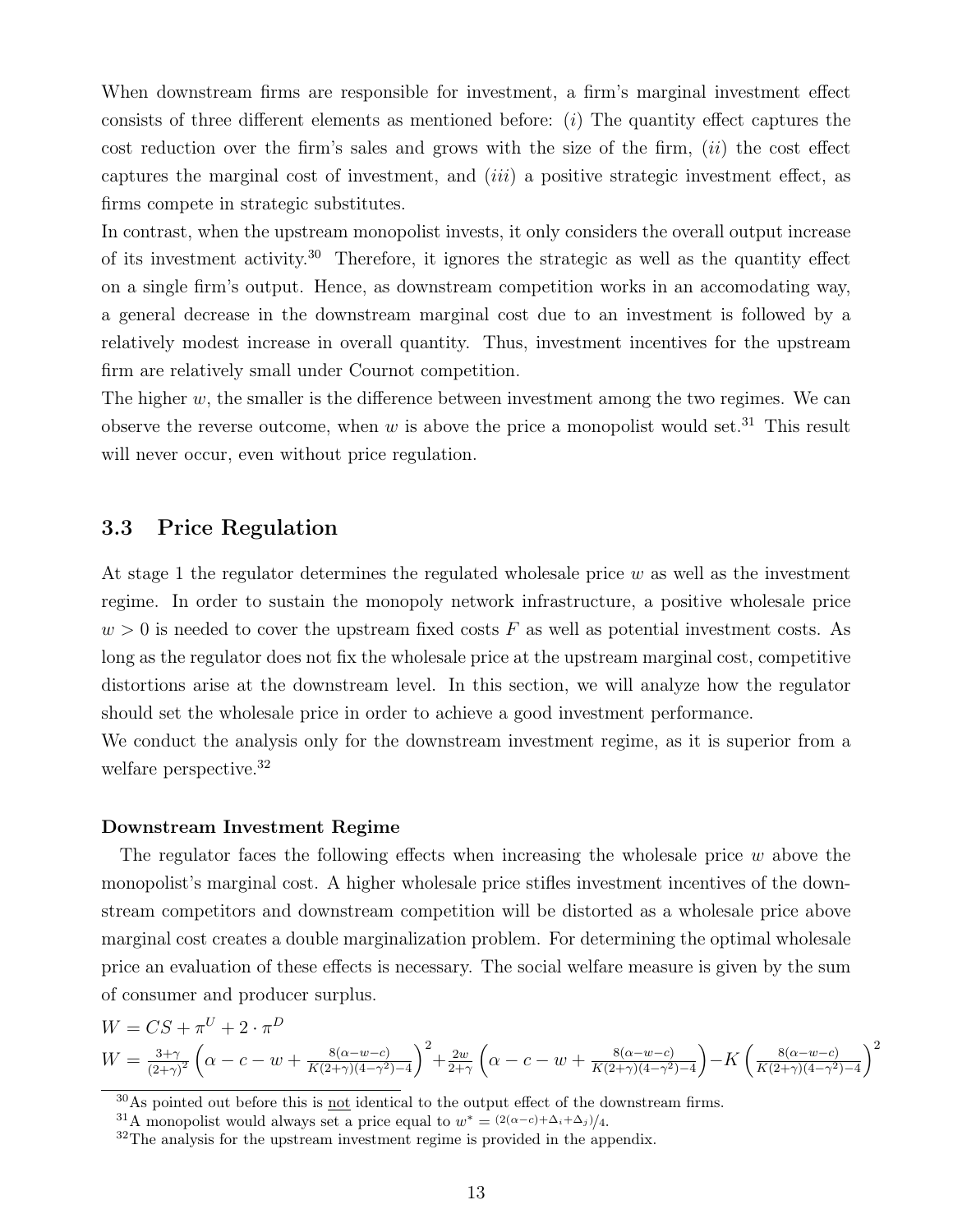When downstream firms are responsible for investment, a firm's marginal investment effect consists of three different elements as mentioned before:  $(i)$  The quantity effect captures the cost reduction over the firm's sales and grows with the size of the firm,  $(ii)$  the cost effect captures the marginal cost of investment, and *(iii)* a positive strategic investment effect, as firms compete in strategic substitutes.

In contrast, when the upstream monopolist invests, it only considers the overall output increase of its investment activity.<sup>30</sup> Therefore, it ignores the strategic as well as the quantity effect on a single firm's output. Hence, as downstream competition works in an accomodating way, a general decrease in the downstream marginal cost due to an investment is followed by a relatively modest increase in overall quantity. Thus, investment incentives for the upstream firm are relatively small under Cournot competition.

The higher  $w$ , the smaller is the difference between investment among the two regimes. We can observe the reverse outcome, when w is above the price a monopolist would set.<sup>31</sup> This result will never occur, even without price regulation.

# 3.3 Price Regulation

At stage 1 the regulator determines the regulated wholesale price  $w$  as well as the investment regime. In order to sustain the monopoly network infrastructure, a positive wholesale price  $w > 0$  is needed to cover the upstream fixed costs F as well as potential investment costs. As long as the regulator does not fix the wholesale price at the upstream marginal cost, competitive distortions arise at the downstream level. In this section, we will analyze how the regulator should set the wholesale price in order to achieve a good investment performance.

We conduct the analysis only for the downstream investment regime, as it is superior from a welfare perspective.<sup>32</sup>

### Downstream Investment Regime

The regulator faces the following effects when increasing the wholesale price  $w$  above the monopolist's marginal cost. A higher wholesale price stifles investment incentives of the downstream competitors and downstream competition will be distorted as a wholesale price above marginal cost creates a double marginalization problem. For determining the optimal wholesale price an evaluation of these effects is necessary. The social welfare measure is given by the sum of consumer and producer surplus.

$$
W = CS + \pi^{U} + 2 \cdot \pi^{D}
$$
  
\n
$$
W = \frac{3+\gamma}{(2+\gamma)^{2}} \left( \alpha - c - w + \frac{8(\alpha - w - c)}{K(2+\gamma)(4-\gamma^{2})-4} \right)^{2} + \frac{2w}{2+\gamma} \left( \alpha - c - w + \frac{8(\alpha - w - c)}{K(2+\gamma)(4-\gamma^{2})-4} \right) - K \left( \frac{8(\alpha - w - c)}{K(2+\gamma)(4-\gamma^{2})-4} \right)^{2}
$$

<sup>30</sup>As pointed out before this is not identical to the output effect of the downstream firms.

<sup>&</sup>lt;sup>31</sup>A monopolist would always set a price equal to  $w^* = \frac{2(\alpha - c) + \Delta_i + \Delta_j}{4}$ .

<sup>&</sup>lt;sup>32</sup>The analysis for the upstream investment regime is provided in the appendix.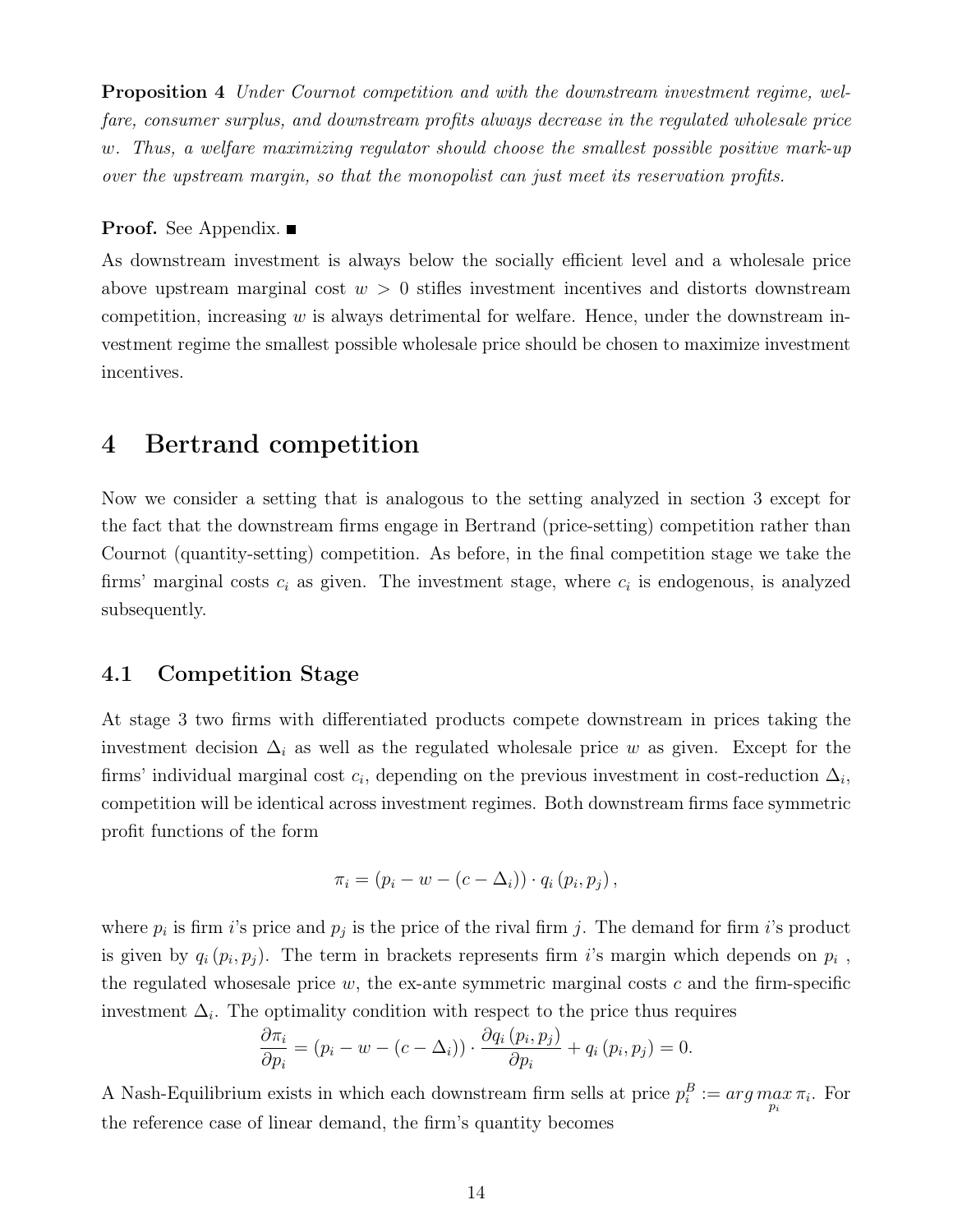Proposition 4 Under Cournot competition and with the downstream investment regime, welfare, consumer surplus, and downstream profits always decrease in the regulated wholesale price w. Thus, a welfare maximizing regulator should choose the smallest possible positive mark-up over the upstream margin, so that the monopolist can just meet its reservation profits.

### **Proof.** See Appendix.  $\blacksquare$

As downstream investment is always below the socially efficient level and a wholesale price above upstream marginal cost  $w > 0$  stifles investment incentives and distorts downstream competition, increasing  $w$  is always detrimental for welfare. Hence, under the downstream investment regime the smallest possible wholesale price should be chosen to maximize investment incentives.

# 4 Bertrand competition

Now we consider a setting that is analogous to the setting analyzed in section 3 except for the fact that the downstream firms engage in Bertrand (price-setting) competition rather than Cournot (quantity-setting) competition. As before, in the final competition stage we take the firms' marginal costs  $c_i$  as given. The investment stage, where  $c_i$  is endogenous, is analyzed subsequently.

# 4.1 Competition Stage

At stage 3 two firms with differentiated products compete downstream in prices taking the investment decision  $\Delta_i$  as well as the regulated wholesale price w as given. Except for the firms' individual marginal cost  $c_i$ , depending on the previous investment in cost-reduction  $\Delta_i$ , competition will be identical across investment regimes. Both downstream firms face symmetric profit functions of the form

$$
\pi_i = (p_i - w - (c - \Delta_i)) \cdot q_i (p_i, p_j),
$$

where  $p_i$  is firm i's price and  $p_j$  is the price of the rival firm j. The demand for firm i's product is given by  $q_i(p_i, p_j)$ . The term in brackets represents firm i's margin which depends on  $p_i$ , the regulated whoses all price w, the ex-ante symmetric marginal costs  $c$  and the firm-specific investment  $\Delta_i$ . The optimality condition with respect to the price thus requires

$$
\frac{\partial \pi_i}{\partial p_i} = (p_i - w - (c - \Delta_i)) \cdot \frac{\partial q_i(p_i, p_j)}{\partial p_i} + q_i(p_i, p_j) = 0.
$$

A Nash-Equilibrium exists in which each downstream firm sells at price  $p_i^B := \arg \max_{p_i} \pi_i$ . For the reference case of linear demand, the firm's quantity becomes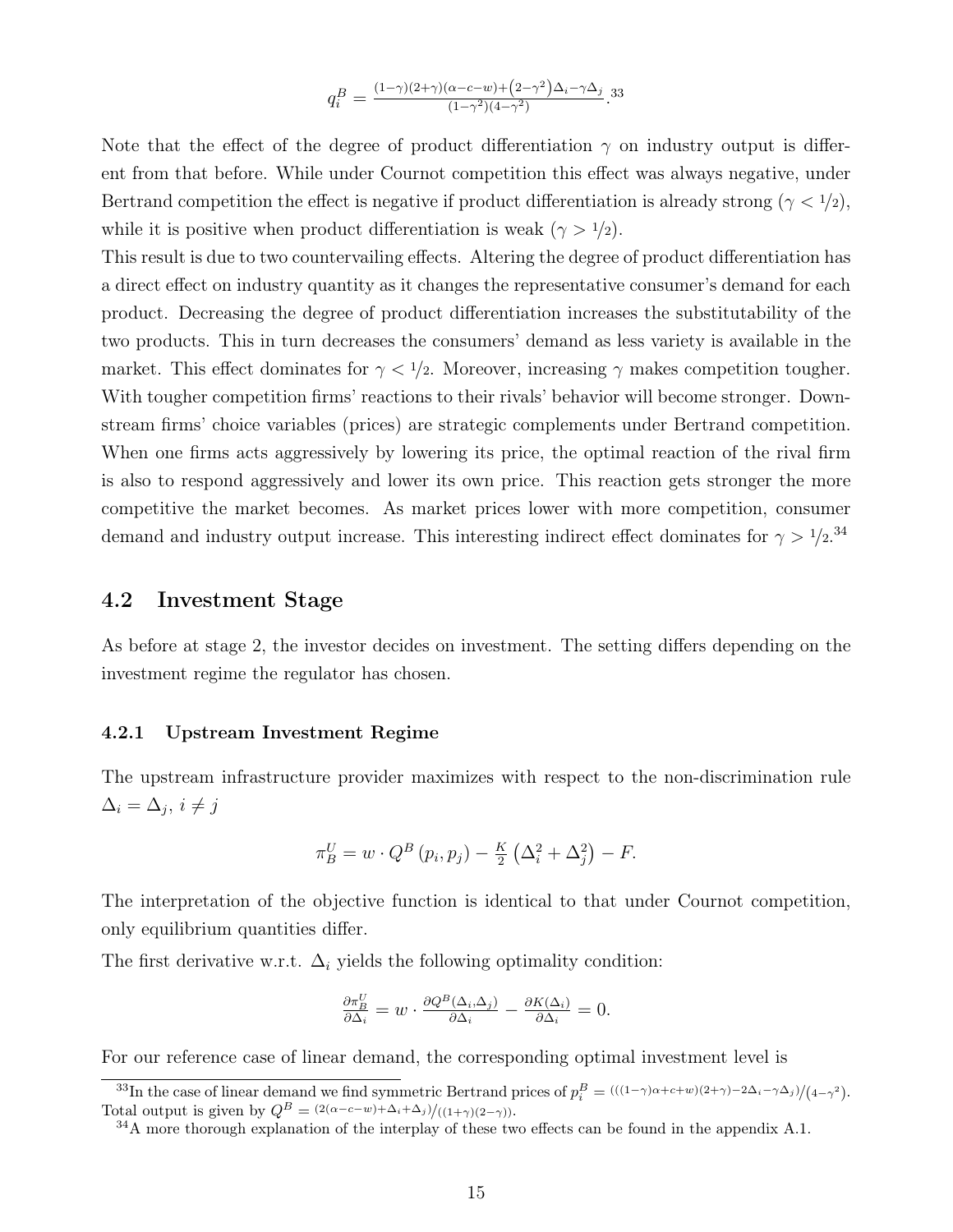$$
q_i^B = \frac{(1-\gamma)(2+\gamma)(\alpha-c-w) + (2-\gamma^2)\Delta_i - \gamma\Delta_j}{(1-\gamma^2)(4-\gamma^2)}.
$$
33

Note that the effect of the degree of product differentiation  $\gamma$  on industry output is different from that before. While under Cournot competition this effect was always negative, under Bertrand competition the effect is negative if product differentiation is already strong ( $\gamma < 1/2$ ), while it is positive when product differentiation is weak  $(\gamma > 1/2)$ .

This result is due to two countervailing effects. Altering the degree of product differentiation has a direct effect on industry quantity as it changes the representative consumer's demand for each product. Decreasing the degree of product differentiation increases the substitutability of the two products. This in turn decreases the consumers' demand as less variety is available in the market. This effect dominates for  $\gamma < 1/2$ . Moreover, increasing  $\gamma$  makes competition tougher. With tougher competition firms' reactions to their rivals' behavior will become stronger. Downstream firms' choice variables (prices) are strategic complements under Bertrand competition. When one firms acts aggressively by lowering its price, the optimal reaction of the rival firm is also to respond aggressively and lower its own price. This reaction gets stronger the more competitive the market becomes. As market prices lower with more competition, consumer demand and industry output increase. This interesting indirect effect dominates for  $\gamma > 1/2$ .<sup>34</sup>

# 4.2 Investment Stage

As before at stage 2, the investor decides on investment. The setting differs depending on the investment regime the regulator has chosen.

### 4.2.1 Upstream Investment Regime

The upstream infrastructure provider maximizes with respect to the non-discrimination rule  $\Delta_i = \Delta_j, i \neq j$ 

$$
\pi_B^U = w \cdot Q^B(p_i, p_j) - \frac{K}{2} \left(\Delta_i^2 + \Delta_j^2\right) - F.
$$

The interpretation of the objective function is identical to that under Cournot competition, only equilibrium quantities differ.

The first derivative w.r.t.  $\Delta_i$  yields the following optimality condition:

$$
\frac{\partial \pi_B^U}{\partial \Delta_i} = w \cdot \frac{\partial Q^B(\Delta_i, \Delta_j)}{\partial \Delta_i} - \frac{\partial K(\Delta_i)}{\partial \Delta_i} = 0.
$$

For our reference case of linear demand, the corresponding optimal investment level is

<sup>&</sup>lt;sup>33</sup>In the case of linear demand we find symmetric Bertrand prices of  $p_i^B = (((1-\gamma)\alpha + c + w)(2+\gamma) - 2\Delta_i - \gamma\Delta_j) / (4-\gamma^2)$ . Total output is given by  $Q^B = (2(\alpha - c - w) + \Delta_i + \Delta_j)$ 

 $^{34}$ A more thorough explanation of the interplay of these two effects can be found in the appendix A.1.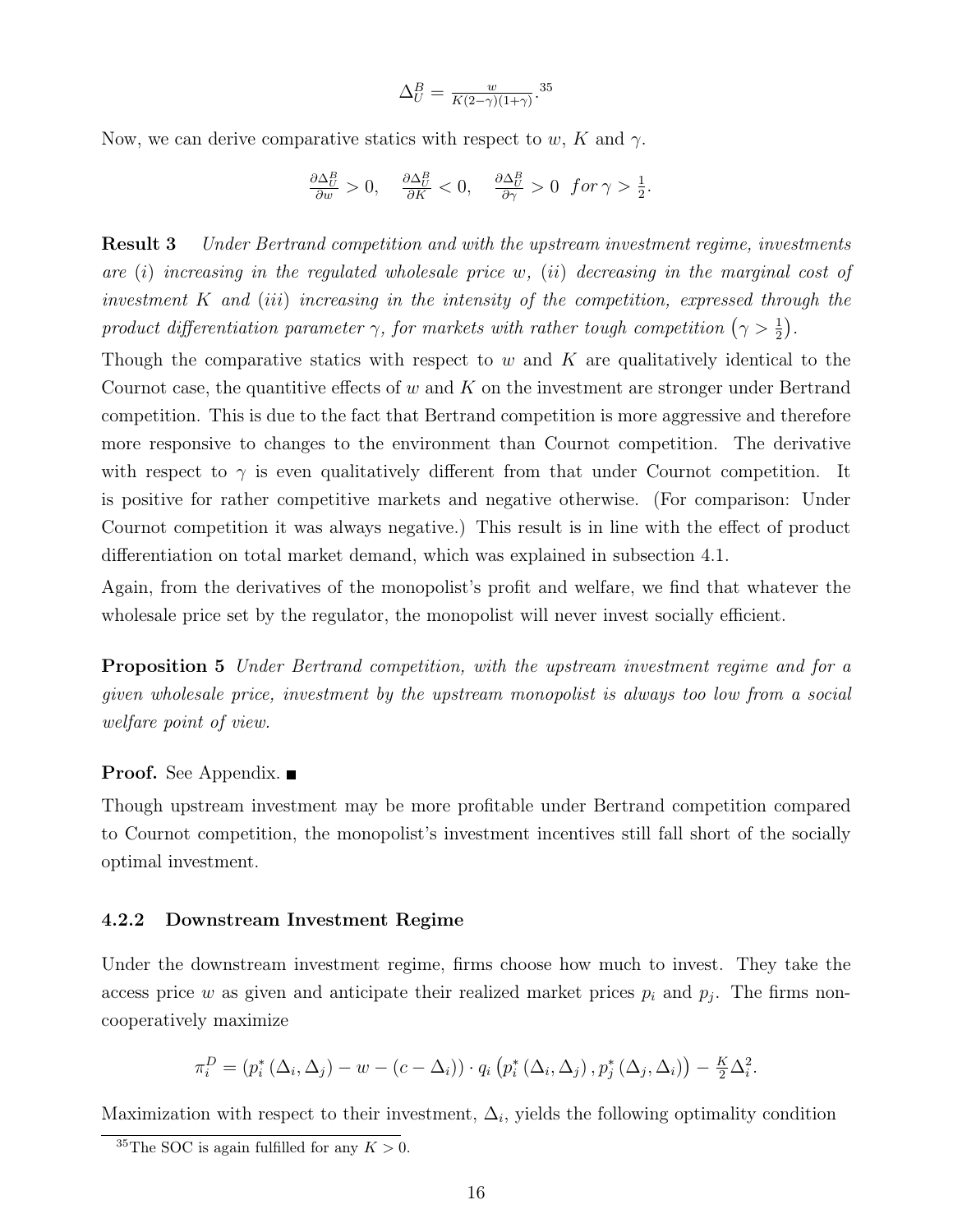$$
\Delta_U^B = \frac{w}{K(2-\gamma)(1+\gamma)} \cdot {}^{35}
$$

Now, we can derive comparative statics with respect to w, K and  $\gamma$ .

$$
\frac{\partial \Delta_U^B}{\partial w} > 0, \quad \frac{\partial \Delta_U^B}{\partial K} < 0, \quad \frac{\partial \Delta_U^B}{\partial \gamma} > 0 \quad \text{for } \gamma > \frac{1}{2}.
$$

**Result 3** Under Bertrand competition and with the upstream investment regime, investments are  $(i)$  increasing in the regulated wholesale price w,  $(ii)$  decreasing in the marginal cost of investment K and (iii) increasing in the intensity of the competition, expressed through the product differentiation parameter  $\gamma$ , for markets with rather tough competition  $(\gamma > \frac{1}{2})$ .

Though the comparative statics with respect to w and  $K$  are qualitatively identical to the Cournot case, the quantitive effects of w and K on the investment are stronger under Bertrand competition. This is due to the fact that Bertrand competition is more aggressive and therefore more responsive to changes to the environment than Cournot competition. The derivative with respect to  $\gamma$  is even qualitatively different from that under Cournot competition. It is positive for rather competitive markets and negative otherwise. (For comparison: Under Cournot competition it was always negative.) This result is in line with the effect of product differentiation on total market demand, which was explained in subsection 4.1.

Again, from the derivatives of the monopolist's profit and welfare, we find that whatever the wholesale price set by the regulator, the monopolist will never invest socially efficient.

**Proposition 5** Under Bertrand competition, with the upstream investment regime and for a given wholesale price, investment by the upstream monopolist is always too low from a social welfare point of view.

### **Proof.** See Appendix.  $\blacksquare$

Though upstream investment may be more profitable under Bertrand competition compared to Cournot competition, the monopolist's investment incentives still fall short of the socially optimal investment.

### 4.2.2 Downstream Investment Regime

Under the downstream investment regime, firms choose how much to invest. They take the access price w as given and anticipate their realized market prices  $p_i$  and  $p_j$ . The firms noncooperatively maximize

$$
\pi_i^D = (p_i^* (\Delta_i, \Delta_j) - w - (c - \Delta_i)) \cdot q_i (p_i^* (\Delta_i, \Delta_j), p_j^* (\Delta_j, \Delta_i)) - \frac{K}{2} \Delta_i^2.
$$

Maximization with respect to their investment,  $\Delta_i$ , yields the following optimality condition

<sup>&</sup>lt;sup>35</sup>The SOC is again fulfilled for any  $K > 0$ .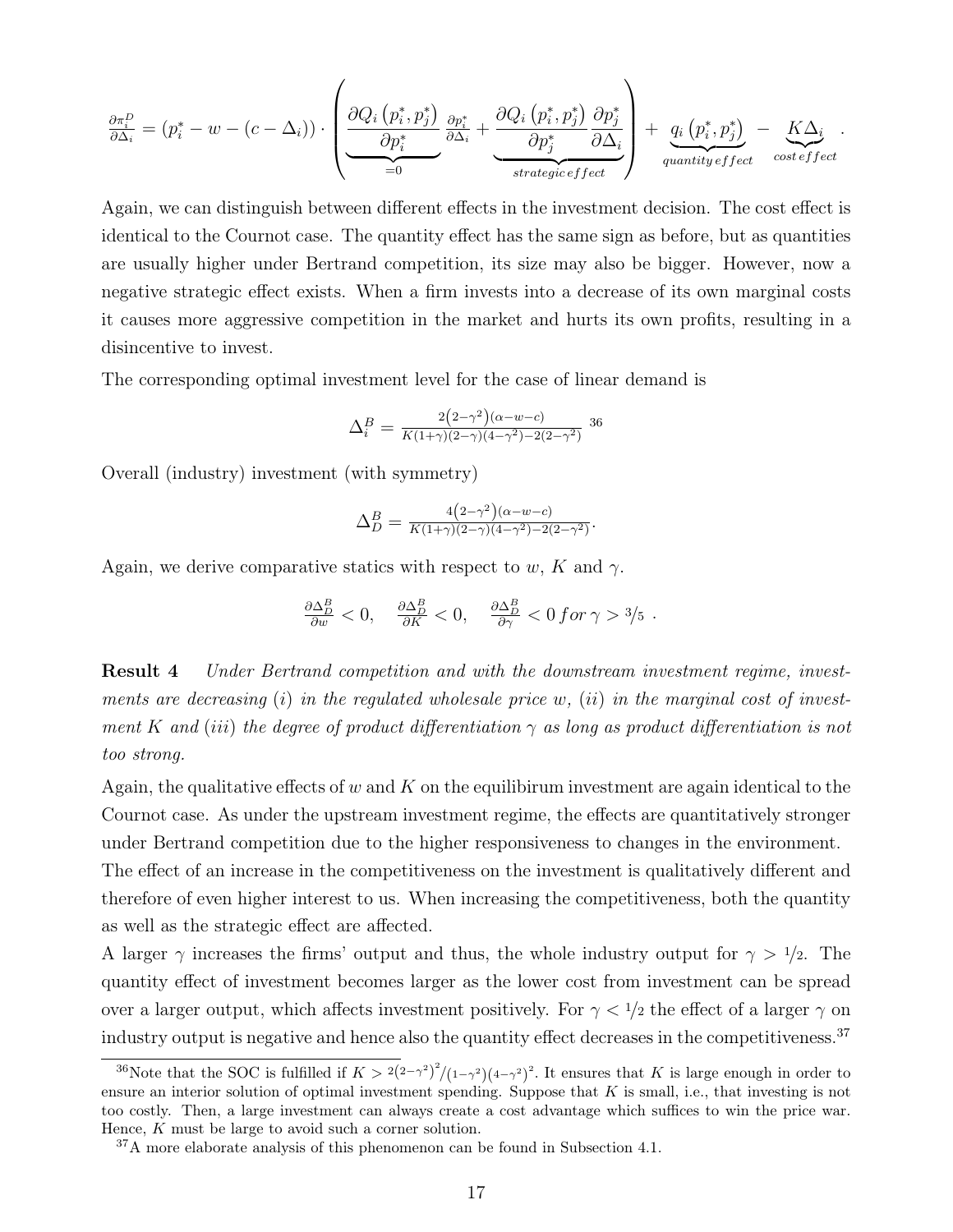$$
\frac{\partial \pi_i^D}{\partial \Delta_i} = (p_i^* - w - (c - \Delta_i)) \cdot \left( \underbrace{\frac{\partial Q_i (p_i^*, p_j^*)}{\partial p_i^*}}_{=0} \underbrace{\frac{\partial p_i^*}{\partial \Delta_i}}_{=0} + \underbrace{\frac{\partial Q_i (p_i^*, p_j^*)}{\partial p_j^*}}_{strategyic effect} \underbrace{\frac{\partial p_j^*}{\partial \Delta_i}}_{quantity effect} - \underbrace{\frac{K \Delta_i}{cost effect}}_{cost effect} \right)
$$

Again, we can distinguish between different effects in the investment decision. The cost effect is identical to the Cournot case. The quantity effect has the same sign as before, but as quantities are usually higher under Bertrand competition, its size may also be bigger. However, now a negative strategic effect exists. When a firm invests into a decrease of its own marginal costs it causes more aggressive competition in the market and hurts its own profits, resulting in a disincentive to invest.

The corresponding optimal investment level for the case of linear demand is

$$
\Delta_i^B = \frac{2(2-\gamma^2)(\alpha - w - c)}{K(1+\gamma)(2-\gamma)(4-\gamma^2) - 2(2-\gamma^2)}
$$
36

Overall (industry) investment (with symmetry)

$$
\Delta_D^B = \frac{4(2-\gamma^2)(\alpha - w - c)}{K(1+\gamma)(2-\gamma)(4-\gamma^2) - 2(2-\gamma^2)}.
$$

Again, we derive comparative statics with respect to w, K and  $\gamma$ .

$$
\tfrac{\partial \Delta_D^B}{\partial w}<0, \quad \tfrac{\partial \Delta_D^B}{\partial K}<0, \quad \tfrac{\partial \Delta_D^B}{\partial \gamma}<0 \, for \, \gamma>3/5 \, .
$$

**Result 4** Under Bertrand competition and with the downstream investment regime, investments are decreasing  $(i)$  in the regulated wholesale price w,  $(ii)$  in the marginal cost of investment K and (iii) the degree of product differentiation  $\gamma$  as long as product differentiation is not too strong.

Again, the qualitative effects of w and K on the equilibirum investment are again identical to the Cournot case. As under the upstream investment regime, the effects are quantitatively stronger under Bertrand competition due to the higher responsiveness to changes in the environment.

The effect of an increase in the competitiveness on the investment is qualitatively different and therefore of even higher interest to us. When increasing the competitiveness, both the quantity as well as the strategic effect are affected.

A larger  $\gamma$  increases the firms' output and thus, the whole industry output for  $\gamma > 1/2$ . The quantity effect of investment becomes larger as the lower cost from investment can be spread over a larger output, which affects investment positively. For  $\gamma < 1/2$  the effect of a larger  $\gamma$  on industry output is negative and hence also the quantity effect decreases in the competitiveness.<sup>37</sup>

<sup>&</sup>lt;sup>36</sup>Note that the SOC is fulfilled if  $K > 2(2-\gamma^2)^2/(1-\gamma^2)(4-\gamma^2)^2$ . It ensures that K is large enough in order to ensure an interior solution of optimal investment spending. Suppose that  $K$  is small, i.e., that investing is not too costly. Then, a large investment can always create a cost advantage which suffices to win the price war. Hence, K must be large to avoid such a corner solution.

<sup>37</sup>A more elaborate analysis of this phenomenon can be found in Subsection 4.1.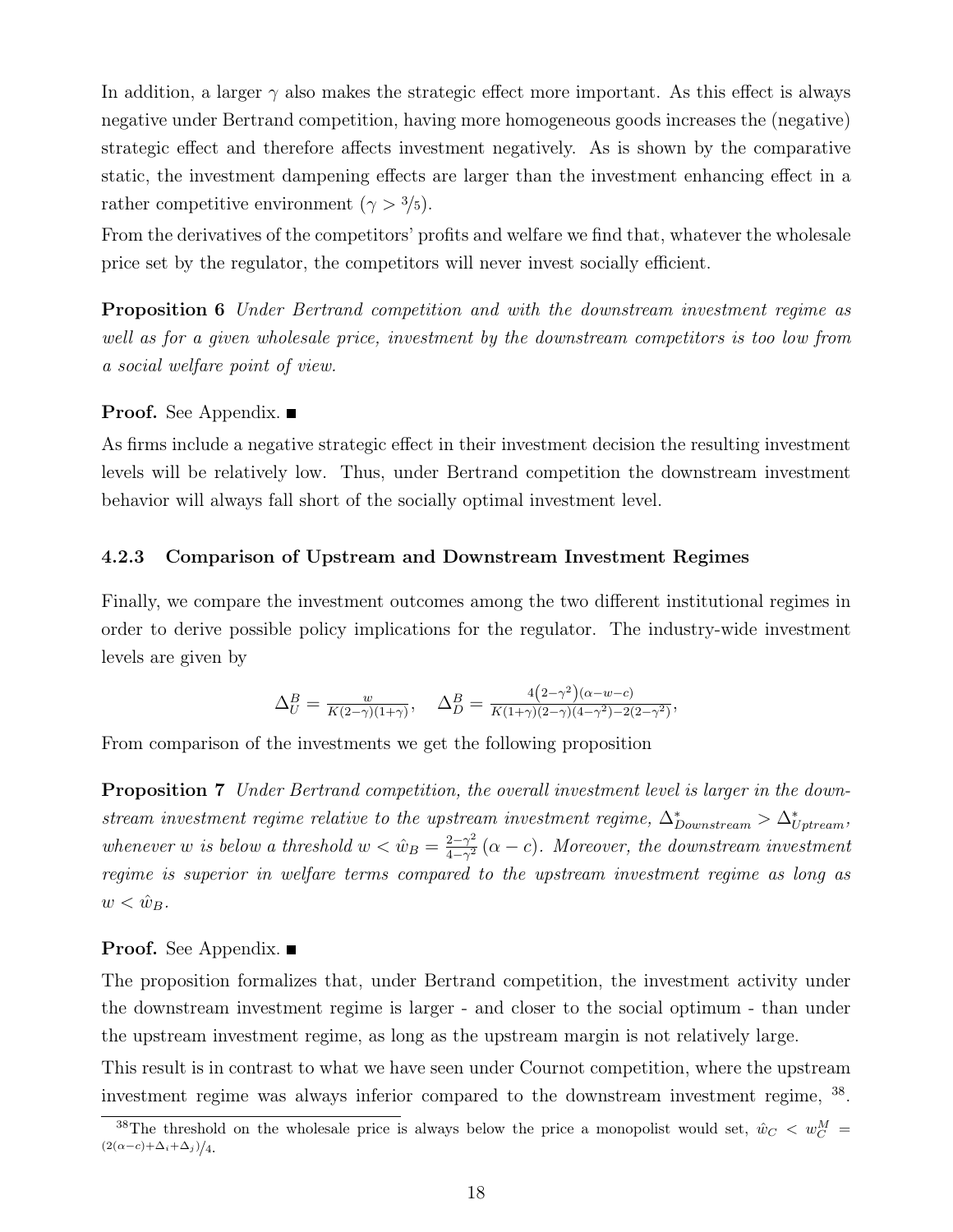In addition, a larger  $\gamma$  also makes the strategic effect more important. As this effect is always negative under Bertrand competition, having more homogeneous goods increases the (negative) strategic effect and therefore affects investment negatively. As is shown by the comparative static, the investment dampening effects are larger than the investment enhancing effect in a rather competitive environment ( $\gamma > 3/5$ ).

From the derivatives of the competitors' profits and welfare we find that, whatever the wholesale price set by the regulator, the competitors will never invest socially efficient.

**Proposition 6** Under Bertrand competition and with the downstream investment regime as well as for a given wholesale price, investment by the downstream competitors is too low from a social welfare point of view.

### **Proof.** See Appendix. ■

As firms include a negative strategic effect in their investment decision the resulting investment levels will be relatively low. Thus, under Bertrand competition the downstream investment behavior will always fall short of the socially optimal investment level.

### 4.2.3 Comparison of Upstream and Downstream Investment Regimes

Finally, we compare the investment outcomes among the two different institutional regimes in order to derive possible policy implications for the regulator. The industry-wide investment levels are given by

$$
\Delta_U^B = \frac{w}{K(2-\gamma)(1+\gamma)}, \quad \Delta_D^B = \frac{4(2-\gamma^2)(\alpha-w-c)}{K(1+\gamma)(2-\gamma)(4-\gamma^2)-2(2-\gamma^2)},
$$

From comparison of the investments we get the following proposition

**Proposition 7** Under Bertrand competition, the overall investment level is larger in the downstream investment regime relative to the upstream investment regime,  $\Delta_{Downstream}^* > \Delta_{Upstream}^*$ , whenever w is below a threshold  $w < \hat{w}_B = \frac{2-\gamma^2}{4-\gamma^2} (\alpha - c)$ . Moreover, the downstream investment regime is superior in welfare terms compared to the upstream investment regime as long as  $w < \hat{w}_B$ .

### **Proof.** See Appendix. ■

The proposition formalizes that, under Bertrand competition, the investment activity under the downstream investment regime is larger - and closer to the social optimum - than under the upstream investment regime, as long as the upstream margin is not relatively large.

This result is in contrast to what we have seen under Cournot competition, where the upstream investment regime was always inferior compared to the downstream investment regime, <sup>38</sup>.

<sup>&</sup>lt;sup>38</sup>The threshold on the wholesale price is always below the price a monopolist would set,  $\hat{w}_C < w_C^M$  $\frac{(2(\alpha-c)+\Delta_i+\Delta_j)}{4}.$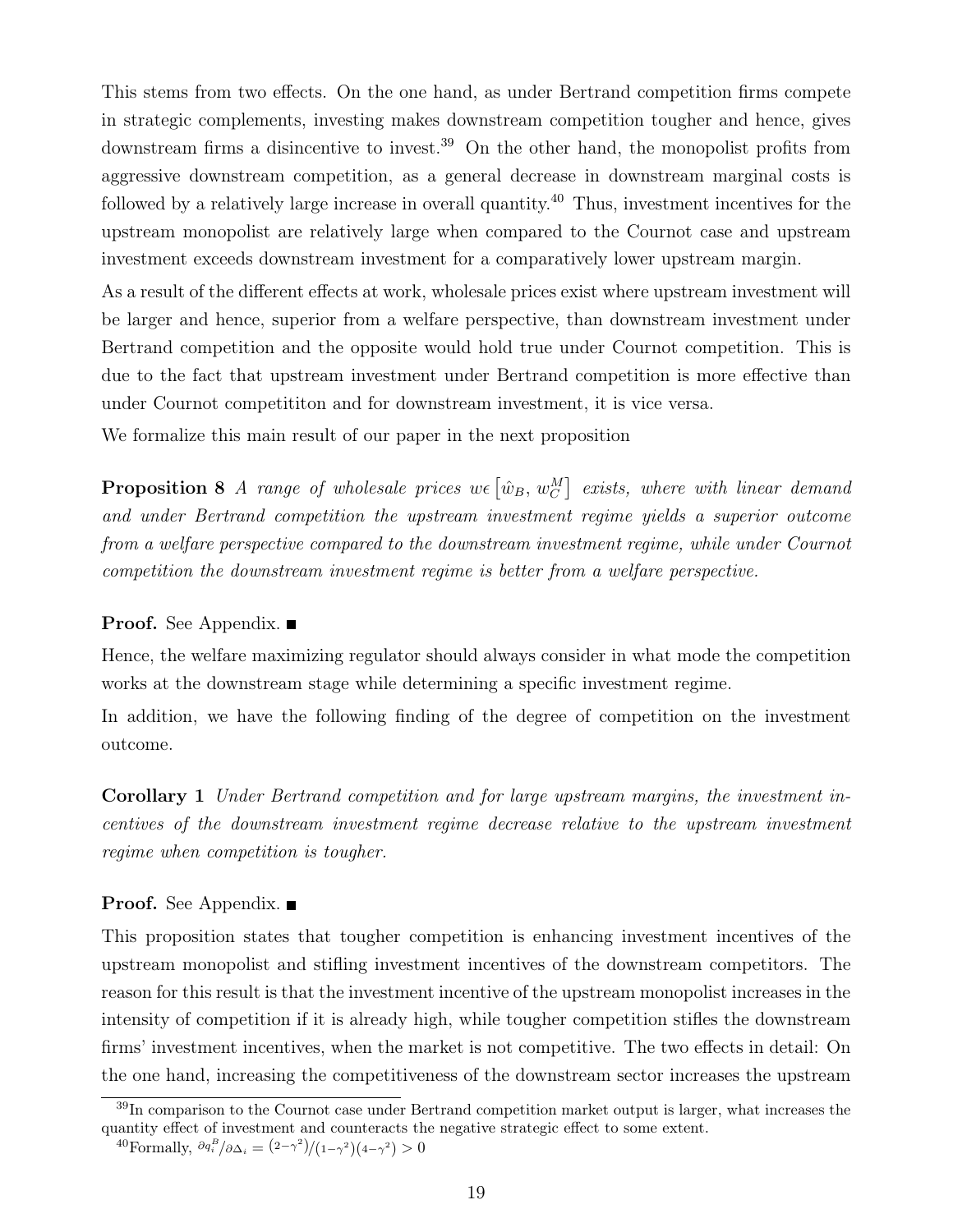This stems from two effects. On the one hand, as under Bertrand competition firms compete in strategic complements, investing makes downstream competition tougher and hence, gives downstream firms a disincentive to invest.<sup>39</sup> On the other hand, the monopolist profits from aggressive downstream competition, as a general decrease in downstream marginal costs is followed by a relatively large increase in overall quantity.<sup>40</sup> Thus, investment incentives for the upstream monopolist are relatively large when compared to the Cournot case and upstream investment exceeds downstream investment for a comparatively lower upstream margin.

As a result of the different effects at work, wholesale prices exist where upstream investment will be larger and hence, superior from a welfare perspective, than downstream investment under Bertrand competition and the opposite would hold true under Cournot competition. This is due to the fact that upstream investment under Bertrand competition is more effective than under Cournot competititon and for downstream investment, it is vice versa.

We formalize this main result of our paper in the next proposition

**Proposition 8** A range of wholesale prices  $w \in [\hat{w}_B, w_C^M]$  exists, where with linear demand and under Bertrand competition the upstream investment regime yields a superior outcome from a welfare perspective compared to the downstream investment regime, while under Cournot competition the downstream investment regime is better from a welfare perspective.

## **Proof.** See Appendix. ■

Hence, the welfare maximizing regulator should always consider in what mode the competition works at the downstream stage while determining a specific investment regime.

In addition, we have the following finding of the degree of competition on the investment outcome.

Corollary 1 Under Bertrand competition and for large upstream margins, the investment incentives of the downstream investment regime decrease relative to the upstream investment regime when competition is tougher.

## **Proof.** See Appendix. ■

This proposition states that tougher competition is enhancing investment incentives of the upstream monopolist and stifling investment incentives of the downstream competitors. The reason for this result is that the investment incentive of the upstream monopolist increases in the intensity of competition if it is already high, while tougher competition stifles the downstream firms' investment incentives, when the market is not competitive. The two effects in detail: On the one hand, increasing the competitiveness of the downstream sector increases the upstream

<sup>&</sup>lt;sup>39</sup>In comparison to the Cournot case under Bertrand competition market output is larger, what increases the quantity effect of investment and counteracts the negative strategic effect to some extent.

<sup>&</sup>lt;sup>40</sup>Formally,  $\partial q_i^B / \partial \Delta_i = (2 - \gamma^2) / (1 - \gamma^2) (4 - \gamma^2) > 0$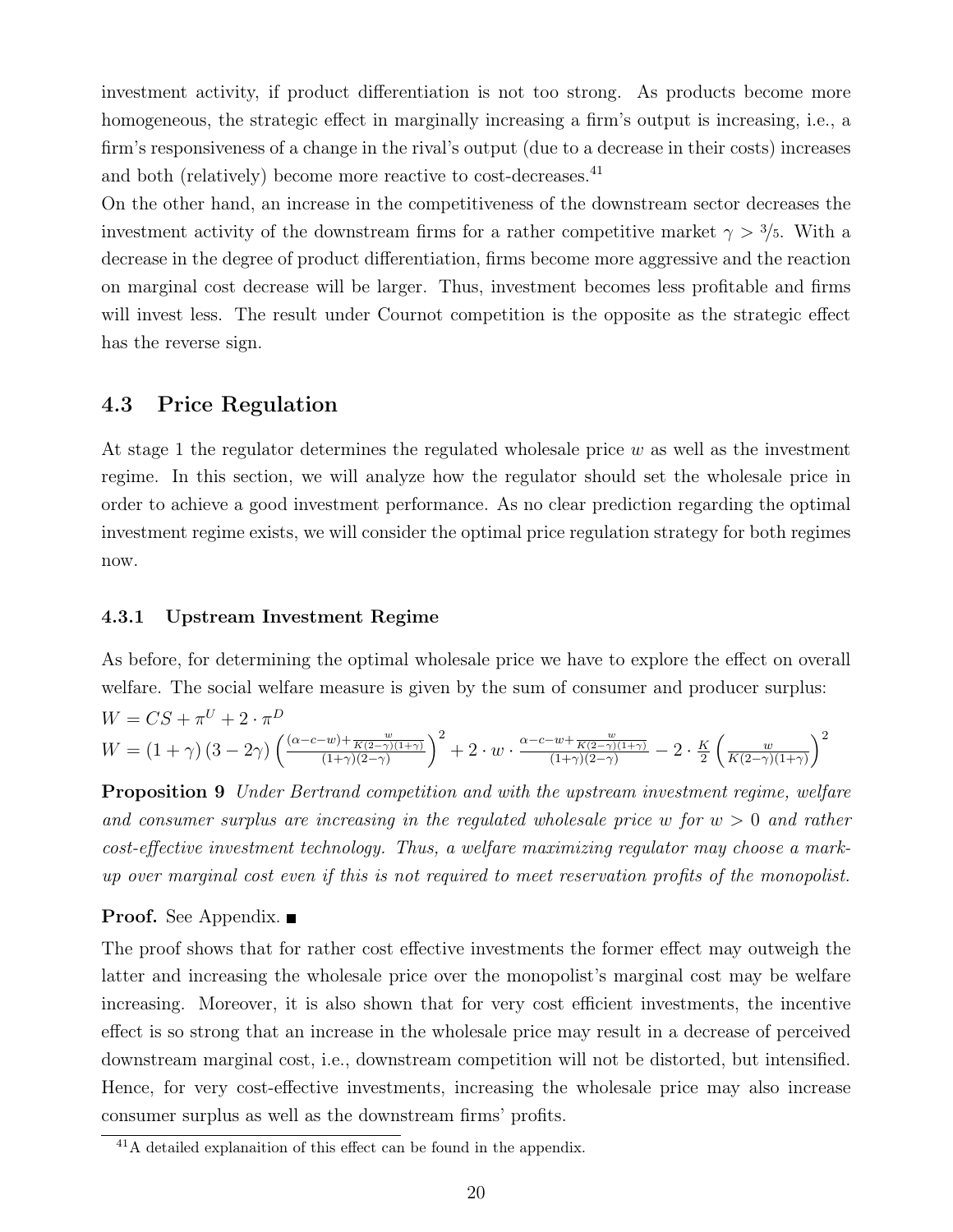investment activity, if product differentiation is not too strong. As products become more homogeneous, the strategic effect in marginally increasing a firm's output is increasing, i.e., a firm's responsiveness of a change in the rival's output (due to a decrease in their costs) increases and both (relatively) become more reactive to cost-decreases.<sup>41</sup>

On the other hand, an increase in the competitiveness of the downstream sector decreases the investment activity of the downstream firms for a rather competitive market  $\gamma > \frac{3}{5}$ . With a decrease in the degree of product differentiation, firms become more aggressive and the reaction on marginal cost decrease will be larger. Thus, investment becomes less profitable and firms will invest less. The result under Cournot competition is the opposite as the strategic effect has the reverse sign.

# 4.3 Price Regulation

At stage 1 the regulator determines the regulated wholesale price w as well as the investment regime. In this section, we will analyze how the regulator should set the wholesale price in order to achieve a good investment performance. As no clear prediction regarding the optimal investment regime exists, we will consider the optimal price regulation strategy for both regimes now.

## 4.3.1 Upstream Investment Regime

As before, for determining the optimal wholesale price we have to explore the effect on overall welfare. The social welfare measure is given by the sum of consumer and producer surplus:  $W = CS + \pi^U + 2 \cdot \pi^D$  $W = (1 + \gamma) (3 - 2\gamma) \left( \frac{(\alpha - c - w) + \frac{w}{K(2 - \gamma)(1 + \gamma)}}{(1 + \gamma)(2 - \gamma)} \right)$  $\setminus^2$  $+ 2 \cdot w \cdot \frac{\alpha - c - w + \frac{w}{K(2-\gamma)(1+\gamma)}}{(1+\gamma)(2-\gamma)} - 2 \cdot \frac{K}{2}$  $\int$   $w$  $K(2-\gamma)(1+\gamma)$  $\setminus^2$ 

**Proposition 9** Under Bertrand competition and with the upstream investment regime, welfare and consumer surplus are increasing in the regulated wholesale price w for  $w > 0$  and rather cost-effective investment technology. Thus, a welfare maximizing regulator may choose a markup over marginal cost even if this is not required to meet reservation profits of the monopolist.

## **Proof.** See Appendix.  $\blacksquare$

The proof shows that for rather cost effective investments the former effect may outweigh the latter and increasing the wholesale price over the monopolist's marginal cost may be welfare increasing. Moreover, it is also shown that for very cost efficient investments, the incentive effect is so strong that an increase in the wholesale price may result in a decrease of perceived downstream marginal cost, i.e., downstream competition will not be distorted, but intensified. Hence, for very cost-effective investments, increasing the wholesale price may also increase consumer surplus as well as the downstream firms' profits.

<sup>41</sup>A detailed explanaition of this effect can be found in the appendix.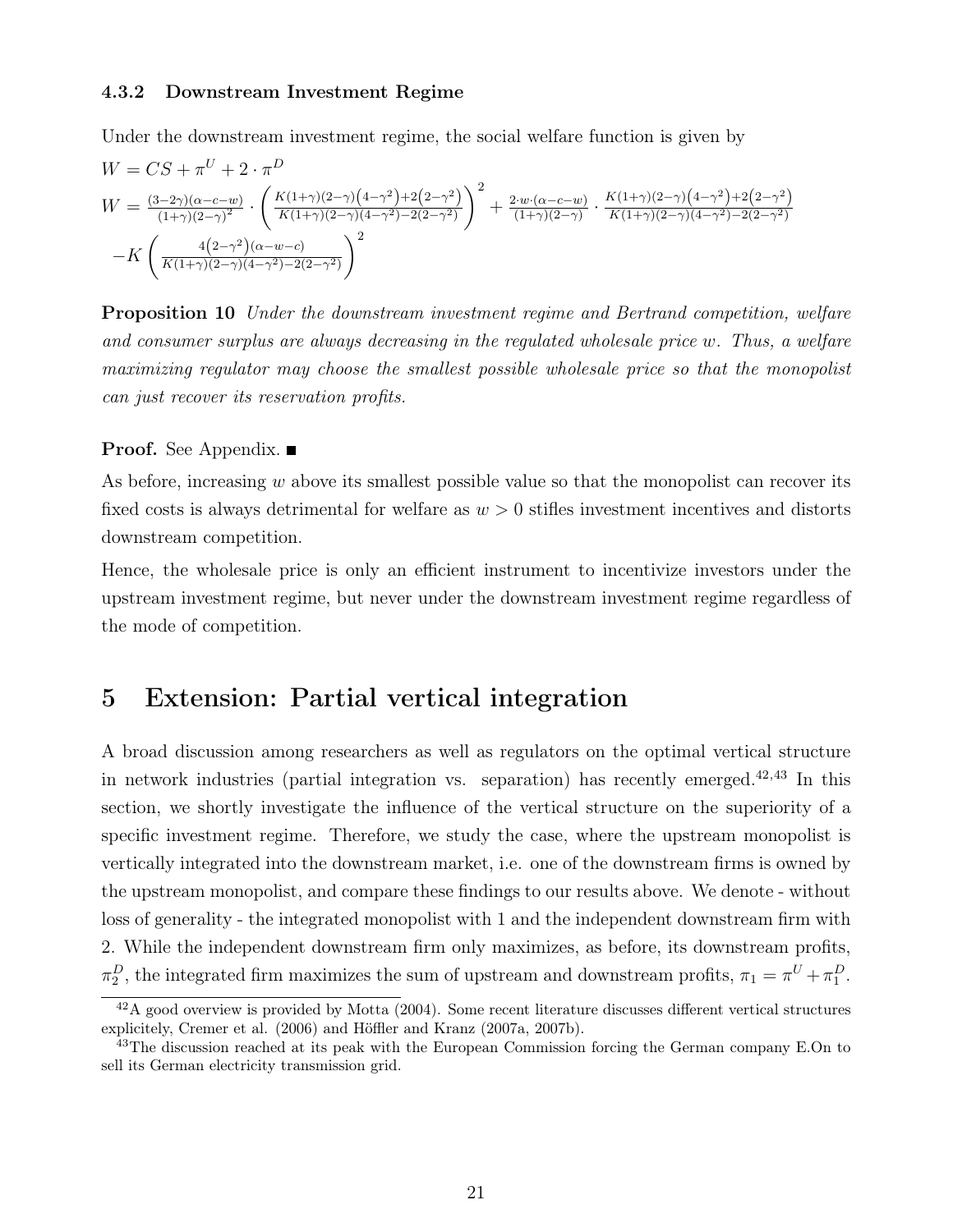### 4.3.2 Downstream Investment Regime

Under the downstream investment regime, the social welfare function is given by

$$
W = CS + \pi^{U} + 2 \cdot \pi^{D}
$$
  
\n
$$
W = \frac{(3-2\gamma)(\alpha - c - w)}{(1+\gamma)(2-\gamma)^{2}} \cdot \left(\frac{K(1+\gamma)(2-\gamma)(4-\gamma^{2})+2(2-\gamma^{2})}{K(1+\gamma)(2-\gamma)(4-\gamma^{2})-2(2-\gamma^{2})}\right)^{2} + \frac{2 \cdot w \cdot (\alpha - c - w)}{(1+\gamma)(2-\gamma)} \cdot \frac{K(1+\gamma)(2-\gamma)(4-\gamma^{2})+2(2-\gamma^{2})}{K(1+\gamma)(2-\gamma)(4-\gamma^{2})-2(2-\gamma^{2})}
$$
  
\n
$$
-K\left(\frac{4(2-\gamma^{2})(\alpha - w - c)}{K(1+\gamma)(2-\gamma)(4-\gamma^{2})-2(2-\gamma^{2})}\right)^{2}
$$

**Proposition 10** Under the downstream investment regime and Bertrand competition, welfare and consumer surplus are always decreasing in the regulated wholesale price w. Thus, a welfare maximizing regulator may choose the smallest possible wholesale price so that the monopolist can just recover its reservation profits.

### **Proof.** See Appendix.  $\blacksquare$

As before, increasing  $w$  above its smallest possible value so that the monopolist can recover its fixed costs is always detrimental for welfare as  $w > 0$  stifles investment incentives and distorts downstream competition.

Hence, the wholesale price is only an efficient instrument to incentivize investors under the upstream investment regime, but never under the downstream investment regime regardless of the mode of competition.

# 5 Extension: Partial vertical integration

A broad discussion among researchers as well as regulators on the optimal vertical structure in network industries (partial integration vs. separation) has recently emerged.<sup>42,43</sup> In this section, we shortly investigate the influence of the vertical structure on the superiority of a specific investment regime. Therefore, we study the case, where the upstream monopolist is vertically integrated into the downstream market, i.e. one of the downstream firms is owned by the upstream monopolist, and compare these findings to our results above. We denote - without loss of generality - the integrated monopolist with 1 and the independent downstream firm with 2. While the independent downstream firm only maximizes, as before, its downstream profits,  $\pi_2^D$ , the integrated firm maximizes the sum of upstream and downstream profits,  $\pi_1 = \pi^U + \pi_1^D$ .

 $^{42}$ A good overview is provided by Motta (2004). Some recent literature discusses different vertical structures explicitely, Cremer et al. (2006) and Höffler and Kranz (2007a, 2007b).

<sup>&</sup>lt;sup>43</sup>The discussion reached at its peak with the European Commission forcing the German company E.On to sell its German electricity transmission grid.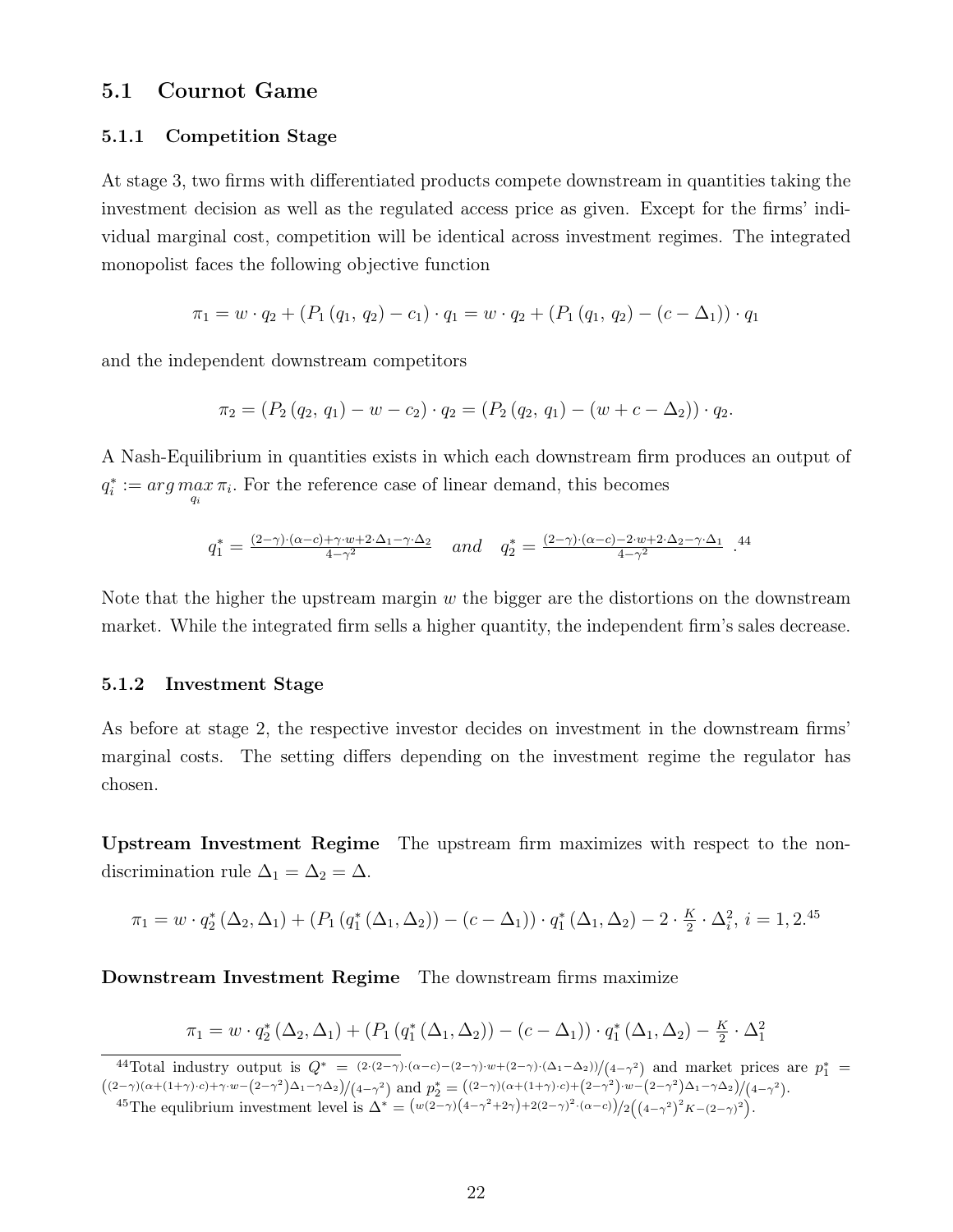# 5.1 Cournot Game

### 5.1.1 Competition Stage

At stage 3, two firms with differentiated products compete downstream in quantities taking the investment decision as well as the regulated access price as given. Except for the firms' individual marginal cost, competition will be identical across investment regimes. The integrated monopolist faces the following objective function

$$
\pi_1 = w \cdot q_2 + (P_1(q_1, q_2) - c_1) \cdot q_1 = w \cdot q_2 + (P_1(q_1, q_2) - (c - \Delta_1)) \cdot q_1
$$

and the independent downstream competitors

$$
\pi_2 = (P_2(q_2, q_1) - w - c_2) \cdot q_2 = (P_2(q_2, q_1) - (w + c - \Delta_2)) \cdot q_2.
$$

A Nash-Equilibrium in quantities exists in which each downstream firm produces an output of  $q_i^* := \arg \max_{q_i} \pi_i$ . For the reference case of linear demand, this becomes

$$
q_1^* = \frac{(2-\gamma)\cdot(\alpha-c) + \gamma\cdot w + 2\cdot\Delta_1 - \gamma\cdot\Delta_2}{4-\gamma^2} \quad and \quad q_2^* = \frac{(2-\gamma)\cdot(\alpha-c) - 2\cdot w + 2\cdot\Delta_2 - \gamma\cdot\Delta_1}{4-\gamma^2}.
$$

Note that the higher the upstream margin  $w$  the bigger are the distortions on the downstream market. While the integrated firm sells a higher quantity, the independent firm's sales decrease.

### 5.1.2 Investment Stage

As before at stage 2, the respective investor decides on investment in the downstream firms' marginal costs. The setting differs depending on the investment regime the regulator has chosen.

Upstream Investment Regime The upstream firm maximizes with respect to the nondiscrimination rule  $\Delta_1 = \Delta_2 = \Delta$ .

$$
\pi_1 = w \cdot q_2^* (\Delta_2, \Delta_1) + (P_1 (q_1^* (\Delta_1, \Delta_2)) - (c - \Delta_1)) \cdot q_1^* (\Delta_1, \Delta_2) - 2 \cdot \frac{K}{2} \cdot \Delta_i^2, \ i = 1, 2^{45}
$$

Downstream Investment Regime The downstream firms maximize

$$
\pi_1 = w \cdot q_2^* (\Delta_2, \Delta_1) + (P_1 (q_1^* (\Delta_1, \Delta_2)) - (c - \Delta_1)) \cdot q_1^* (\Delta_1, \Delta_2) - \frac{K}{2} \cdot \Delta_1^2
$$

<sup>44</sup>Total industry output is  $Q^* = (2\cdot(2-\gamma)\cdot(\alpha-c)-(2-\gamma)\cdot w+(2-\gamma)\cdot(\Delta_1-\Delta_2))/(4-\gamma^2)$  and market prices are  $p_1^* =$ 

 $((2-\gamma)(\alpha+(1+\gamma)\cdot c)+\gamma\cdot w-(2-\gamma^2)\Delta_1-\gamma\Delta_2)/(4-\gamma^2)$  and  $p_2^* = ((2-\gamma)(\alpha+(1+\gamma)\cdot c)+(2-\gamma^2)\cdot w-(2-\gamma^2)\Delta_1-\gamma\Delta_2)/(4-\gamma^2)$ .<br>
45 The equlibrium investment level is  $\Delta^* = (w(2-\gamma)(4-\gamma^2+2\gamma)+2(2-\gamma)^2\cdot(\alpha-c))/2((4-\gamma^2)^2K-(2-\gamma)^2)$ .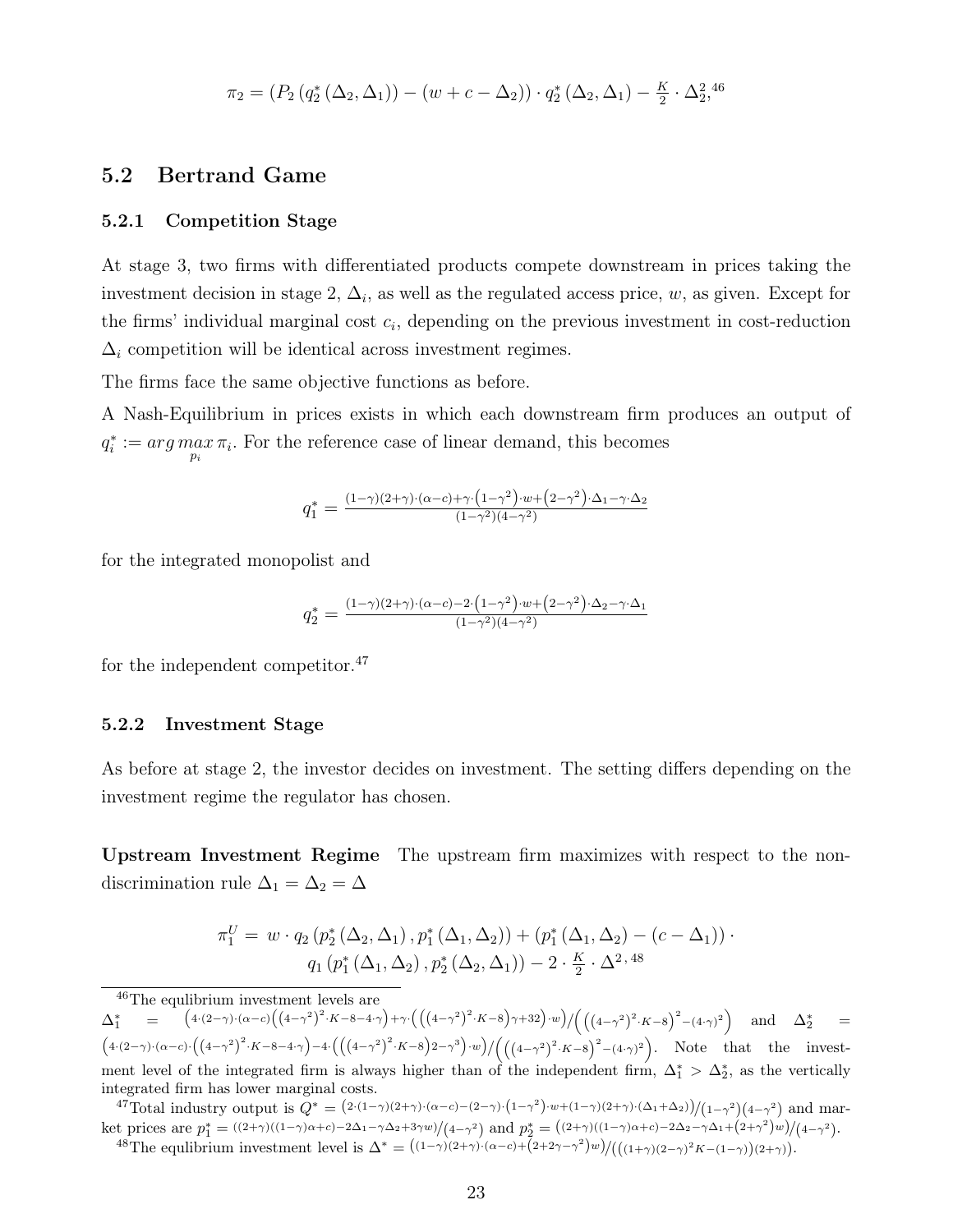$$
\pi_2 = (P_2(q_2^*(\Delta_2, \Delta_1)) - (w + c - \Delta_2)) \cdot q_2^*(\Delta_2, \Delta_1) - \frac{K}{2} \cdot \Delta_2^2,
$$

## 5.2 Bertrand Game

### 5.2.1 Competition Stage

At stage 3, two firms with differentiated products compete downstream in prices taking the investment decision in stage 2,  $\Delta_i$ , as well as the regulated access price, w, as given. Except for the firms' individual marginal cost  $c_i$ , depending on the previous investment in cost-reduction  $\Delta_i$  competition will be identical across investment regimes.

The firms face the same objective functions as before.

A Nash-Equilibrium in prices exists in which each downstream firm produces an output of  $q_i^* := \arg \max_{p_i} \pi_i$ . For the reference case of linear demand, this becomes

$$
q_1^*=\tfrac{(1-\gamma)(2+\gamma)\cdot(\alpha-c)+\gamma\cdot\left(1-\gamma^2\right)\cdot w+\left(2-\gamma^2\right)\cdot\Delta_1-\gamma\cdot\Delta_2}{(1-\gamma^2)(4-\gamma^2)}
$$

for the integrated monopolist and

$$
q_2^* = \frac{(1-\gamma)(2+\gamma)\cdot(\alpha-c)-2\cdot\left(1-\gamma^2\right) \cdot w + \left(2-\gamma^2\right) \cdot \Delta_2 - \gamma \cdot \Delta_1}{(1-\gamma^2)(4-\gamma^2)}
$$

for the independent competitor.<sup>47</sup>

### 5.2.2 Investment Stage

As before at stage 2, the investor decides on investment. The setting differs depending on the investment regime the regulator has chosen.

Upstream Investment Regime The upstream firm maximizes with respect to the nondiscrimination rule  $\Delta_1 = \Delta_2 = \Delta$ 

$$
\pi_1^U = w \cdot q_2 (p_2^*(\Delta_2, \Delta_1), p_1^*(\Delta_1, \Delta_2)) + (p_1^*(\Delta_1, \Delta_2) - (c - \Delta_1)) \cdot q_1 (p_1^*(\Delta_1, \Delta_2), p_2^*(\Delta_2, \Delta_1)) - 2 \cdot \frac{K}{2} \cdot \Delta^{2, 48}
$$

<sup>46</sup>The equlibrium investment levels are

 $\Delta_1^*$  =  $($  $4 \cdot (2 - \gamma) \cdot (\alpha - c) ((4 - \gamma^2)^2 \cdot K - 8 - 4 \cdot \gamma) + \gamma \cdot (((4 - \gamma^2)^2 \cdot K - 8) \gamma + 32) \cdot w) / ((4 - \gamma^2)^2 \cdot K - 8)^2 - (4 \cdot \gamma)^2)$  and  $\Delta_2^* =$  $(4-(2-\gamma)\cdot(\alpha-c)\cdot((4-\gamma^2)^2\cdot K-8-4\cdot\gamma)-4\cdot(((4-\gamma^2)^2\cdot K-8)2-\gamma^3)\cdot w)/((4-\gamma^2)^2\cdot K-8)^2-(4\cdot\gamma)^2)$ . Note that the investment level of the integrated firm is always higher than of the independent firm,  $\Delta_1^*$  >  $\Delta_2^*$ , as the vertically integrated firm has lower marginal costs.

47Total industry output is  $Q^* = (2\cdot(1-\gamma)(2+\gamma)\cdot(\alpha-c)-(2-\gamma)\cdot(1-\gamma^2)\cdot w+(1-\gamma)(2+\gamma)\cdot(\Delta_1+\Delta_2))/(1-\gamma^2)(4-\gamma^2)$  and market prices are  $p_1^* = \frac{((2+\gamma)((1-\gamma)\alpha+c)-2\Delta_1-\gamma\Delta_2+3\gamma w)}{(4-\gamma^2)}$  and  $p_2^* = \frac{((2+\gamma)((1-\gamma)\alpha+c)-2\Delta_2-\gamma\Delta_1+(2+\gamma^2)w)}{(4-\gamma^2)}$ .<br><sup>48</sup>The equlibrium investment level is  $\Delta^* = \frac{((1-\gamma)(2+\gamma)\cdot(\alpha-c)+(2+2\gamma-\gamma^2)w}{((1+\gamma)(2-\gamma)^2K-(1-\gamma))(2+\gamma)}$ .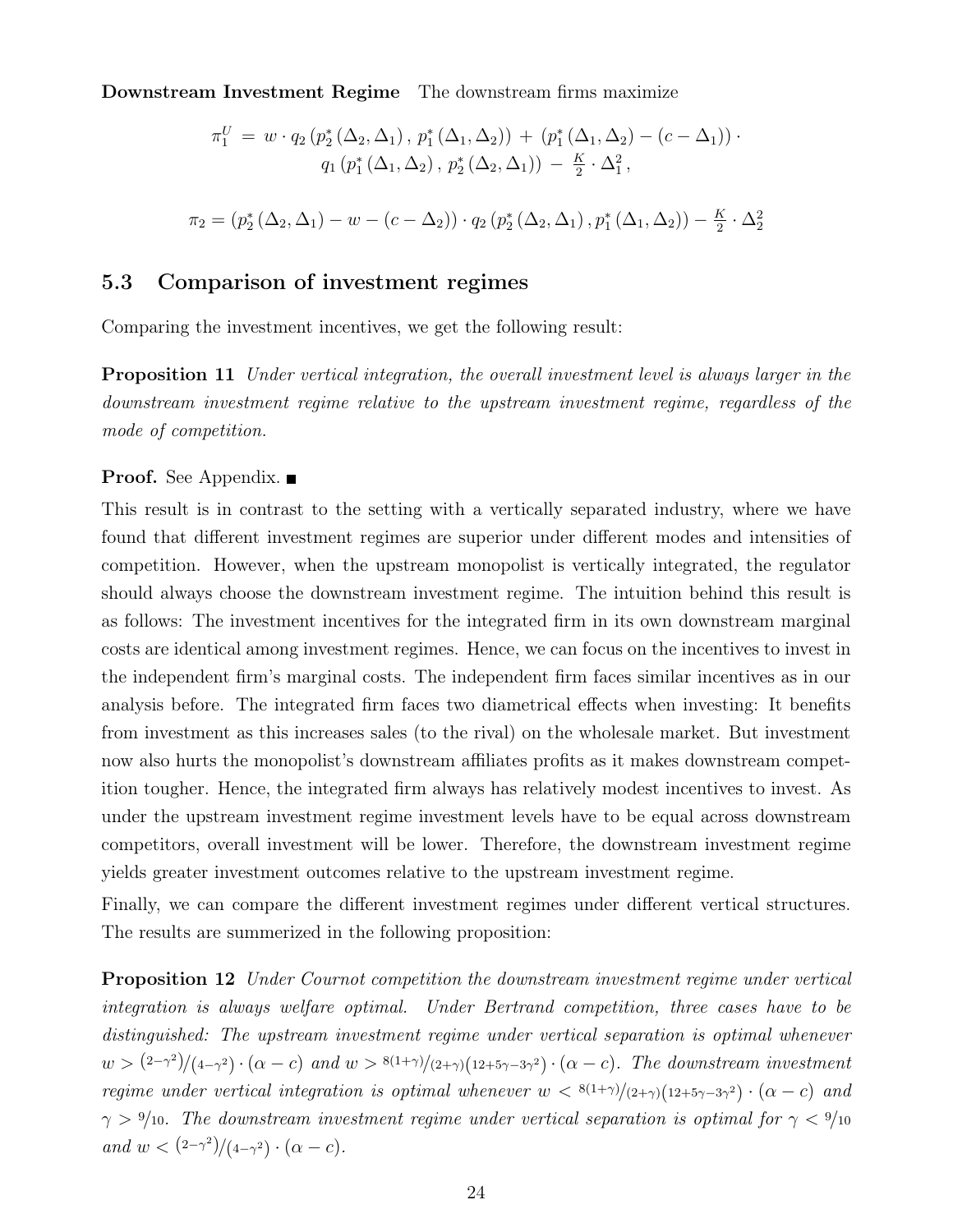Downstream Investment Regime The downstream firms maximize

$$
\pi_1^U = w \cdot q_2 (p_2^*(\Delta_2, \Delta_1), p_1^*(\Delta_1, \Delta_2)) + (p_1^*(\Delta_1, \Delta_2) - (c - \Delta_1)) \cdot \n q_1 (p_1^*(\Delta_1, \Delta_2), p_2^*(\Delta_2, \Delta_1)) - \frac{K}{2} \cdot \Delta_1^2,
$$
\n
$$
\pi_2 = (p_2^*(\Delta_2, \Delta_1) - w - (c - \Delta_2)) \cdot q_2 (p_2^*(\Delta_2, \Delta_1), p_1^*(\Delta_1, \Delta_2)) - \frac{K}{2} \cdot \Delta_2^2
$$

# 5.3 Comparison of investment regimes

Comparing the investment incentives, we get the following result:

**Proposition 11** Under vertical integration, the overall investment level is always larger in the downstream investment regime relative to the upstream investment regime, regardless of the mode of competition.

### **Proof.** See Appendix. ■

This result is in contrast to the setting with a vertically separated industry, where we have found that different investment regimes are superior under different modes and intensities of competition. However, when the upstream monopolist is vertically integrated, the regulator should always choose the downstream investment regime. The intuition behind this result is as follows: The investment incentives for the integrated firm in its own downstream marginal costs are identical among investment regimes. Hence, we can focus on the incentives to invest in the independent firm's marginal costs. The independent firm faces similar incentives as in our analysis before. The integrated firm faces two diametrical effects when investing: It benefits from investment as this increases sales (to the rival) on the wholesale market. But investment now also hurts the monopolist's downstream affiliates profits as it makes downstream competition tougher. Hence, the integrated firm always has relatively modest incentives to invest. As under the upstream investment regime investment levels have to be equal across downstream competitors, overall investment will be lower. Therefore, the downstream investment regime yields greater investment outcomes relative to the upstream investment regime.

Finally, we can compare the different investment regimes under different vertical structures. The results are summerized in the following proposition:

**Proposition 12** Under Cournot competition the downstream investment regime under vertical integration is always welfare optimal. Under Bertrand competition, three cases have to be distinguished: The upstream investment regime under vertical separation is optimal whenever  $w > (2-\gamma^2)/(4-\gamma^2) \cdot (\alpha-c)$  and  $w > 8(1+\gamma)/(2+\gamma)(12+5\gamma-3\gamma^2) \cdot (\alpha-c)$ . The downstream investment regime under vertical integration is optimal whenever  $w < \frac{8(1+\gamma)}{(2+\gamma)(2+\gamma)(12+5\gamma-3\gamma^2)} \cdot (\alpha - c)$  and  $\gamma > 9/10$ . The downstream investment regime under vertical separation is optimal for  $\gamma < 9/10$ and  $w < (2-\gamma^2)/(4-\gamma^2) \cdot (\alpha - c)$ .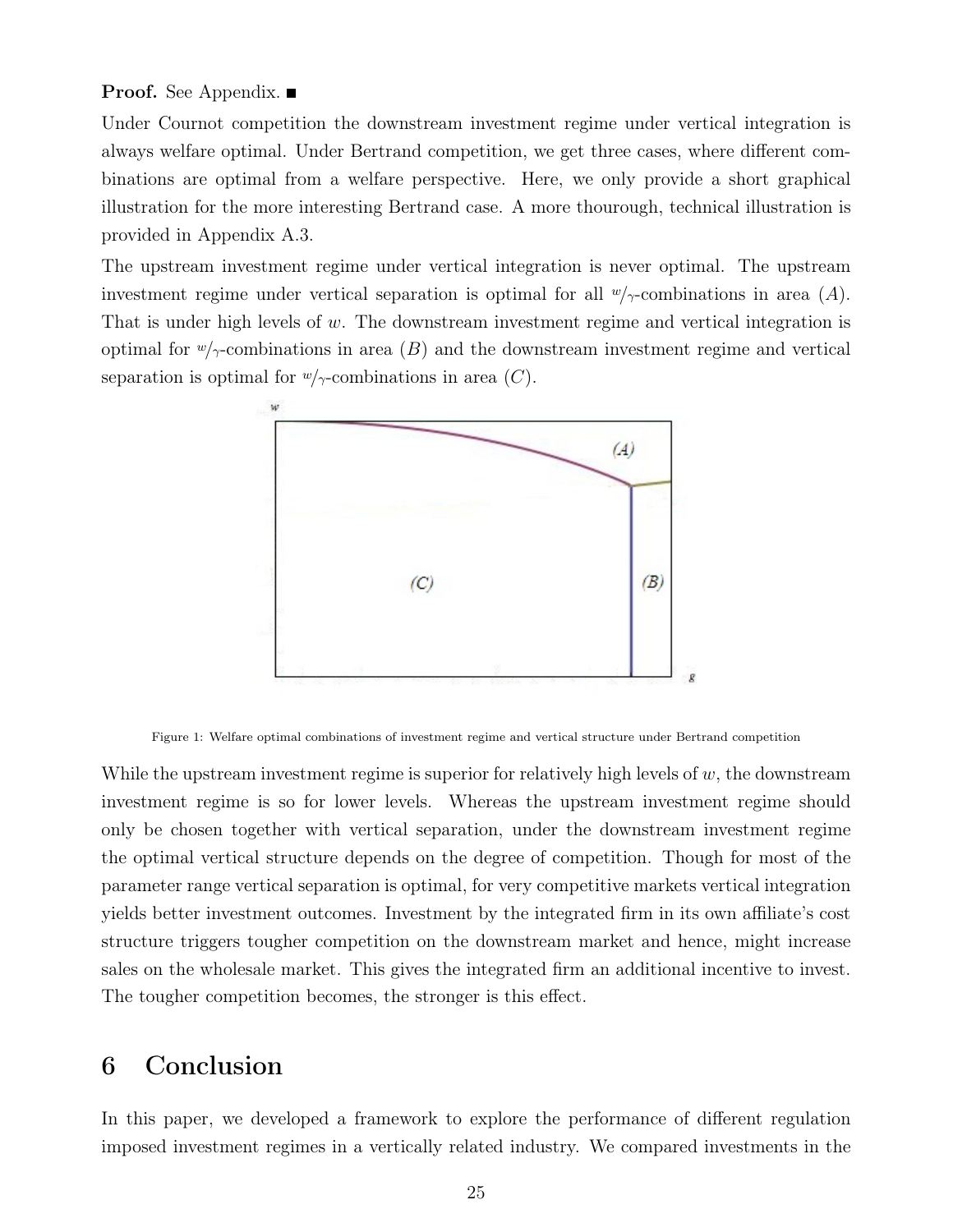### **Proof.** See Appendix.  $\blacksquare$

Under Cournot competition the downstream investment regime under vertical integration is always welfare optimal. Under Bertrand competition, we get three cases, where different combinations are optimal from a welfare perspective. Here, we only provide a short graphical illustration for the more interesting Bertrand case. A more thourough, technical illustration is provided in Appendix A.3.

The upstream investment regime under vertical integration is never optimal. The upstream investment regime under vertical separation is optimal for all  $w/\gamma$ -combinations in area (A). That is under high levels of  $w$ . The downstream investment regime and vertical integration is optimal for  $\psi/\gamma$ -combinations in area (B) and the downstream investment regime and vertical separation is optimal for  $w/\gamma$ -combinations in area  $(C)$ .



Figure 1: Welfare optimal combinations of investment regime and vertical structure under Bertrand competition

While the upstream investment regime is superior for relatively high levels of  $w$ , the downstream investment regime is so for lower levels. Whereas the upstream investment regime should only be chosen together with vertical separation, under the downstream investment regime the optimal vertical structure depends on the degree of competition. Though for most of the parameter range vertical separation is optimal, for very competitive markets vertical integration yields better investment outcomes. Investment by the integrated firm in its own affiliate's cost structure triggers tougher competition on the downstream market and hence, might increase sales on the wholesale market. This gives the integrated firm an additional incentive to invest. The tougher competition becomes, the stronger is this effect.

# 6 Conclusion

In this paper, we developed a framework to explore the performance of different regulation imposed investment regimes in a vertically related industry. We compared investments in the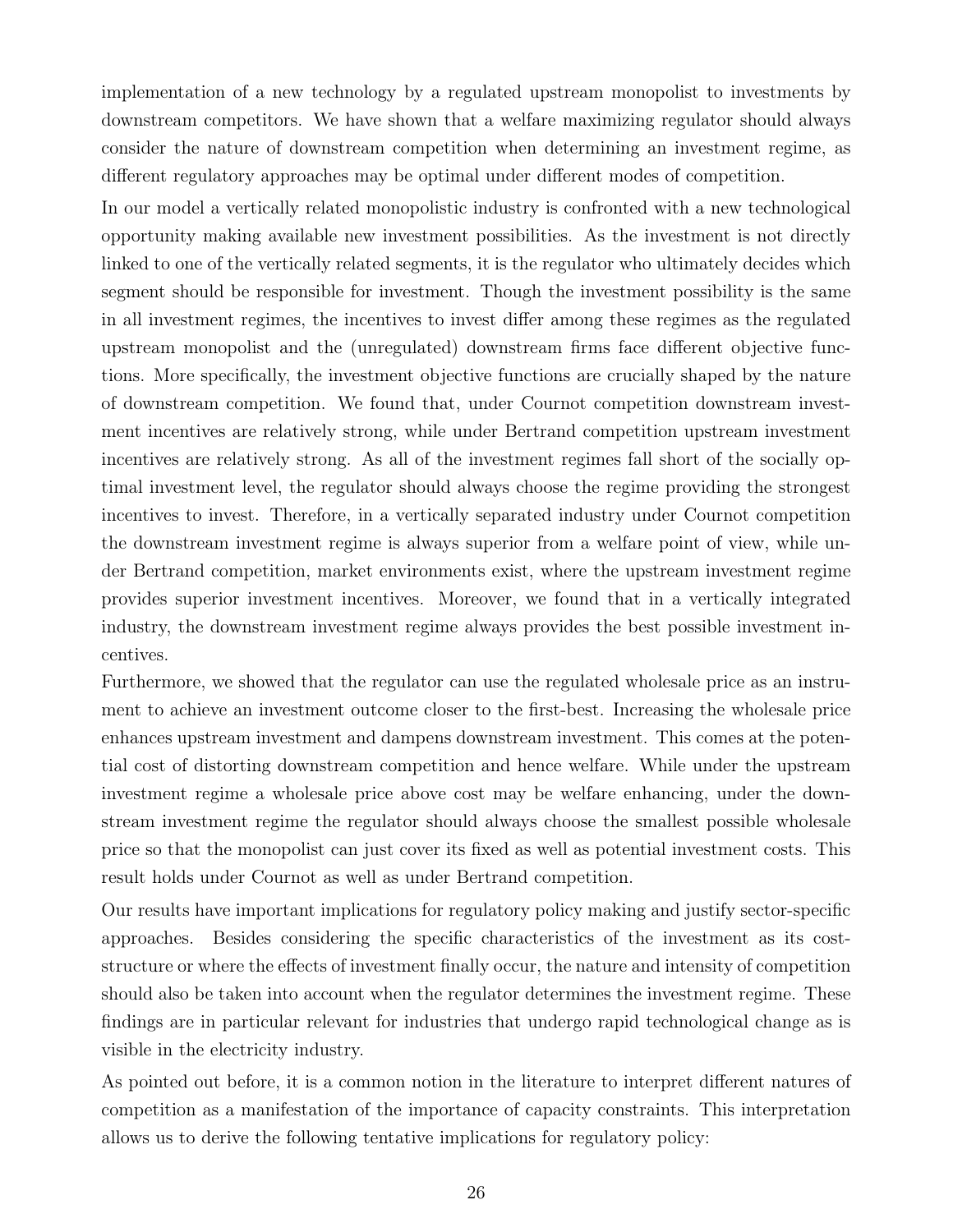implementation of a new technology by a regulated upstream monopolist to investments by downstream competitors. We have shown that a welfare maximizing regulator should always consider the nature of downstream competition when determining an investment regime, as different regulatory approaches may be optimal under different modes of competition.

In our model a vertically related monopolistic industry is confronted with a new technological opportunity making available new investment possibilities. As the investment is not directly linked to one of the vertically related segments, it is the regulator who ultimately decides which segment should be responsible for investment. Though the investment possibility is the same in all investment regimes, the incentives to invest differ among these regimes as the regulated upstream monopolist and the (unregulated) downstream firms face different objective functions. More specifically, the investment objective functions are crucially shaped by the nature of downstream competition. We found that, under Cournot competition downstream investment incentives are relatively strong, while under Bertrand competition upstream investment incentives are relatively strong. As all of the investment regimes fall short of the socially optimal investment level, the regulator should always choose the regime providing the strongest incentives to invest. Therefore, in a vertically separated industry under Cournot competition the downstream investment regime is always superior from a welfare point of view, while under Bertrand competition, market environments exist, where the upstream investment regime provides superior investment incentives. Moreover, we found that in a vertically integrated industry, the downstream investment regime always provides the best possible investment incentives.

Furthermore, we showed that the regulator can use the regulated wholesale price as an instrument to achieve an investment outcome closer to the first-best. Increasing the wholesale price enhances upstream investment and dampens downstream investment. This comes at the potential cost of distorting downstream competition and hence welfare. While under the upstream investment regime a wholesale price above cost may be welfare enhancing, under the downstream investment regime the regulator should always choose the smallest possible wholesale price so that the monopolist can just cover its fixed as well as potential investment costs. This result holds under Cournot as well as under Bertrand competition.

Our results have important implications for regulatory policy making and justify sector-specific approaches. Besides considering the specific characteristics of the investment as its coststructure or where the effects of investment finally occur, the nature and intensity of competition should also be taken into account when the regulator determines the investment regime. These findings are in particular relevant for industries that undergo rapid technological change as is visible in the electricity industry.

As pointed out before, it is a common notion in the literature to interpret different natures of competition as a manifestation of the importance of capacity constraints. This interpretation allows us to derive the following tentative implications for regulatory policy: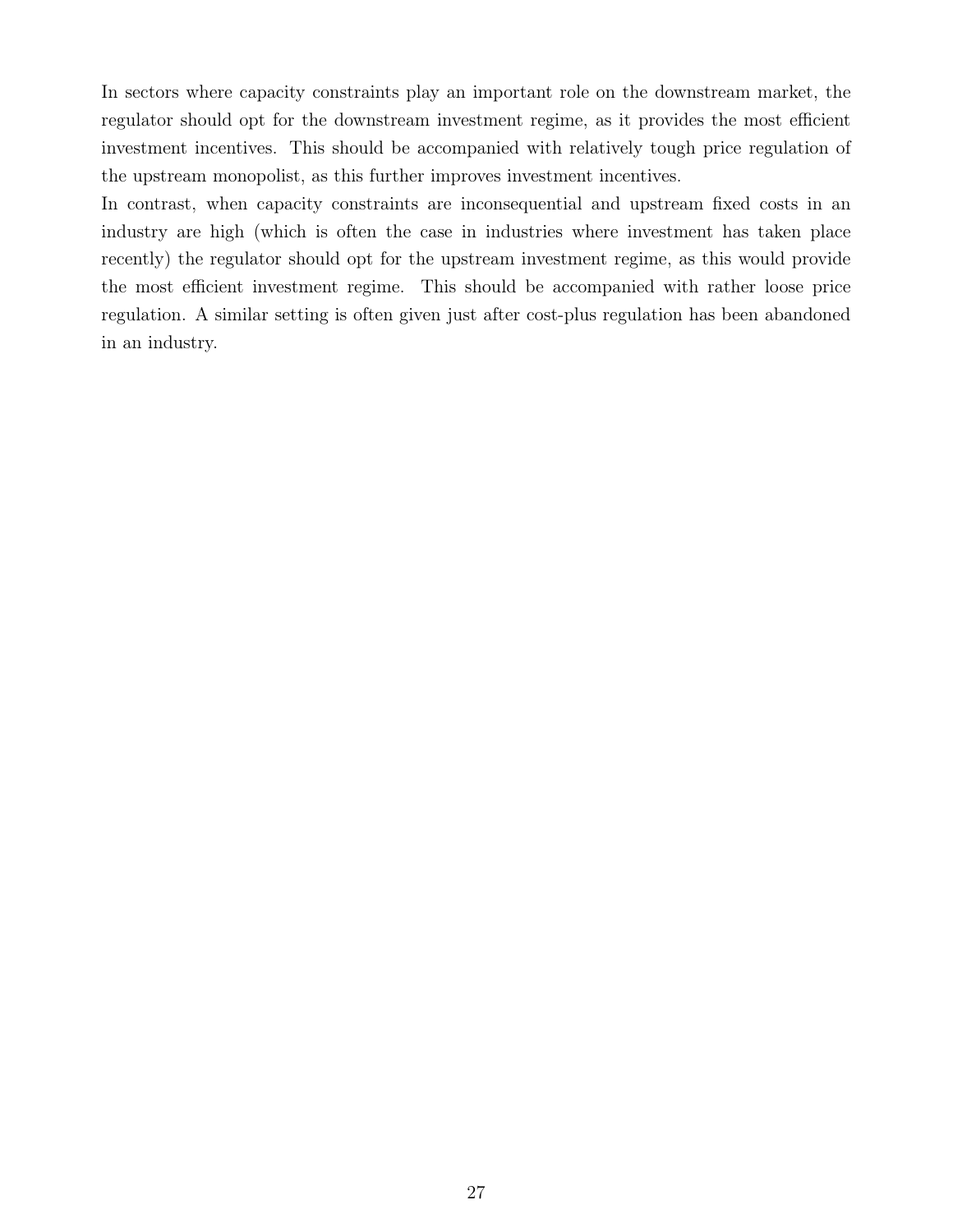In sectors where capacity constraints play an important role on the downstream market, the regulator should opt for the downstream investment regime, as it provides the most efficient investment incentives. This should be accompanied with relatively tough price regulation of the upstream monopolist, as this further improves investment incentives.

In contrast, when capacity constraints are inconsequential and upstream fixed costs in an industry are high (which is often the case in industries where investment has taken place recently) the regulator should opt for the upstream investment regime, as this would provide the most efficient investment regime. This should be accompanied with rather loose price regulation. A similar setting is often given just after cost-plus regulation has been abandoned in an industry.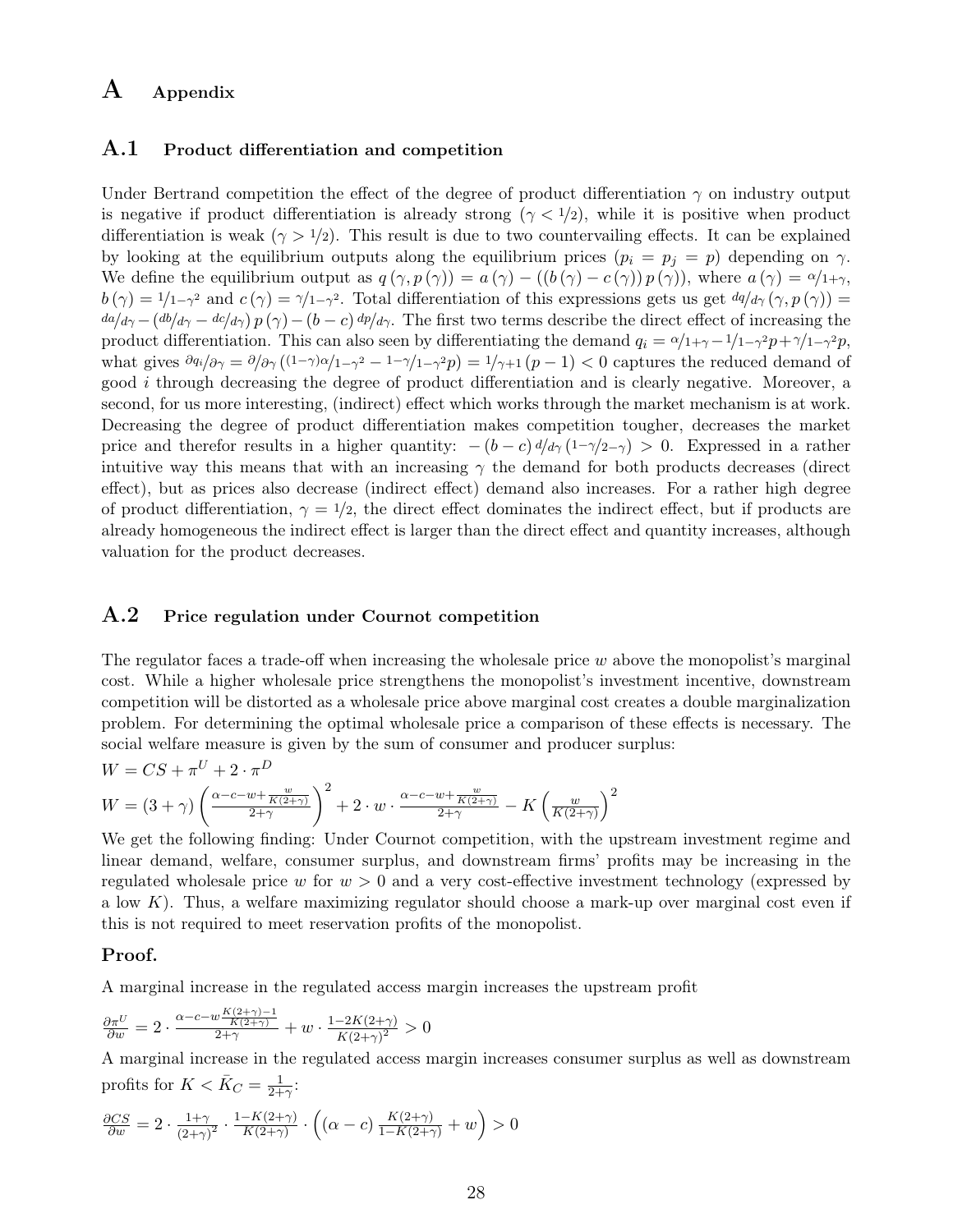# A Appendix

### A.1 Product differentiation and competition

Under Bertrand competition the effect of the degree of product differentiation  $\gamma$  on industry output is negative if product differentiation is already strong  $(\gamma < 1/2)$ , while it is positive when product differentiation is weak  $(\gamma > 1/2)$ . This result is due to two countervailing effects. It can be explained by looking at the equilibrium outputs along the equilibrium prices  $(p_i = p_j = p)$  depending on  $\gamma$ . We define the equilibrium output as  $q(\gamma, p(\gamma)) = a(\gamma) - ((b(\gamma) - c(\gamma))p(\gamma))$ , where  $a(\gamma) = \alpha/1+\gamma$ ,  $b(\gamma) = 1/1-\gamma^2$  and  $c(\gamma) = \gamma/1-\gamma^2$ . Total differentiation of this expressions gets us get  $dq/d\gamma(\gamma, p(\gamma)) =$  $\frac{da}{d\gamma} - \left(\frac{db}{d\gamma} - \frac{dc}{d\gamma}\right)p\left(\gamma\right) - \left(b - c\right)\frac{dp}{d\gamma}$ . The first two terms describe the direct effect of increasing the product differentiation. This can also seen by differentiating the demand  $q_i = \alpha/1+\gamma-1/1-\gamma^2p+\gamma/1-\gamma^2p$ , what gives  $\partial q_i/\partial \gamma = \partial/\partial \gamma (1-\gamma)\partial \gamma (-\gamma^2 - 1-\gamma/1-\gamma^2)p = 1/\gamma+1 (p-1) < 0$  captures the reduced demand of good i through decreasing the degree of product differentiation and is clearly negative. Moreover, a second, for us more interesting, (indirect) effect which works through the market mechanism is at work. Decreasing the degree of product differentiation makes competition tougher, decreases the market price and therefor results in a higher quantity:  $-(b-c) d/d_{\gamma}(1-\gamma/2-\gamma) > 0$ . Expressed in a rather intuitive way this means that with an increasing  $\gamma$  the demand for both products decreases (direct effect), but as prices also decrease (indirect effect) demand also increases. For a rather high degree of product differentiation,  $\gamma = 1/2$ , the direct effect dominates the indirect effect, but if products are already homogeneous the indirect effect is larger than the direct effect and quantity increases, although valuation for the product decreases.

## A.2 Price regulation under Cournot competition

The regulator faces a trade-off when increasing the wholesale price  $w$  above the monopolist's marginal cost. While a higher wholesale price strengthens the monopolist's investment incentive, downstream competition will be distorted as a wholesale price above marginal cost creates a double marginalization problem. For determining the optimal wholesale price a comparison of these effects is necessary. The social welfare measure is given by the sum of consumer and producer surplus:

$$
W = CS + \pi^{U} + 2 \cdot \pi^{D}
$$
  

$$
W = (3 + \gamma) \left( \frac{\alpha - c - w + \frac{w}{K(2 + \gamma)}}{2 + \gamma} \right)^{2} + 2 \cdot w \cdot \frac{\alpha - c - w + \frac{w}{K(2 + \gamma)}}{2 + \gamma} - K \left( \frac{w}{K(2 + \gamma)} \right)^{2}
$$

We get the following finding: Under Cournot competition, with the upstream investment regime and linear demand, welfare, consumer surplus, and downstream firms' profits may be increasing in the regulated wholesale price w for  $w > 0$  and a very cost-effective investment technology (expressed by a low  $K$ ). Thus, a welfare maximizing regulator should choose a mark-up over marginal cost even if this is not required to meet reservation profits of the monopolist.

### Proof.

A marginal increase in the regulated access margin increases the upstream profit

$$
\frac{\partial \pi^U}{\partial w} = 2 \cdot \frac{\alpha - c - w \frac{K(2+\gamma)-1}{K(2+\gamma)}}{2+\gamma} + w \cdot \frac{1-2K(2+\gamma)}{K(2+\gamma)^2} > 0
$$

A marginal increase in the regulated access margin increases consumer surplus as well as downstream profits for  $K < \bar{K}_C = \frac{1}{2+\gamma}$ :

$$
\tfrac{\partial CS}{\partial w} = 2 \cdot \tfrac{1+\gamma}{(2+\gamma)^2} \cdot \tfrac{1-K(2+\gamma)}{K(2+\gamma)} \cdot \left( (\alpha-c) \, \tfrac{K(2+\gamma)}{1-K(2+\gamma)} + w \right) > 0
$$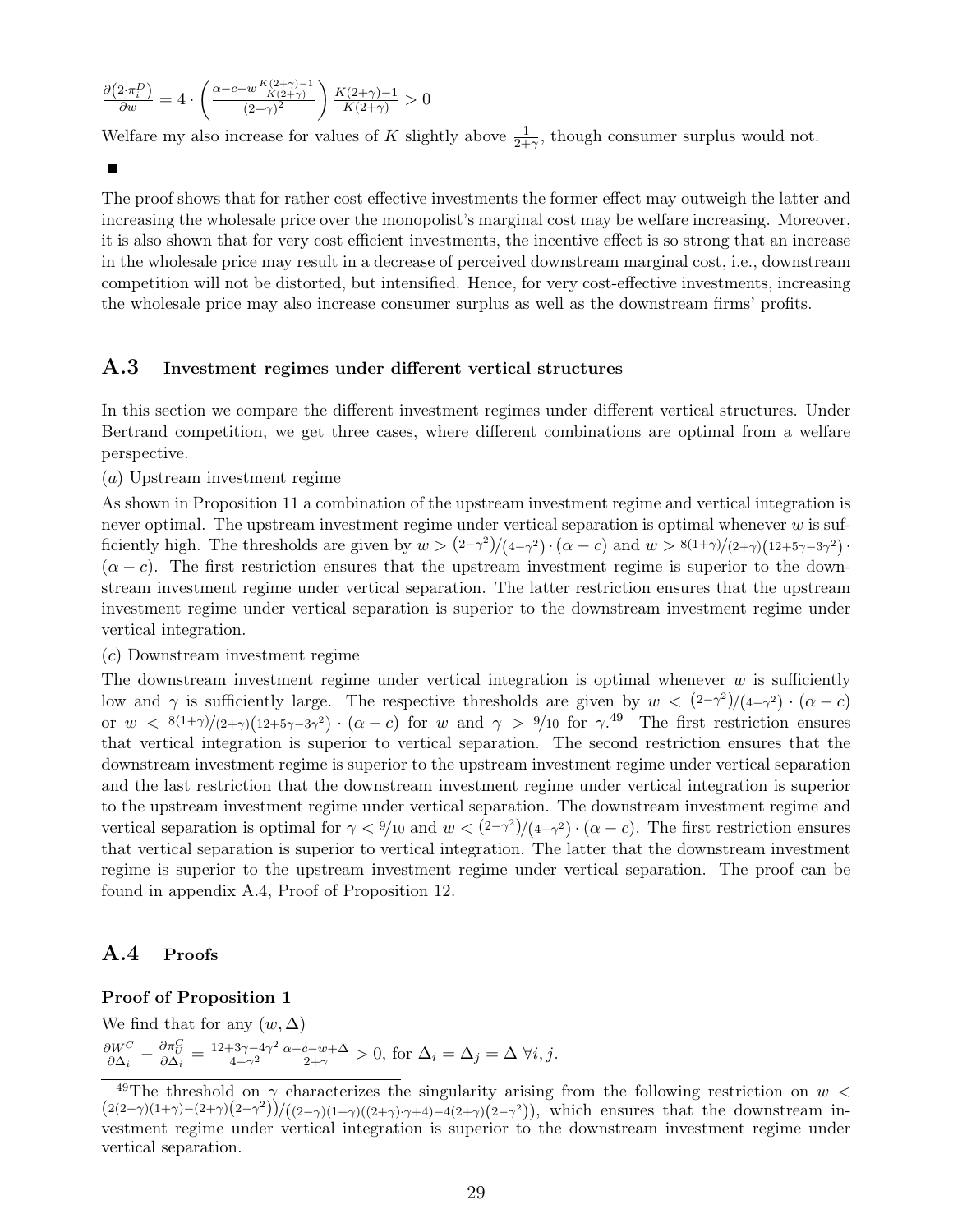$$
\tfrac{\partial \left( 2\cdot \pi^D_i \right)}{\partial w} = 4\cdot \left(\tfrac{\alpha - c - w \frac{K(2+\gamma)-1}{K(2+\gamma)}}{\left( 2+\gamma \right)^2}\right) \tfrac{K(2+\gamma)-1}{K(2+\gamma)} > 0
$$

Welfare my also increase for values of K slightly above  $\frac{1}{2+\gamma}$ , though consumer surplus would not.

 $\blacksquare$ 

The proof shows that for rather cost effective investments the former effect may outweigh the latter and increasing the wholesale price over the monopolist's marginal cost may be welfare increasing. Moreover, it is also shown that for very cost efficient investments, the incentive effect is so strong that an increase in the wholesale price may result in a decrease of perceived downstream marginal cost, i.e., downstream competition will not be distorted, but intensified. Hence, for very cost-effective investments, increasing the wholesale price may also increase consumer surplus as well as the downstream firms' profits.

## A.3 Investment regimes under different vertical structures

In this section we compare the different investment regimes under different vertical structures. Under Bertrand competition, we get three cases, where different combinations are optimal from a welfare perspective.

(a) Upstream investment regime

As shown in Proposition 11 a combination of the upstream investment regime and vertical integration is never optimal. The upstream investment regime under vertical separation is optimal whenever  $w$  is sufficiently high. The thresholds are given by  $w > (2-\gamma^2)/(4-\gamma^2) \cdot (\alpha - c)$  and  $w > 8(1+\gamma)/(2+\gamma)(12+5\gamma-3\gamma^2)$ .  $(\alpha - c)$ . The first restriction ensures that the upstream investment regime is superior to the downstream investment regime under vertical separation. The latter restriction ensures that the upstream investment regime under vertical separation is superior to the downstream investment regime under vertical integration.

(c) Downstream investment regime

The downstream investment regime under vertical integration is optimal whenever  $w$  is sufficiently low and  $\gamma$  is sufficiently large. The respective thresholds are given by  $w < (2-\gamma^2)/(4-\gamma^2) \cdot (\alpha - c)$ or  $w < 8(1+\gamma)/(2+\gamma)(12+5\gamma-3\gamma^2) \cdot (\alpha-c)$  for w and  $\gamma > 9/10$  for  $\gamma^{.49}$  The first restriction ensures that vertical integration is superior to vertical separation. The second restriction ensures that the downstream investment regime is superior to the upstream investment regime under vertical separation and the last restriction that the downstream investment regime under vertical integration is superior to the upstream investment regime under vertical separation. The downstream investment regime and vertical separation is optimal for  $\gamma < 9/10$  and  $w < (2-\gamma^2)/(4-\gamma^2) \cdot (\alpha - c)$ . The first restriction ensures that vertical separation is superior to vertical integration. The latter that the downstream investment regime is superior to the upstream investment regime under vertical separation. The proof can be found in appendix A.4, Proof of Proposition 12.

## A.4 Proofs

### Proof of Proposition 1

We find that for any  $(w, \Delta)$ 

$$
\frac{\partial W^C}{\partial \Delta_i} - \frac{\partial \pi^C_U}{\partial \Delta_i} = \frac{12 + 3\gamma - 4\gamma^2}{4 - \gamma^2} \frac{\alpha - c - w + \Delta}{2 + \gamma} > 0, \text{ for } \Delta_i = \Delta_j = \Delta \ \forall i, j.
$$

<sup>&</sup>lt;sup>49</sup>The threshold on  $\gamma$  characterizes the singularity arising from the following restriction on  $w$  $(2(2-\gamma)(1+\gamma)-(2+\gamma)(2-\gamma^2))/(2-\gamma)(1+\gamma)((2+\gamma)\cdot\gamma+4)-4(2+\gamma)(2-\gamma^2)),$  which ensures that the downstream investment regime under vertical integration is superior to the downstream investment regime under vertical separation.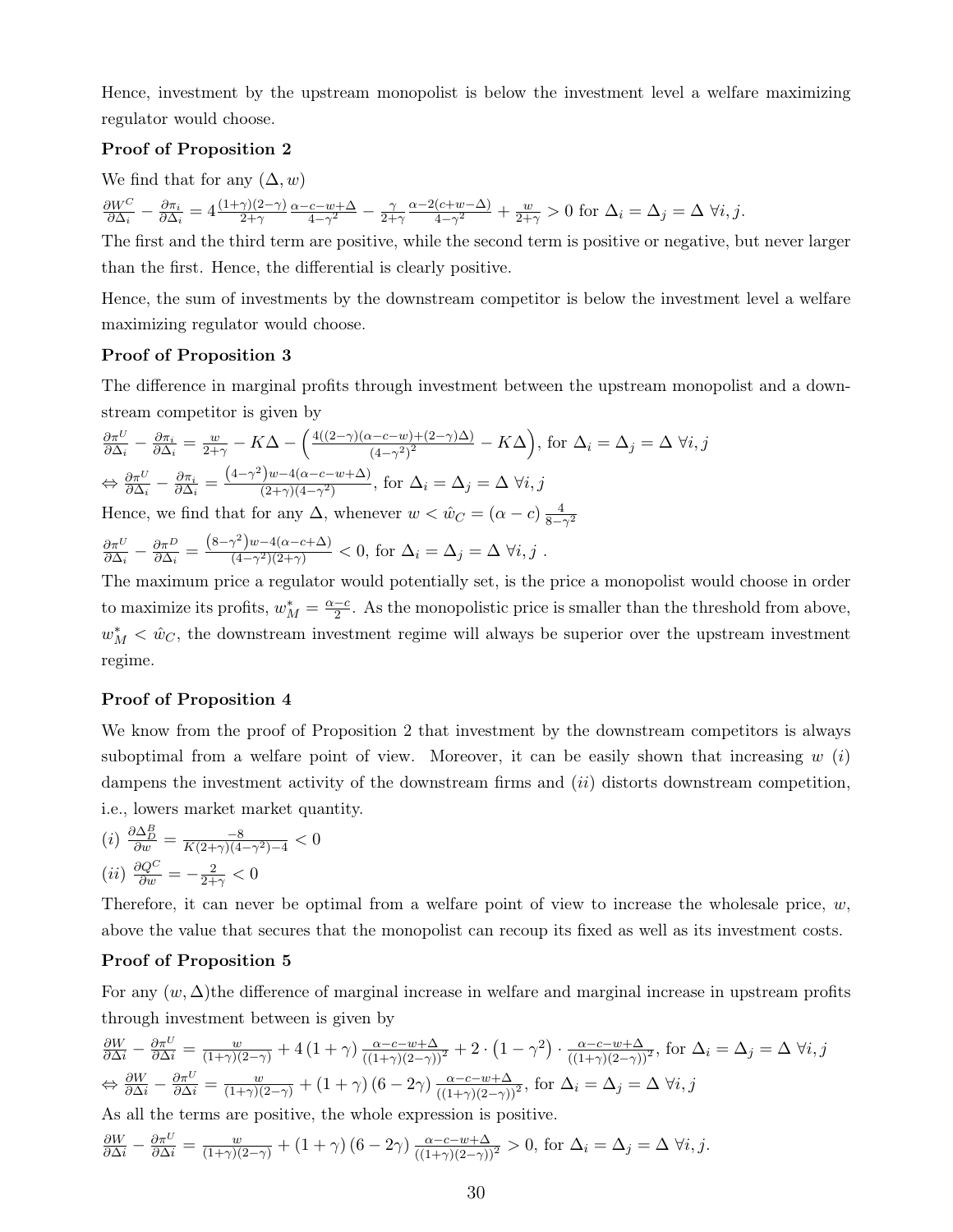Hence, investment by the upstream monopolist is below the investment level a welfare maximizing regulator would choose.

### Proof of Proposition 2

We find that for any  $(\Delta, w)$  $\frac{\partial W^C}{\partial \Delta_i} - \frac{\partial \pi_i}{\partial \Delta_i} = 4 \frac{(1+\gamma)(2-\gamma)}{2+\gamma} \frac{\alpha-c-w+\Delta}{4-\gamma^2} - \frac{\gamma}{2+\gamma} \frac{\alpha-2(c+w-\Delta)}{4-\gamma^2} + \frac{w}{2+\gamma} > 0$  for  $\Delta_i = \Delta_j = \Delta \ \forall i, j$ .

The first and the third term are positive, while the second term is positive or negative, but never larger than the first. Hence, the differential is clearly positive.

Hence, the sum of investments by the downstream competitor is below the investment level a welfare maximizing regulator would choose.

### Proof of Proposition 3

The difference in marginal profits through investment between the upstream monopolist and a downstream competitor is given by

$$
\frac{\partial \pi^U}{\partial \Delta_i} - \frac{\partial \pi_i}{\partial \Delta_i} = \frac{w}{2+\gamma} - K\Delta - \left(\frac{4((2-\gamma)(\alpha-c-w)+(2-\gamma)\Delta)}{(4-\gamma^2)^2} - K\Delta\right), \text{ for } \Delta_i = \Delta_j = \Delta \,\forall i, j
$$
  
\n
$$
\Leftrightarrow \frac{\partial \pi^U}{\partial \Delta_i} - \frac{\partial \pi_i}{\partial \Delta_i} = \frac{(4-\gamma^2)w - 4(\alpha-c-w+\Delta)}{(2+\gamma)(4-\gamma^2)}, \text{ for } \Delta_i = \Delta_j = \Delta \,\forall i, j
$$

Hence, we find that for any  $\Delta$ , whenever  $w < \hat{w}_C = (\alpha - c) \frac{4}{8 - \gamma^2}$ 

 $\frac{\partial \pi^U}{\partial \Delta_i} - \frac{\partial \pi^D}{\partial \Delta_i} = \frac{(8-\gamma^2)w - 4(\alpha - c + \Delta)}{(4-\gamma^2)(2+\gamma)} < 0$ , for  $\Delta_i = \Delta_j = \Delta \ \forall i, j$ .

The maximum price a regulator would potentially set, is the price a monopolist would choose in order to maximize its profits,  $w_M^* = \frac{\alpha - c}{2}$ . As the monopolistic price is smaller than the threshold from above,  $w_M^*$  <  $\hat{w}_C$ , the downstream investment regime will always be superior over the upstream investment regime.

### Proof of Proposition 4

We know from the proof of Proposition 2 that investment by the downstream competitors is always suboptimal from a welfare point of view. Moreover, it can be easily shown that increasing  $w(i)$ dampens the investment activity of the downstream firms and  $(ii)$  distorts downstream competition, i.e., lowers market market quantity.

$$
(i) \frac{\partial \Delta_D^B}{\partial w} = \frac{-8}{K(2+\gamma)(4-\gamma^2)-4} < 0
$$

$$
(ii) \frac{\partial Q^C}{\partial w} = -\frac{2}{2+\gamma} < 0
$$

Therefore, it can never be optimal from a welfare point of view to increase the wholesale price,  $w$ , above the value that secures that the monopolist can recoup its fixed as well as its investment costs.

### Proof of Proposition 5

For any  $(w, \Delta)$ the difference of marginal increase in welfare and marginal increase in upstream profits through investment between is given by

$$
\frac{\partial W}{\partial \Delta i} - \frac{\partial \pi^U}{\partial \Delta i} = \frac{w}{(1+\gamma)(2-\gamma)} + 4(1+\gamma)\frac{\alpha - c - w + \Delta}{((1+\gamma)(2-\gamma))^2} + 2 \cdot (1-\gamma^2) \cdot \frac{\alpha - c - w + \Delta}{((1+\gamma)(2-\gamma))^2}, \text{ for } \Delta_i = \Delta_j = \Delta \ \forall i, j
$$
  
\n
$$
\Leftrightarrow \frac{\partial W}{\partial \Delta i} - \frac{\partial \pi^U}{\partial \Delta i} = \frac{w}{(1+\gamma)(2-\gamma)} + (1+\gamma)(6-2\gamma)\frac{\alpha - c - w + \Delta}{((1+\gamma)(2-\gamma))^2}, \text{ for } \Delta_i = \Delta_j = \Delta \ \forall i, j
$$

As all the terms are positive, the whole expression is positive.

$$
\frac{\partial W}{\partial \Delta i} - \frac{\partial \pi^U}{\partial \Delta i} = \frac{w}{(1+\gamma)(2-\gamma)} + (1+\gamma)\left(6-2\gamma\right) \frac{\alpha-c-w+\Delta}{((1+\gamma)(2-\gamma))^2} > 0, \text{ for } \Delta_i = \Delta_j = \Delta \ \forall i, j.
$$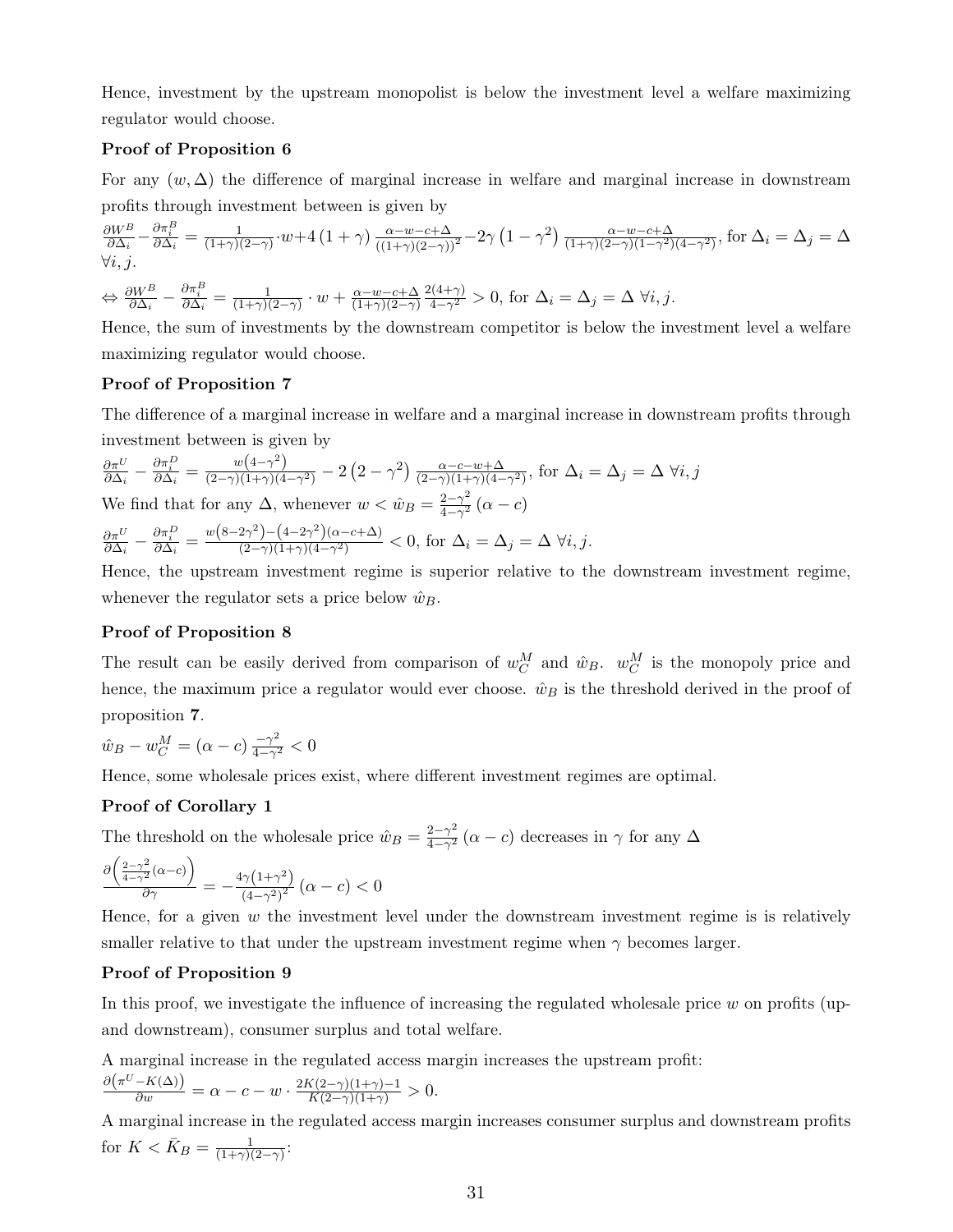Hence, investment by the upstream monopolist is below the investment level a welfare maximizing regulator would choose.

### Proof of Proposition 6

For any  $(w, \Delta)$  the difference of marginal increase in welfare and marginal increase in downstream profits through investment between is given by

$$
\frac{\partial W^B}{\partial \Delta_i} - \frac{\partial \pi_i^B}{\partial \Delta_i} = \frac{1}{(1+\gamma)(2-\gamma)} \cdot w + 4(1+\gamma) \frac{\alpha - w - c + \Delta}{((1+\gamma)(2-\gamma))^2} - 2\gamma (1-\gamma^2) \frac{\alpha - w - c + \Delta}{(1+\gamma)(2-\gamma)(1-\gamma^2)(4-\gamma^2)}, \text{ for } \Delta_i = \Delta_j = \Delta
$$
  
\n
$$
\forall i, j.
$$
  
\n
$$
\Leftrightarrow \frac{\partial W^B}{\partial \Delta_i} - \frac{\partial \pi_i^B}{\partial \Delta_i} = \frac{1}{(1+\gamma)(2-\gamma)} \cdot w + \frac{\alpha - w - c + \Delta}{(1+\gamma)(2-\gamma)} \frac{2(4+\gamma)}{4-\gamma^2} > 0, \text{ for } \Delta_i = \Delta_j = \Delta \ \forall i, j.
$$

Hence, the sum of investments by the downstream competitor is below the investment level a welfare maximizing regulator would choose.

### Proof of Proposition 7

The difference of a marginal increase in welfare and a marginal increase in downstream profits through investment between is given by

$$
\frac{\partial \pi^{U}}{\partial \Delta_{i}} - \frac{\partial \pi^{D}_{i}}{\partial \Delta_{i}} = \frac{w(4-\gamma^{2})}{(2-\gamma)(1+\gamma)(4-\gamma^{2})} - 2\left(2-\gamma^{2}\right) \frac{\alpha - c - w + \Delta}{(2-\gamma)(1+\gamma)(4-\gamma^{2})}, \text{ for } \Delta_{i} = \Delta_{j} = \Delta \ \forall i, j
$$
  
We find that for any  $\Delta$ , whenever  $w < \hat{w}_{D} = \frac{2-\gamma^{2}}{2} (\alpha - c)$ 

We find that for any  $\Delta$ , whenever  $w < \hat{w}_B = \frac{2-\gamma^2}{4-\gamma^2} (\alpha - c)$ 

$$
\frac{\partial \pi^{U}}{\partial \Delta_{i}} - \frac{\partial \pi^{D}_{i}}{\partial \Delta_{i}} = \frac{w(8-2\gamma^{2}) - (4-2\gamma^{2})(\alpha - c + \Delta)}{(2-\gamma)(1+\gamma)(4-\gamma^{2})} < 0, \text{ for } \Delta_{i} = \Delta_{j} = \Delta \ \forall i, j.
$$

Hence, the upstream investment regime is superior relative to the downstream investment regime, whenever the regulator sets a price below  $\hat{w}_B$ .

### Proof of Proposition 8

The result can be easily derived from comparison of  $w_C^M$  and  $\hat{w}_B$ .  $w_C^M$  is the monopoly price and hence, the maximum price a regulator would ever choose.  $\hat{w}_B$  is the threshold derived in the proof of proposition 7.

$$
\hat{w}_B - w_C^M = (\alpha - c) \frac{-\gamma^2}{4 - \gamma^2} < 0
$$

Hence, some wholesale prices exist, where different investment regimes are optimal.

### Proof of Corollary 1

The threshold on the wholesale price  $\hat{w}_B = \frac{2-\gamma^2}{4-\gamma^2} (\alpha - c)$  decreases in  $\gamma$  for any  $\Delta$ 

$$
\frac{\partial \left(\frac{2-\gamma^2}{4-\gamma^2}(\alpha-c)\right)}{\partial \gamma} = -\frac{4\gamma(1+\gamma^2)}{\left(4-\gamma^2\right)^2} \left(\alpha-c\right) < 0
$$

Hence, for a given  $w$  the investment level under the downstream investment regime is is relatively smaller relative to that under the upstream investment regime when  $\gamma$  becomes larger.

### Proof of Proposition 9

In this proof, we investigate the influence of increasing the regulated wholesale price  $w$  on profits (upand downstream), consumer surplus and total welfare.

A marginal increase in the regulated access margin increases the upstream profit:

$$
\tfrac{\partial \bigl(\pi^U-K(\Delta)\bigr)}{\partial w}=\alpha-c-w\cdot \tfrac{2K(2-\gamma)(1+\gamma)-1}{K(2-\gamma)(1+\gamma)}>0.
$$

A marginal increase in the regulated access margin increases consumer surplus and downstream profits for  $K < \bar{K}_B = \frac{1}{(1+\gamma)(2-\gamma)}$ :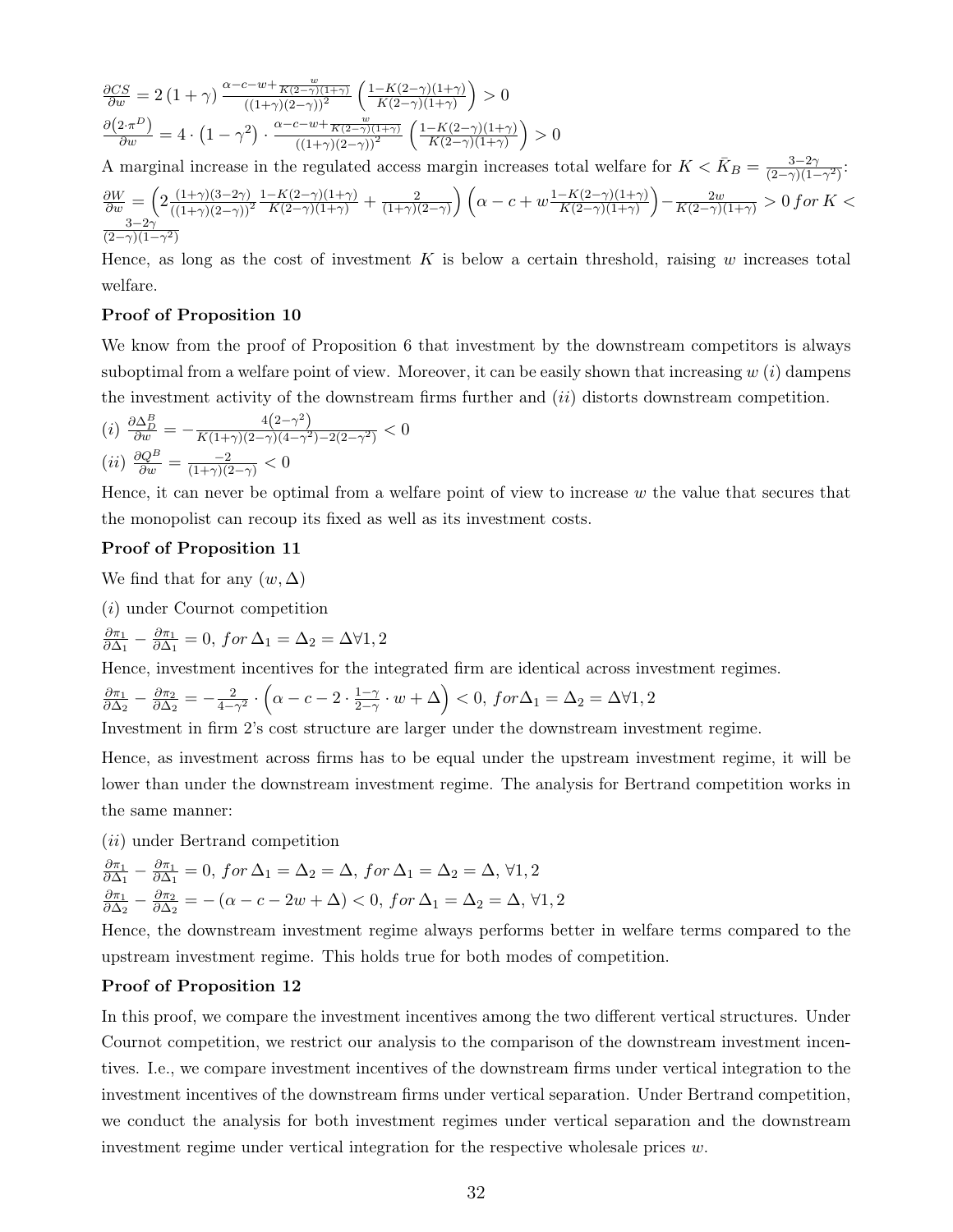$$
\frac{\partial CS}{\partial w} = 2\left(1+\gamma\right) \frac{\alpha - c - w + \frac{w}{K(2-\gamma)(1+\gamma)}}{\left((1+\gamma)(2-\gamma)\right)^2} \left(\frac{1-K(2-\gamma)(1+\gamma)}{K(2-\gamma)(1+\gamma)}\right) > 0
$$
  

$$
\frac{\partial (2\cdot\pi^D)}{\partial w} = 4\cdot\left(1-\gamma^2\right) \cdot \frac{\alpha - c - w + \frac{w}{K(2-\gamma)(1+\gamma)}}{\left((1+\gamma)(2-\gamma)\right)^2} \left(\frac{1-K(2-\gamma)(1+\gamma)}{K(2-\gamma)(1+\gamma)}\right) > 0
$$

A marginal increase in the regulated access margin increases total welfare for  $K < \bar{K}_B = \frac{3-2\gamma}{(2-\gamma)(1-\gamma^2)}$ .  $\frac{\partial W}{\partial w} = \left(2\frac{(1+\gamma)(3-2\gamma)}{((1+\gamma)(2-\gamma))^2}\right)$  $\frac{1-K(2-\gamma)(1+\gamma)}{K(2-\gamma)(1+\gamma)}+\frac{2}{(1+\gamma)(2-\gamma)}\bigg)\left(\alpha-c+w\frac{1-K(2-\gamma)(1+\gamma)}{K(2-\gamma)(1+\gamma)}\right)$  $K(2-\gamma)(1+\gamma)$  $\Big)-\frac{2w}{K(2-\gamma)(1+\gamma)} > 0$  for K <  $\frac{3-2\gamma}{\sqrt{2}}$  $(2-\gamma)(1-\gamma^2)$ 

Hence, as long as the cost of investment K is below a certain threshold, raising w increases total welfare.

#### Proof of Proposition 10

We know from the proof of Proposition 6 that investment by the downstream competitors is always suboptimal from a welfare point of view. Moreover, it can be easily shown that increasing  $w(i)$  dampens the investment activity of the downstream firms further and  $(ii)$  distorts downstream competition.

$$
(i) \frac{\partial \Delta_D^B}{\partial w} = -\frac{4(2-\gamma^2)}{K(1+\gamma)(2-\gamma)(4-\gamma^2)-2(2-\gamma^2)} < 0
$$
\n
$$
(ii) \frac{\partial Q^B}{\partial w} = \frac{-2}{(1+\gamma)(2-\gamma)} < 0
$$

Hence, it can never be optimal from a welfare point of view to increase  $w$  the value that secures that the monopolist can recoup its fixed as well as its investment costs.

### Proof of Proposition 11

We find that for any  $(w, \Delta)$ 

(i) under Cournot competition

$$
\frac{\partial \pi_1}{\partial \Delta_1} - \frac{\partial \pi_1}{\partial \Delta_1} = 0, \text{ for } \Delta_1 = \Delta_2 = \Delta \forall 1, 2
$$

Hence, investment incentives for the integrated firm are identical across investment regimes.

$$
\frac{\partial \pi_1}{\partial \Delta_2} - \frac{\partial \pi_2}{\partial \Delta_2} = -\frac{2}{4-\gamma^2} \cdot \left( \alpha - c - 2 \cdot \frac{1-\gamma}{2-\gamma} \cdot w + \Delta \right) < 0, \text{ for } \Delta_1 = \Delta_2 = \Delta \forall 1, 2
$$

Investment in firm 2's cost structure are larger under the downstream investment regime.

Hence, as investment across firms has to be equal under the upstream investment regime, it will be lower than under the downstream investment regime. The analysis for Bertrand competition works in the same manner:

(ii) under Bertrand competition

$$
\frac{\partial \pi_1}{\partial \Delta_1} - \frac{\partial \pi_1}{\partial \Delta_1} = 0, \text{ for } \Delta_1 = \Delta_2 = \Delta, \text{ for } \Delta_1 = \Delta_2 = \Delta, \forall 1, 2
$$
  

$$
\frac{\partial \pi_1}{\partial \Delta_2} - \frac{\partial \pi_2}{\partial \Delta_2} = -(\alpha - c - 2w + \Delta) < 0, \text{ for } \Delta_1 = \Delta_2 = \Delta, \forall 1, 2
$$

Hence, the downstream investment regime always performs better in welfare terms compared to the upstream investment regime. This holds true for both modes of competition.

### Proof of Proposition 12

In this proof, we compare the investment incentives among the two different vertical structures. Under Cournot competition, we restrict our analysis to the comparison of the downstream investment incentives. I.e., we compare investment incentives of the downstream firms under vertical integration to the investment incentives of the downstream firms under vertical separation. Under Bertrand competition, we conduct the analysis for both investment regimes under vertical separation and the downstream investment regime under vertical integration for the respective wholesale prices w.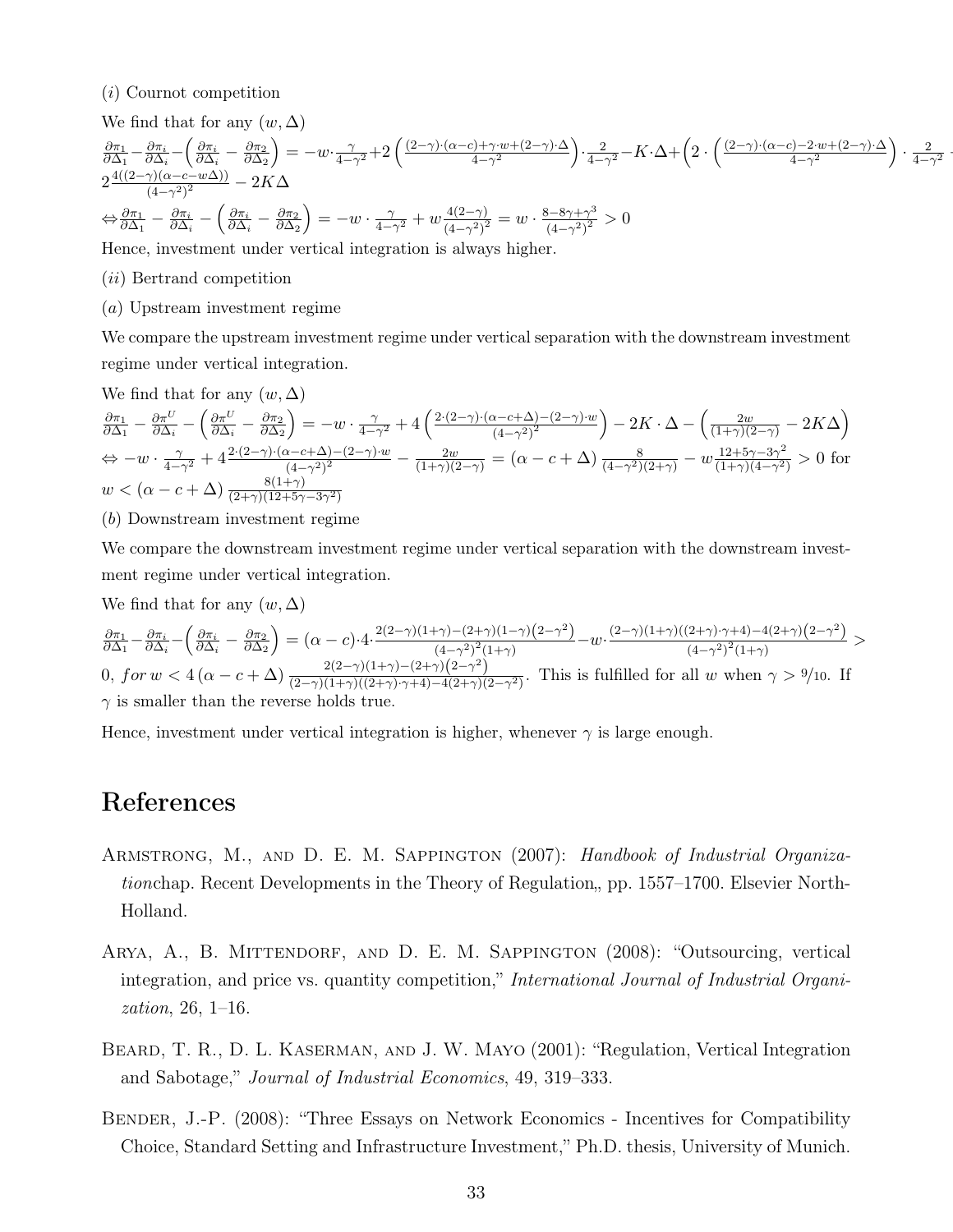(i) Cournot competition

We find that for any 
$$
(w, \Delta)
$$
  
\n
$$
\frac{\partial \pi_1}{\partial \Delta_1} - \frac{\partial \pi_i}{\partial \Delta_i} - \left(\frac{\partial \pi_i}{\partial \Delta_i} - \frac{\partial \pi_2}{\partial \Delta_2}\right) = -w \cdot \frac{\gamma}{4 - \gamma^2} + 2\left(\frac{(2 - \gamma) \cdot (\alpha - c) + \gamma \cdot w + (2 - \gamma) \cdot \Delta}{4 - \gamma^2}\right) \cdot \frac{2}{4 - \gamma^2} - K \cdot \Delta + \left(2 \cdot \left(\frac{(2 - \gamma) \cdot (\alpha - c) - 2 \cdot w + (2 - \gamma) \cdot \Delta}{4 - \gamma^2}\right) \cdot \frac{2}{4 - \gamma^2} - 2\frac{4((2 - \gamma) (\alpha - c - w\Delta))}{(4 - \gamma^2)^2} - 2K\Delta + \frac{\alpha}{\beta \Delta_1} - \frac{\alpha}{\beta \Delta_1} - \left(\frac{\alpha}{\beta \Delta_1} - \frac{\alpha}{\beta \Delta_2} - \frac{\alpha}{\beta \Delta_2}\right) = -w \cdot \frac{\gamma}{4 - \gamma^2} + w \frac{4(2 - \gamma)}{(4 - \gamma^2)^2} = w \cdot \frac{8 - 8\gamma + \gamma^3}{(4 - \gamma^2)^2} > 0
$$

Hence, investment under vertical integration is always higher.

- (ii) Bertrand competition
- (a) Upstream investment regime

We compare the upstream investment regime under vertical separation with the downstream investment regime under vertical integration.

We find that for any 
$$
(w, \Delta)
$$

$$
\frac{\partial \pi_1}{\partial \Delta_1} - \frac{\partial \pi^U}{\partial \Delta_i} - \left( \frac{\partial \pi^U}{\partial \Delta_i} - \frac{\partial \pi_2}{\partial \Delta_2} \right) = -w \cdot \frac{\gamma}{4 - \gamma^2} + 4 \left( \frac{2 \cdot (2 - \gamma) \cdot (\alpha - c + \Delta) - (2 - \gamma) \cdot w}{(4 - \gamma^2)^2} \right) - 2K \cdot \Delta - \left( \frac{2w}{(1 + \gamma)(2 - \gamma)} - 2K\Delta \right)
$$
\n
$$
\Leftrightarrow -w \cdot \frac{\gamma}{4 - \gamma^2} + 4 \frac{2 \cdot (2 - \gamma) \cdot (\alpha - c + \Delta) - (2 - \gamma) \cdot w}{(4 - \gamma^2)^2} - \frac{2w}{(1 + \gamma)(2 - \gamma)} = (\alpha - c + \Delta) \frac{8}{(4 - \gamma^2)(2 + \gamma)} - w \frac{12 + 5\gamma - 3\gamma^2}{(1 + \gamma)(4 - \gamma^2)} > 0 \text{ for }
$$
\n
$$
w < (\alpha - c + \Delta) \frac{8(1 + \gamma)}{(2 + \gamma)(12 + 5\gamma - 3\gamma^2)}
$$

(b) Downstream investment regime

We compare the downstream investment regime under vertical separation with the downstream investment regime under vertical integration.

We find that for any  $(w, \Delta)$ 

 $\frac{\partial \pi_1}{\partial \Delta_1} - \frac{\partial \pi_i}{\partial \Delta_i} - \left( \frac{\partial \pi_i}{\partial \Delta_i} - \frac{\partial \pi_2}{\partial \Delta_2} \right)$  $= (\alpha - c) \cdot 4 \cdot \frac{2(2-\gamma)(1+\gamma)-(2+\gamma)(1-\gamma)(2-\gamma^2)}{(4-\gamma^2)^2(1+\gamma)}$  $\frac{(-\gamma)-(2+\gamma)(1-\gamma)\left(2-\gamma^2\right)}{\left(4-\gamma^2\right)^2(1+\gamma)}-w\cdot\frac{(2-\gamma)(1+\gamma)((2+\gamma)\cdot\gamma+4)-4(2+\gamma)\left(2-\gamma^2\right)}{\left(4-\gamma^2\right)^2(1+\gamma)}$  $\frac{(4-\gamma^2)^2(1+\gamma)}{(4-\gamma^2)^2(1+\gamma)}$  > 0, for  $w < 4(\alpha - c + \Delta) \frac{2(2-\gamma)(1+\gamma)-(2+\gamma)(2-\gamma^2)}{(2-\gamma)(1+\gamma)((2+\gamma)\cdot\gamma+4)-(2+\gamma)(2-\gamma^2)}$ . This is fulfilled for all w when  $\gamma > 9/10$ . If  $\gamma$  is smaller than the reverse holds true.

Hence, investment under vertical integration is higher, whenever  $\gamma$  is large enough.

# References

- ARMSTRONG, M., AND D. E. M. SAPPINGTON (2007): Handbook of Industrial Organizationchap. Recent Developments in the Theory of Regulation, pp. 1557–1700. Elsevier North-Holland.
- Arya, A., B. Mittendorf, and D. E. M. Sappington (2008): "Outsourcing, vertical integration, and price vs. quantity competition," International Journal of Industrial Organization, 26, 1–16.
- Beard, T. R., D. L. Kaserman, and J. W. Mayo (2001): "Regulation, Vertical Integration and Sabotage," Journal of Industrial Economics, 49, 319–333.
- BENDER, J.-P. (2008): "Three Essays on Network Economics Incentives for Compatibility Choice, Standard Setting and Infrastructure Investment," Ph.D. thesis, University of Munich.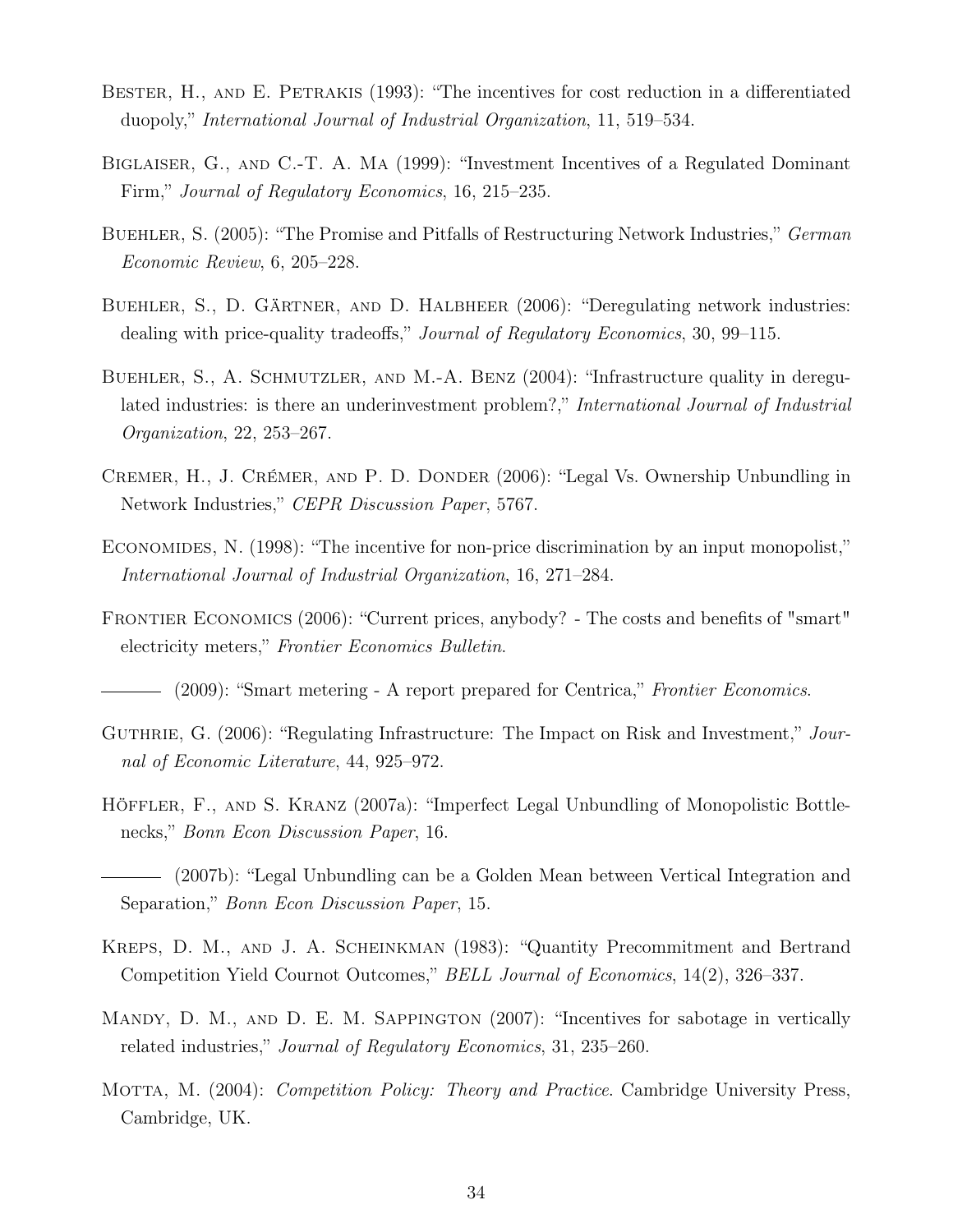- BESTER, H., AND E. PETRAKIS (1993): "The incentives for cost reduction in a differentiated duopoly," International Journal of Industrial Organization, 11, 519–534.
- BIGLAISER, G., AND C.-T. A. MA (1999): "Investment Incentives of a Regulated Dominant Firm," Journal of Regulatory Economics, 16, 215–235.
- BUEHLER, S. (2005): "The Promise and Pitfalls of Restructuring Network Industries," German Economic Review, 6, 205–228.
- Buehler, S., D. Gärtner, and D. Halbheer (2006): "Deregulating network industries: dealing with price-quality tradeoffs," Journal of Regulatory Economics, 30, 99–115.
- BUEHLER, S., A. SCHMUTZLER, AND M.-A. BENZ (2004): "Infrastructure quality in deregulated industries: is there an underinvestment problem?," International Journal of Industrial Organization, 22, 253–267.
- Cremer, H., J. Crémer, and P. D. Donder (2006): "Legal Vs. Ownership Unbundling in Network Industries," CEPR Discussion Paper, 5767.
- ECONOMIDES, N. (1998): "The incentive for non-price discrimination by an input monopolist," International Journal of Industrial Organization, 16, 271–284.
- FRONTIER ECONOMICS (2006): "Current prices, anybody? The costs and benefits of "smart" electricity meters," Frontier Economics Bulletin.
- (2009): "Smart metering A report prepared for Centrica," *Frontier Economics*.
- GUTHRIE, G. (2006): "Regulating Infrastructure: The Impact on Risk and Investment," Journal of Economic Literature, 44, 925–972.
- Höffler, F., and S. Kranz (2007a): "Imperfect Legal Unbundling of Monopolistic Bottlenecks," Bonn Econ Discussion Paper, 16.
- (2007b): "Legal Unbundling can be a Golden Mean between Vertical Integration and Separation," Bonn Econ Discussion Paper, 15.
- Kreps, D. M., and J. A. Scheinkman (1983): "Quantity Precommitment and Bertrand Competition Yield Cournot Outcomes," BELL Journal of Economics, 14(2), 326–337.
- Mandy, D. M., and D. E. M. Sappington (2007): "Incentives for sabotage in vertically related industries," Journal of Regulatory Economics, 31, 235–260.
- MOTTA, M. (2004): *Competition Policy: Theory and Practice*. Cambridge University Press, Cambridge, UK.